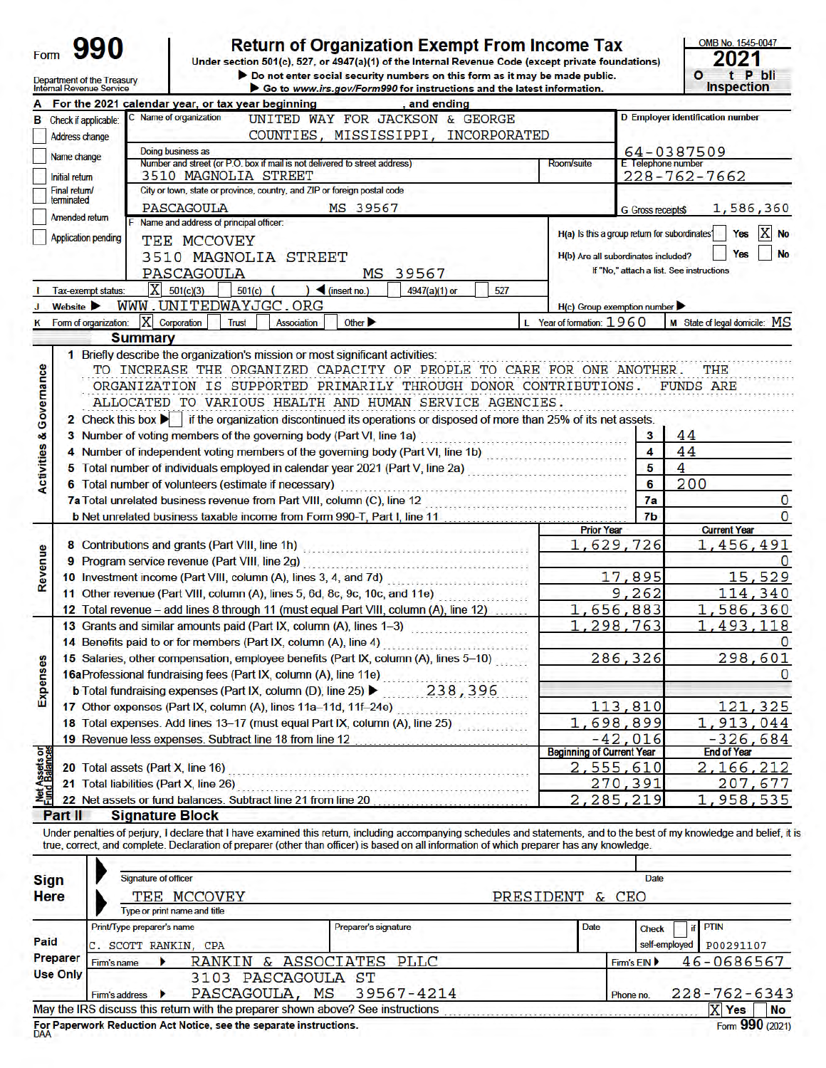Return of Organization Exempt From Income Tax<br>Under section 501(c), 527, or 4947(a)(1) of the Internal Revenue Code (except private foundations)<br>
Do not enter social security numbers on this form as it may be made public.

| OMB No. 1545-0047 |  |
|-------------------|--|
| 2021              |  |
|                   |  |
| t P bli           |  |
| <b>Inspection</b> |  |

|                                                    | Department of the Treasury<br>Internal Revenue Service                                                                                                                          | Go to www.irs.gov/Form990 for instructions and the latest information.                                                                                                                                                        |                           | <b>Inspection</b>                        |  |  |  |
|----------------------------------------------------|---------------------------------------------------------------------------------------------------------------------------------------------------------------------------------|-------------------------------------------------------------------------------------------------------------------------------------------------------------------------------------------------------------------------------|---------------------------|------------------------------------------|--|--|--|
|                                                    |                                                                                                                                                                                 | For the 2021 calendar year, or tax year beginning<br>and ending                                                                                                                                                               |                           |                                          |  |  |  |
|                                                    | <b>B</b> Check if applicable:                                                                                                                                                   | C Name of organization<br>UNITED WAY FOR JACKSON & GEORGE                                                                                                                                                                     |                           | <b>D</b> Employer identification number  |  |  |  |
|                                                    | COUNTIES, MISSISSIPPI, INCORPORATED<br>Address change                                                                                                                           |                                                                                                                                                                                                                               |                           |                                          |  |  |  |
|                                                    | Name change                                                                                                                                                                     | Doing business as                                                                                                                                                                                                             |                           | 64-0387509                               |  |  |  |
|                                                    | Number and street (or P.O. box if mail is not delivered to street address)<br>E Telephone number<br>Room/suite<br>3510 MAGNOLIA STREET<br>228-762-7662<br><b>Initial return</b> |                                                                                                                                                                                                                               |                           |                                          |  |  |  |
|                                                    | City or town, state or province, country, and ZIP or foreign postal code<br>Final return/                                                                                       |                                                                                                                                                                                                                               |                           |                                          |  |  |  |
|                                                    | terminated                                                                                                                                                                      | PASCAGOULA<br>MS 39567                                                                                                                                                                                                        | <b>G</b> Gross receipts\$ | 1,586,360                                |  |  |  |
|                                                    | Amended return                                                                                                                                                                  | Name and address of principal officer:                                                                                                                                                                                        |                           |                                          |  |  |  |
|                                                    | <b>Application pending</b>                                                                                                                                                      | H(a) Is this a group return for subordinates?<br>TEE MCCOVEY                                                                                                                                                                  |                           | IХ<br><b>Yes</b><br><b>No</b>            |  |  |  |
|                                                    |                                                                                                                                                                                 | 3510 MAGNOLIA STREET<br>H(b) Are all subordinates included?                                                                                                                                                                   |                           | No<br>Yes                                |  |  |  |
|                                                    |                                                                                                                                                                                 | PASCAGOULA<br>MS 39567                                                                                                                                                                                                        |                           | If "No," attach a list. See instructions |  |  |  |
|                                                    | Tax-exempt status:                                                                                                                                                              | X<br>501(c)(3)<br>$501(c)$ (<br>$\log$ (insert no.)<br>527<br>4947(a)(1) or                                                                                                                                                   |                           |                                          |  |  |  |
|                                                    | Website <b>D</b>                                                                                                                                                                | WWW.UNITEDWAYJGC.ORG<br>H(c) Group exemption number                                                                                                                                                                           |                           |                                          |  |  |  |
|                                                    |                                                                                                                                                                                 | Form of organization:   X Corporation<br>Other ><br>L Year of formation: $1960$<br>Trust<br>Association                                                                                                                       |                           | M State of legal domicile: MS            |  |  |  |
|                                                    |                                                                                                                                                                                 | <b>Summary</b>                                                                                                                                                                                                                |                           |                                          |  |  |  |
|                                                    |                                                                                                                                                                                 |                                                                                                                                                                                                                               |                           |                                          |  |  |  |
|                                                    |                                                                                                                                                                                 | 1 Briefly describe the organization's mission or most significant activities:                                                                                                                                                 |                           |                                          |  |  |  |
|                                                    |                                                                                                                                                                                 | TO INCREASE THE ORGANIZED CAPACITY OF PEOPLE TO CARE FOR ONE ANOTHER.                                                                                                                                                         |                           | THE                                      |  |  |  |
|                                                    |                                                                                                                                                                                 | ORGANIZATION IS SUPPORTED PRIMARILY THROUGH DONOR CONTRIBUTIONS.                                                                                                                                                              |                           | <b>FUNDS ARE</b>                         |  |  |  |
|                                                    |                                                                                                                                                                                 | ALLOCATED TO VARIOUS HEALTH AND HUMAN SERVICE AGENCIES.                                                                                                                                                                       |                           |                                          |  |  |  |
|                                                    |                                                                                                                                                                                 | 2 Check this box if the organization discontinued its operations or disposed of more than 25% of its net assets.                                                                                                              |                           |                                          |  |  |  |
|                                                    |                                                                                                                                                                                 | 3 Number of voting members of the governing body (Part VI, line 1a)                                                                                                                                                           |                           |                                          |  |  |  |
|                                                    |                                                                                                                                                                                 |                                                                                                                                                                                                                               | 3                         | 44                                       |  |  |  |
|                                                    |                                                                                                                                                                                 |                                                                                                                                                                                                                               | 4                         | 44                                       |  |  |  |
|                                                    |                                                                                                                                                                                 | 4 Number of independent voting members of the governing body (Part VI, line 1b)                                                                                                                                               | 5                         | 4                                        |  |  |  |
|                                                    |                                                                                                                                                                                 | 5 Total number of individuals employed in calendar year 2021 (Part V, line 2a)                                                                                                                                                | 6                         | 200                                      |  |  |  |
|                                                    |                                                                                                                                                                                 | 6 Total number of volunteers (estimate if necessary)                                                                                                                                                                          | 7a                        | $\mathbf{0}$                             |  |  |  |
|                                                    |                                                                                                                                                                                 | 7a Total unrelated business revenue from Part VIII, column (C), line 12<br>b Net unrelated business taxable income from Form 990-T, Part I, line 11                                                                           | 7 <sub>b</sub>            | 0                                        |  |  |  |
|                                                    |                                                                                                                                                                                 | <b>Prior Year</b>                                                                                                                                                                                                             |                           | <b>Current Year</b>                      |  |  |  |
| <b>Activities &amp; Governance</b>                 |                                                                                                                                                                                 | 1,629,726<br>8 Contributions and grants (Part VIII, line 1h)                                                                                                                                                                  |                           | 1,456,491                                |  |  |  |
|                                                    |                                                                                                                                                                                 |                                                                                                                                                                                                                               |                           |                                          |  |  |  |
|                                                    |                                                                                                                                                                                 | 9 Program service revenue (Part VIII, line 2g) [2010] [2010] [2010] [2010] [2010] [2010] [2010] [2010] [2010] [3010] [2010] [2010] [3010] [2010] [3010] [3010] [3010] [3010] [3010] [3010] [3010] [3010] [3010] [3010] [3010] | 17,895                    | 15,529                                   |  |  |  |
|                                                    |                                                                                                                                                                                 | 10 Investment income (Part VIII, column (A), lines 3, 4, and 7d)<br>11 Other revenue (Part VIII, column (A), lines 5, 6d, 8c, 9c, 10c, and 11e)                                                                               | 9,262                     | 114,340                                  |  |  |  |
|                                                    |                                                                                                                                                                                 | 1,656,883<br>12 Total revenue - add lines 8 through 11 (must equal Part VIII, column (A), line 12)                                                                                                                            |                           | 1,586,360                                |  |  |  |
|                                                    |                                                                                                                                                                                 | 1,298,763                                                                                                                                                                                                                     |                           | ,493,118<br>ı                            |  |  |  |
|                                                    |                                                                                                                                                                                 | 13 Grants and similar amounts paid (Part IX, column (A), lines 1-3)<br>14 Benefits paid to or for members (Part IX, column (A), line 4)                                                                                       |                           |                                          |  |  |  |
|                                                    |                                                                                                                                                                                 |                                                                                                                                                                                                                               | 286,326                   |                                          |  |  |  |
|                                                    |                                                                                                                                                                                 | 15 Salaries, other compensation, employee benefits (Part IX, column (A), lines 5-10)                                                                                                                                          |                           | 298,601                                  |  |  |  |
|                                                    |                                                                                                                                                                                 | 16aProfessional fundraising fees (Part IX, column (A), line 11e)                                                                                                                                                              |                           |                                          |  |  |  |
|                                                    |                                                                                                                                                                                 | <b>b</b> Total fundraising expenses (Part IX, column (D), line 25) ▶ 238, 396                                                                                                                                                 | 113,810                   | 121,325                                  |  |  |  |
|                                                    |                                                                                                                                                                                 | 17 Other expenses (Part IX, column (A), lines 11a-11d, 11f-24e)                                                                                                                                                               |                           |                                          |  |  |  |
|                                                    |                                                                                                                                                                                 | 18 Total expenses. Add lines 13-17 (must equal Part IX, column (A), line 25)<br>1,698,899<br>19 Revenue less expenses. Subtract line 18 from line 12                                                                          | $-42,016$                 | ,913,044                                 |  |  |  |
| nses                                               |                                                                                                                                                                                 | <b>Beginning of Current Year</b>                                                                                                                                                                                              |                           | $-326,684$<br><b>End of Year</b>         |  |  |  |
|                                                    |                                                                                                                                                                                 | 2,555,610<br>20 Total assets (Part X, line 16)                                                                                                                                                                                |                           | 2,166,212                                |  |  |  |
|                                                    |                                                                                                                                                                                 | 21 Total liabilities (Part X, line 26)                                                                                                                                                                                        | 270,391                   | 207,677                                  |  |  |  |
| Revenue<br>Exper<br>Net Assets or<br>Fund Balances |                                                                                                                                                                                 | 22 Net assets or fund balances. Subtract line 21 from line 20<br>$\overline{2}$ .                                                                                                                                             | 285,219                   | 958,535<br>1                             |  |  |  |

| <b>Sign</b><br><b>Here</b> | Signature of officer                 | TEE MCCOVEY<br>Type or print name and title                               |                                                                                 | PRESIDENT & CEO | Date                          |                                |
|----------------------------|--------------------------------------|---------------------------------------------------------------------------|---------------------------------------------------------------------------------|-----------------|-------------------------------|--------------------------------|
| Paid                       | Print/Type preparer's name           | SCOTT RANKIN, CPA                                                         | Preparer's signature                                                            | Date            | <b>Check</b><br>self-employed | <b>PTIN</b><br>if<br>P00291107 |
| Preparer                   | Firm's name                          |                                                                           | RANKIN & ASSOCIATES PLLC                                                        |                 | Firm's EIN                    | 46-0686567                     |
| <b>Use Only</b>            | Firm's address $\blacktriangleright$ | 3103 PASCAGOULA ST                                                        | PASCAGOULA, MS 39567-4214                                                       |                 | Phone no.                     | $228 - 762 - 6343$             |
|                            |                                      |                                                                           | May the IRS discuss this return with the preparer shown above? See instructions |                 |                               | x<br><b>No</b><br><b>Yes</b>   |
|                            |                                      | For Paperwork Reduction Act Notice, see the separate instructions.<br>DAA |                                                                                 |                 |                               | Form 990 (2021)                |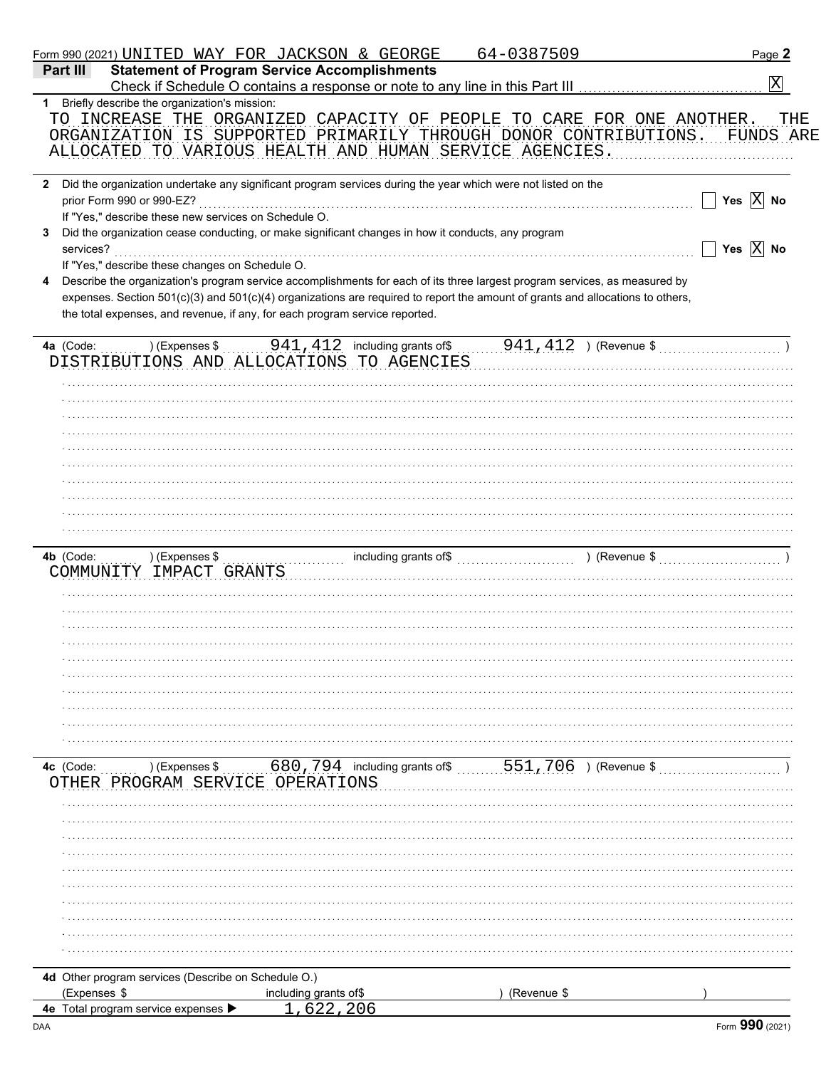| Form 990 (2021) UNITED WAY FOR JACKSON & GEORGE                     |                                                                             |                                           |                                                                                                                                | 64-0387509  |                                                                          | Page 2                      |
|---------------------------------------------------------------------|-----------------------------------------------------------------------------|-------------------------------------------|--------------------------------------------------------------------------------------------------------------------------------|-------------|--------------------------------------------------------------------------|-----------------------------|
| Part III                                                            | <b>Statement of Program Service Accomplishments</b>                         |                                           |                                                                                                                                |             |                                                                          |                             |
|                                                                     |                                                                             |                                           | Check if Schedule O contains a response or note to any line in this Part III [11] [11] [11] [11] [11] [11] [1                  |             |                                                                          | $\vert X \vert$             |
| Briefly describe the organization's mission:<br>1                   |                                                                             |                                           |                                                                                                                                |             |                                                                          |                             |
|                                                                     |                                                                             |                                           | TO INCREASE THE ORGANIZED CAPACITY OF PEOPLE TO CARE FOR ONE ANOTHER.                                                          |             |                                                                          | THE                         |
|                                                                     |                                                                             |                                           | ORGANIZATION IS SUPPORTED PRIMARILY THROUGH DONOR CONTRIBUTIONS.                                                               |             |                                                                          | FUNDS ARE                   |
|                                                                     |                                                                             |                                           | ALLOCATED TO VARIOUS HEALTH AND HUMAN SERVICE AGENCIES.                                                                        |             |                                                                          |                             |
|                                                                     |                                                                             |                                           |                                                                                                                                |             |                                                                          |                             |
| $\mathbf{2}$                                                        |                                                                             |                                           | Did the organization undertake any significant program services during the year which were not listed on the                   |             |                                                                          |                             |
| prior Form 990 or 990-EZ?                                           |                                                                             |                                           |                                                                                                                                |             |                                                                          | Yes $\overline{X}$ No       |
|                                                                     | If "Yes," describe these new services on Schedule O.                        |                                           |                                                                                                                                |             |                                                                          |                             |
|                                                                     |                                                                             |                                           | Did the organization cease conducting, or make significant changes in how it conducts, any program                             |             |                                                                          |                             |
| services?                                                           |                                                                             |                                           |                                                                                                                                |             |                                                                          | Yes $\boxed{\mathbf{X}}$ No |
|                                                                     | If "Yes," describe these changes on Schedule O.                             |                                           |                                                                                                                                |             |                                                                          |                             |
|                                                                     |                                                                             |                                           | Describe the organization's program service accomplishments for each of its three largest program services, as measured by     |             |                                                                          |                             |
|                                                                     |                                                                             |                                           | expenses. Section 501(c)(3) and 501(c)(4) organizations are required to report the amount of grants and allocations to others, |             |                                                                          |                             |
|                                                                     | the total expenses, and revenue, if any, for each program service reported. |                                           |                                                                                                                                |             |                                                                          |                             |
|                                                                     |                                                                             |                                           |                                                                                                                                |             |                                                                          |                             |
| 4a (Code:                                                           | ) (Expenses \$                                                              |                                           | $941,412$ including grants of \$                                                                                               |             | $941, 412$ ) (Revenue \$                                                 |                             |
|                                                                     |                                                                             |                                           | DISTRIBUTIONS AND ALLOCATIONS TO AGENCIES                                                                                      |             |                                                                          |                             |
|                                                                     |                                                                             |                                           |                                                                                                                                |             |                                                                          |                             |
|                                                                     |                                                                             |                                           |                                                                                                                                |             |                                                                          |                             |
|                                                                     |                                                                             |                                           |                                                                                                                                |             |                                                                          |                             |
|                                                                     |                                                                             |                                           |                                                                                                                                |             |                                                                          |                             |
|                                                                     |                                                                             |                                           |                                                                                                                                |             |                                                                          |                             |
|                                                                     |                                                                             |                                           |                                                                                                                                |             |                                                                          |                             |
|                                                                     |                                                                             |                                           |                                                                                                                                |             |                                                                          |                             |
|                                                                     |                                                                             |                                           |                                                                                                                                |             |                                                                          |                             |
|                                                                     |                                                                             |                                           |                                                                                                                                |             |                                                                          |                             |
|                                                                     |                                                                             |                                           |                                                                                                                                |             |                                                                          |                             |
|                                                                     |                                                                             |                                           |                                                                                                                                |             |                                                                          |                             |
| 4b (Code:                                                           | ) (Expenses \$                                                              |                                           |                                                                                                                                |             | ) (Revenue $\frac{1}{2}$ (Revenue $\frac{1}{2}$ ) (Revenue $\frac{1}{2}$ |                             |
| COMMUNITY IMPACT GRANTS                                             |                                                                             |                                           |                                                                                                                                |             |                                                                          |                             |
|                                                                     |                                                                             |                                           |                                                                                                                                |             |                                                                          |                             |
|                                                                     |                                                                             |                                           |                                                                                                                                |             |                                                                          |                             |
|                                                                     |                                                                             |                                           |                                                                                                                                |             |                                                                          |                             |
|                                                                     |                                                                             |                                           |                                                                                                                                |             |                                                                          |                             |
|                                                                     |                                                                             |                                           |                                                                                                                                |             |                                                                          |                             |
|                                                                     |                                                                             |                                           |                                                                                                                                |             |                                                                          |                             |
|                                                                     |                                                                             |                                           |                                                                                                                                |             |                                                                          |                             |
|                                                                     |                                                                             |                                           |                                                                                                                                |             |                                                                          |                             |
|                                                                     |                                                                             |                                           |                                                                                                                                |             |                                                                          |                             |
|                                                                     |                                                                             |                                           |                                                                                                                                |             |                                                                          |                             |
|                                                                     |                                                                             |                                           |                                                                                                                                |             |                                                                          |                             |
| 4c (Code:                                                           | $\ldots$ ) (Expenses \$                                                     |                                           | 680, 794 including grants of\$  551, 706 ) (Revenue \$                                                                         |             |                                                                          |                             |
| OTHER PROGRAM SERVICE OPERATIONS                                    |                                                                             |                                           |                                                                                                                                |             |                                                                          |                             |
|                                                                     |                                                                             |                                           |                                                                                                                                |             |                                                                          |                             |
|                                                                     |                                                                             |                                           |                                                                                                                                |             |                                                                          |                             |
|                                                                     |                                                                             |                                           |                                                                                                                                |             |                                                                          |                             |
|                                                                     |                                                                             |                                           |                                                                                                                                |             |                                                                          |                             |
|                                                                     |                                                                             |                                           |                                                                                                                                |             |                                                                          |                             |
|                                                                     |                                                                             |                                           |                                                                                                                                |             |                                                                          |                             |
|                                                                     |                                                                             |                                           |                                                                                                                                |             |                                                                          |                             |
|                                                                     |                                                                             |                                           |                                                                                                                                |             |                                                                          |                             |
|                                                                     |                                                                             |                                           |                                                                                                                                |             |                                                                          |                             |
|                                                                     |                                                                             |                                           |                                                                                                                                |             |                                                                          |                             |
|                                                                     |                                                                             |                                           |                                                                                                                                |             |                                                                          |                             |
|                                                                     |                                                                             |                                           |                                                                                                                                |             |                                                                          |                             |
|                                                                     |                                                                             |                                           |                                                                                                                                |             |                                                                          |                             |
|                                                                     |                                                                             |                                           |                                                                                                                                |             |                                                                          |                             |
| 4d Other program services (Describe on Schedule O.)<br>(Expenses \$ |                                                                             | including grants of\$<br><u>1,622,206</u> |                                                                                                                                | (Revenue \$ |                                                                          |                             |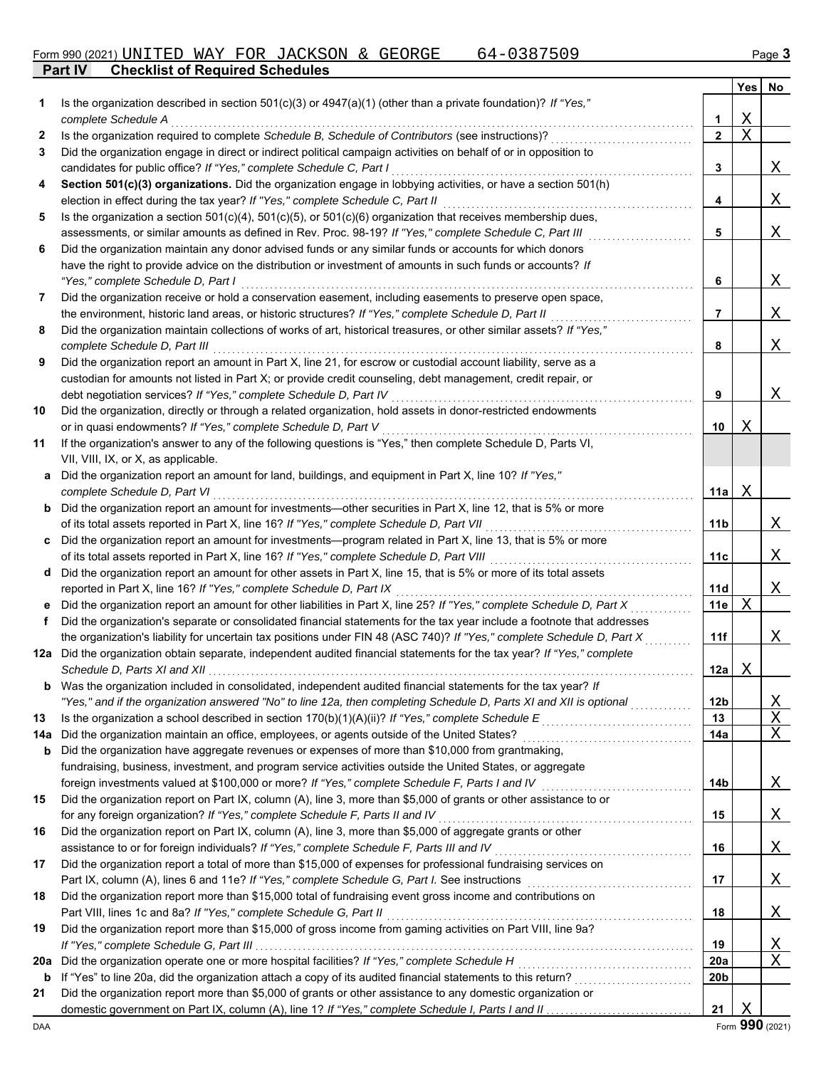|     |                                                                                                                                                 |                 | Yes         | No       |
|-----|-------------------------------------------------------------------------------------------------------------------------------------------------|-----------------|-------------|----------|
| 1   | Is the organization described in section $501(c)(3)$ or $4947(a)(1)$ (other than a private foundation)? If "Yes,"                               |                 |             |          |
|     | complete Schedule A                                                                                                                             | 1               | Χ           |          |
| 2   | Is the organization required to complete Schedule B, Schedule of Contributors (see instructions)?                                               | $\mathbf{2}$    | $\mathbf X$ |          |
| 3   | Did the organization engage in direct or indirect political campaign activities on behalf of or in opposition to                                |                 |             |          |
|     | candidates for public office? If "Yes," complete Schedule C, Part I                                                                             | 3               |             | Χ        |
| 4   | Section 501(c)(3) organizations. Did the organization engage in lobbying activities, or have a section 501(h)                                   |                 |             |          |
|     | election in effect during the tax year? If "Yes," complete Schedule C, Part II                                                                  | 4               |             | Χ        |
| 5   | Is the organization a section $501(c)(4)$ , $501(c)(5)$ , or $501(c)(6)$ organization that receives membership dues,                            |                 |             |          |
|     | assessments, or similar amounts as defined in Rev. Proc. 98-19? If "Yes," complete Schedule C, Part III                                         | 5               |             | Χ        |
| 6   | Did the organization maintain any donor advised funds or any similar funds or accounts for which donors                                         |                 |             |          |
|     | have the right to provide advice on the distribution or investment of amounts in such funds or accounts? If                                     |                 |             |          |
|     | "Yes," complete Schedule D, Part I                                                                                                              | 6               |             | Χ        |
| 7   | Did the organization receive or hold a conservation easement, including easements to preserve open space,                                       |                 |             |          |
|     | the environment, historic land areas, or historic structures? If "Yes," complete Schedule D, Part II                                            | 7               |             | Χ        |
| 8   | Did the organization maintain collections of works of art, historical treasures, or other similar assets? If "Yes,"                             |                 |             |          |
|     | complete Schedule D, Part III                                                                                                                   | 8               |             | Χ        |
| 9   | Did the organization report an amount in Part X, line 21, for escrow or custodial account liability, serve as a                                 |                 |             |          |
|     | custodian for amounts not listed in Part X; or provide credit counseling, debt management, credit repair, or                                    |                 |             |          |
|     | debt negotiation services? If "Yes," complete Schedule D, Part IV                                                                               | 9               |             | Χ        |
| 10  | Did the organization, directly or through a related organization, hold assets in donor-restricted endowments                                    |                 |             |          |
|     | or in quasi endowments? If "Yes," complete Schedule D, Part V                                                                                   | 10              | Χ           |          |
| 11  | If the organization's answer to any of the following questions is "Yes," then complete Schedule D, Parts VI,                                    |                 |             |          |
|     | VII, VIII, IX, or X, as applicable.<br>a Did the organization report an amount for land, buildings, and equipment in Part X, line 10? If "Yes," |                 |             |          |
|     | complete Schedule D, Part VI                                                                                                                    | 11a             | Χ           |          |
|     | <b>b</b> Did the organization report an amount for investments—other securities in Part X, line 12, that is 5% or more                          |                 |             |          |
|     | of its total assets reported in Part X, line 16? If "Yes," complete Schedule D, Part VII                                                        | 11b             |             | Χ        |
|     | c Did the organization report an amount for investments—program related in Part X, line 13, that is 5% or more                                  |                 |             |          |
|     | of its total assets reported in Part X, line 16? If "Yes," complete Schedule D, Part VIII                                                       | 11c             |             | Χ        |
|     | d Did the organization report an amount for other assets in Part X, line 15, that is 5% or more of its total assets                             |                 |             |          |
|     | reported in Part X, line 16? If "Yes," complete Schedule D, Part IX                                                                             | 11d             |             | Χ        |
|     | e Did the organization report an amount for other liabilities in Part X, line 25? If "Yes," complete Schedule D, Part X                         | 11e             | X           |          |
| f   | Did the organization's separate or consolidated financial statements for the tax year include a footnote that addresses                         |                 |             |          |
|     | the organization's liability for uncertain tax positions under FIN 48 (ASC 740)? If "Yes," complete Schedule D, Part X                          | 11f             |             | Χ        |
|     | 12a Did the organization obtain separate, independent audited financial statements for the tax year? If "Yes," complete                         |                 |             |          |
|     |                                                                                                                                                 | 12a             | X           |          |
| b   | Was the organization included in consolidated, independent audited financial statements for the tax year? If                                    |                 |             |          |
|     | "Yes," and if the organization answered "No" to line 12a, then completing Schedule D, Parts XI and XII is optional                              | 12 <sub>b</sub> |             | <u>X</u> |
| 13  | Is the organization a school described in section $170(b)(1)(A)(ii)?$ If "Yes," complete Schedule E                                             | 13              |             | Χ        |
| 14a |                                                                                                                                                 | 14a             |             | X        |
| b   | Did the organization have aggregate revenues or expenses of more than \$10,000 from grantmaking,                                                |                 |             |          |
|     | fundraising, business, investment, and program service activities outside the United States, or aggregate                                       |                 |             |          |
|     | foreign investments valued at \$100,000 or more? If "Yes," complete Schedule F, Parts I and IV                                                  | 14b             |             | Χ        |
| 15  | Did the organization report on Part IX, column (A), line 3, more than \$5,000 of grants or other assistance to or                               |                 |             |          |
|     | for any foreign organization? If "Yes," complete Schedule F, Parts II and IV                                                                    | 15              |             | Χ        |
| 16  | Did the organization report on Part IX, column (A), line 3, more than \$5,000 of aggregate grants or other                                      |                 |             |          |
|     | assistance to or for foreign individuals? If "Yes," complete Schedule F, Parts III and IV                                                       | 16              |             | Χ        |
| 17  | Did the organization report a total of more than \$15,000 of expenses for professional fundraising services on                                  |                 |             |          |
|     | Part IX, column (A), lines 6 and 11e? If "Yes," complete Schedule G, Part I. See instructions                                                   | 17              |             | <u>X</u> |
| 18  | Did the organization report more than \$15,000 total of fundraising event gross income and contributions on                                     |                 |             |          |
|     | Part VIII, lines 1c and 8a? If "Yes," complete Schedule G, Part II                                                                              | 18              |             | <u>X</u> |
| 19  | Did the organization report more than \$15,000 of gross income from gaming activities on Part VIII, line 9a?                                    |                 |             |          |
|     |                                                                                                                                                 | 19              |             | Χ        |
| 20a | Did the organization operate one or more hospital facilities? If "Yes," complete Schedule H                                                     | <b>20a</b>      |             | X        |
| b   |                                                                                                                                                 | 20 <sub>b</sub> |             |          |
| 21  | Did the organization report more than \$5,000 of grants or other assistance to any domestic organization or                                     |                 |             |          |
|     |                                                                                                                                                 | 21              | X           |          |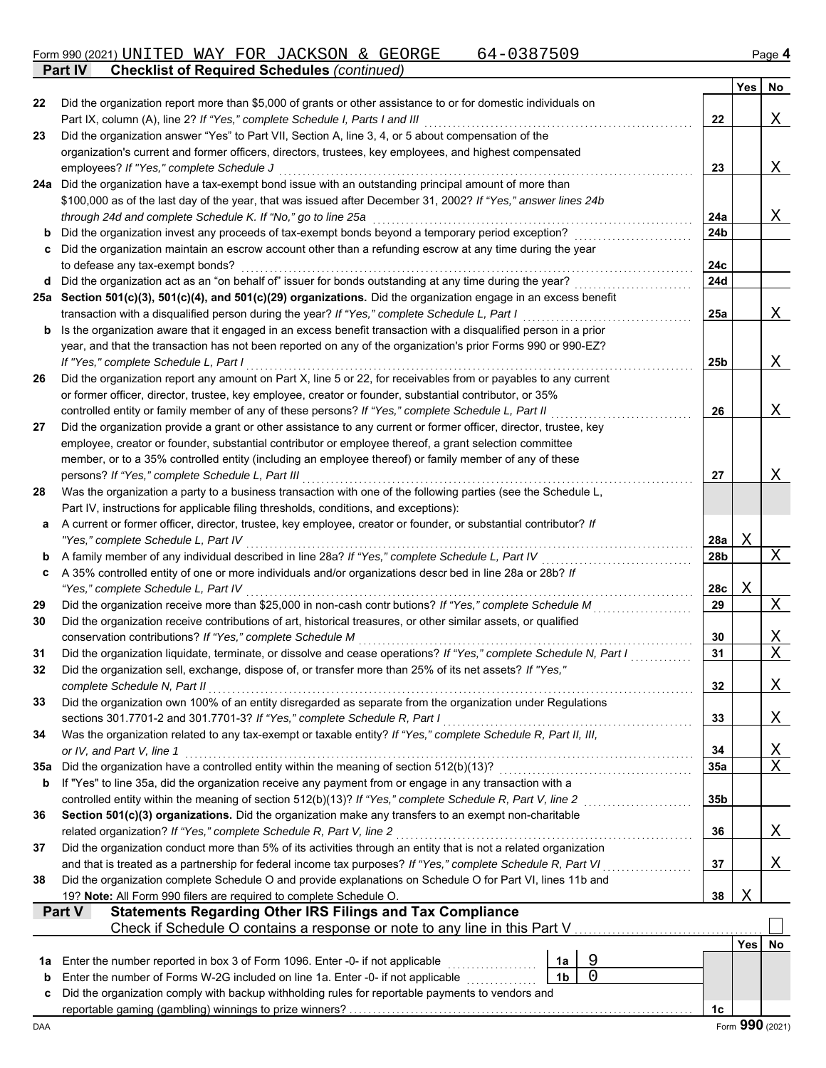**Part IV Checklist of Required Schedules** *(continued)*

|     |                                                                                                                                               |                 | Yes        | No                      |
|-----|-----------------------------------------------------------------------------------------------------------------------------------------------|-----------------|------------|-------------------------|
| 22  | Did the organization report more than \$5,000 of grants or other assistance to or for domestic individuals on                                 |                 |            |                         |
|     | Part IX, column (A), line 2? If "Yes," complete Schedule I, Parts I and III                                                                   | 22              |            | Χ                       |
| 23  | Did the organization answer "Yes" to Part VII, Section A, line 3, 4, or 5 about compensation of the                                           |                 |            |                         |
|     | organization's current and former officers, directors, trustees, key employees, and highest compensated                                       |                 |            |                         |
|     | employees? If "Yes," complete Schedule J                                                                                                      | 23              |            | Χ                       |
|     | 24a Did the organization have a tax-exempt bond issue with an outstanding principal amount of more than                                       |                 |            |                         |
|     | \$100,000 as of the last day of the year, that was issued after December 31, 2002? If "Yes," answer lines 24b                                 |                 |            |                         |
|     | through 24d and complete Schedule K. If "No," go to line 25a                                                                                  | 24a             |            | Χ                       |
| b   | Did the organization invest any proceeds of tax-exempt bonds beyond a temporary period exception?                                             | 24 <sub>b</sub> |            |                         |
| c   | Did the organization maintain an escrow account other than a refunding escrow at any time during the year<br>to defease any tax-exempt bonds? |                 |            |                         |
| d   | Did the organization act as an "on behalf of" issuer for bonds outstanding at any time during the year?                                       | 24c<br>24d      |            |                         |
|     | 25a Section 501(c)(3), 501(c)(4), and 501(c)(29) organizations. Did the organization engage in an excess benefit                              |                 |            |                         |
|     | transaction with a disqualified person during the year? If "Yes," complete Schedule L, Part I                                                 | 25a             |            | Χ                       |
| b   | Is the organization aware that it engaged in an excess benefit transaction with a disqualified person in a prior                              |                 |            |                         |
|     | year, and that the transaction has not been reported on any of the organization's prior Forms 990 or 990-EZ?                                  |                 |            |                         |
|     | If "Yes," complete Schedule L, Part I                                                                                                         | 25b             |            | Χ                       |
| 26  | Did the organization report any amount on Part X, line 5 or 22, for receivables from or payables to any current                               |                 |            |                         |
|     | or former officer, director, trustee, key employee, creator or founder, substantial contributor, or 35%                                       |                 |            |                         |
|     | controlled entity or family member of any of these persons? If "Yes," complete Schedule L, Part II                                            | 26              |            | Χ                       |
| 27  | Did the organization provide a grant or other assistance to any current or former officer, director, trustee, key                             |                 |            |                         |
|     | employee, creator or founder, substantial contributor or employee thereof, a grant selection committee                                        |                 |            |                         |
|     | member, or to a 35% controlled entity (including an employee thereof) or family member of any of these                                        |                 |            |                         |
|     | persons? If "Yes," complete Schedule L, Part III                                                                                              | 27              |            | Χ                       |
| 28  | Was the organization a party to a business transaction with one of the following parties (see the Schedule L,                                 |                 |            |                         |
|     | Part IV, instructions for applicable filing thresholds, conditions, and exceptions):                                                          |                 |            |                         |
| a   | A current or former officer, director, trustee, key employee, creator or founder, or substantial contributor? If                              |                 |            |                         |
|     | "Yes," complete Schedule L, Part IV                                                                                                           | 28a             | Χ          |                         |
| b   | A family member of any individual described in line 28a? If "Yes," complete Schedule L, Part IV                                               | 28 <sub>b</sub> |            | Χ                       |
| c   | A 35% controlled entity of one or more individuals and/or organizations descr bed in line 28a or 28b? If                                      |                 |            |                         |
|     | "Yes," complete Schedule L, Part IV                                                                                                           | 28c             | Χ          |                         |
| 29  | Did the organization receive more than \$25,000 in non-cash contr butions? If "Yes," complete Schedule M                                      | 29              |            | Χ                       |
| 30  | Did the organization receive contributions of art, historical treasures, or other similar assets, or qualified                                |                 |            |                         |
|     | conservation contributions? If "Yes," complete Schedule M                                                                                     | 30              |            | <u>X</u><br>$\mathbf X$ |
| 31  | Did the organization liquidate, terminate, or dissolve and cease operations? If "Yes," complete Schedule N, Part I                            | 31              |            |                         |
| 32  | Did the organization sell, exchange, dispose of, or transfer more than 25% of its net assets? If "Yes,"<br>complete Schedule N, Part II       |                 |            |                         |
| 33  | Did the organization own 100% of an entity disregarded as separate from the organization under Regulations                                    | 32              |            | <u>X</u>                |
|     | sections 301.7701-2 and 301.7701-3? If "Yes," complete Schedule R, Part I                                                                     | 33              |            | Χ                       |
| 34  | Was the organization related to any tax-exempt or taxable entity? If "Yes," complete Schedule R, Part II, III,                                |                 |            |                         |
|     | or IV, and Part V, line 1                                                                                                                     | 34              |            | <u>х</u>                |
| 35a | Did the organization have a controlled entity within the meaning of section 512(b)(13)?                                                       | 35a             |            | $\rm X$                 |
| b   | If "Yes" to line 35a, did the organization receive any payment from or engage in any transaction with a                                       |                 |            |                         |
|     | controlled entity within the meaning of section 512(b)(13)? If "Yes," complete Schedule R, Part V, line 2                                     | 35 <sub>b</sub> |            |                         |
| 36  | Section 501(c)(3) organizations. Did the organization make any transfers to an exempt non-charitable                                          |                 |            |                         |
|     | related organization? If "Yes," complete Schedule R, Part V, line 2                                                                           | 36              |            | Χ                       |
| 37  | Did the organization conduct more than 5% of its activities through an entity that is not a related organization                              |                 |            |                         |
|     | and that is treated as a partnership for federal income tax purposes? If "Yes," complete Schedule R, Part VI                                  | 37              |            | Χ                       |
| 38  | Did the organization complete Schedule O and provide explanations on Schedule O for Part VI, lines 11b and                                    |                 |            |                         |
|     | 19? Note: All Form 990 filers are required to complete Schedule O.                                                                            | 38              | Χ          |                         |
|     | Statements Regarding Other IRS Filings and Tax Compliance<br>Part V                                                                           |                 |            |                         |
|     | Check if Schedule O contains a response or note to any line in this Part V                                                                    |                 |            |                         |
|     |                                                                                                                                               |                 | <b>Yes</b> | No                      |
| 1a  | 9<br>Enter the number reported in box 3 of Form 1096. Enter -0- if not applicable<br>1a                                                       |                 |            |                         |
| b   | $\overline{0}$<br>1 <sub>b</sub><br>Enter the number of Forms W-2G included on line 1a. Enter -0- if not applicable                           |                 |            |                         |
| c   | Did the organization comply with backup withholding rules for reportable payments to vendors and                                              |                 |            |                         |
|     |                                                                                                                                               | 1c              |            | Form 990 (2021)         |
| DAA |                                                                                                                                               |                 |            |                         |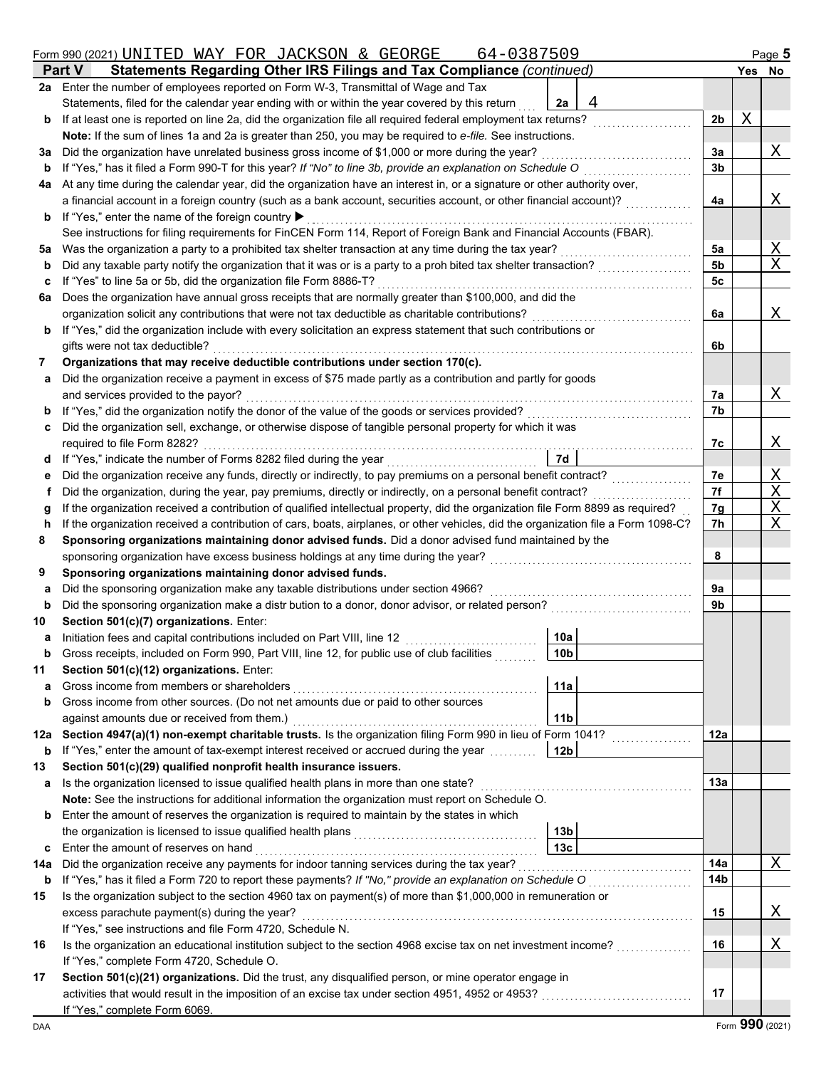| 64-0387509<br>Form 990 (2021) UNITED WAY FOR JACKSON & GEORGE |                                                                                                                                                    |                |   |                 |  |  |
|---------------------------------------------------------------|----------------------------------------------------------------------------------------------------------------------------------------------------|----------------|---|-----------------|--|--|
|                                                               | Statements Regarding Other IRS Filings and Tax Compliance (continued)<br><b>Part V</b>                                                             |                |   | Yes No          |  |  |
| 2a                                                            | Enter the number of employees reported on Form W-3, Transmittal of Wage and Tax                                                                    |                |   |                 |  |  |
|                                                               | Statements, filed for the calendar year ending with or within the year covered by this return<br>4<br>2a                                           |                |   |                 |  |  |
| b                                                             | If at least one is reported on line 2a, did the organization file all required federal employment tax returns?                                     | 2 <sub>b</sub> | Χ |                 |  |  |
|                                                               | Note: If the sum of lines 1a and 2a is greater than 250, you may be required to e-file. See instructions.                                          |                |   |                 |  |  |
| За                                                            | Did the organization have unrelated business gross income of \$1,000 or more during the year?                                                      | За             |   | Χ               |  |  |
| b                                                             | If "Yes," has it filed a Form 990-T for this year? If "No" to line 3b, provide an explanation on Schedule O                                        | 3b             |   |                 |  |  |
| 4a                                                            | At any time during the calendar year, did the organization have an interest in, or a signature or other authority over,                            |                |   |                 |  |  |
|                                                               | a financial account in a foreign country (such as a bank account, securities account, or other financial account)?                                 | 4a             |   | Χ               |  |  |
| b                                                             | If "Yes," enter the name of the foreign country ▶                                                                                                  |                |   |                 |  |  |
|                                                               | See instructions for filing requirements for FinCEN Form 114, Report of Foreign Bank and Financial Accounts (FBAR).                                |                |   |                 |  |  |
| 5a                                                            | Was the organization a party to a prohibited tax shelter transaction at any time during the tax year?                                              | 5a             |   | Χ               |  |  |
| b                                                             | Did any taxable party notify the organization that it was or is a party to a proh bited tax shelter transaction?                                   | 5b             |   | $\mathbf X$     |  |  |
| c                                                             | If "Yes" to line 5a or 5b, did the organization file Form 8886-T?                                                                                  | 5c             |   |                 |  |  |
| 6а                                                            | Does the organization have annual gross receipts that are normally greater than \$100,000, and did the                                             |                |   |                 |  |  |
|                                                               | organization solicit any contributions that were not tax deductible as charitable contributions?                                                   | 6a             |   | Χ               |  |  |
| b                                                             | If "Yes," did the organization include with every solicitation an express statement that such contributions or                                     |                |   |                 |  |  |
|                                                               | gifts were not tax deductible?                                                                                                                     | 6b             |   |                 |  |  |
| 7                                                             | Organizations that may receive deductible contributions under section 170(c).                                                                      |                |   |                 |  |  |
|                                                               |                                                                                                                                                    |                |   |                 |  |  |
| а                                                             | Did the organization receive a payment in excess of \$75 made partly as a contribution and partly for goods<br>and services provided to the payor? |                |   | Χ               |  |  |
|                                                               | If "Yes," did the organization notify the donor of the value of the goods or services provided?                                                    | 7а             |   |                 |  |  |
| b                                                             | Did the organization sell, exchange, or otherwise dispose of tangible personal property for which it was                                           | 7b             |   |                 |  |  |
| c                                                             |                                                                                                                                                    |                |   |                 |  |  |
|                                                               | required to file Form 8282?                                                                                                                        | 7c             |   | Χ               |  |  |
| d                                                             | If "Yes," indicate the number of Forms 8282 filed during the year<br>7d                                                                            |                |   |                 |  |  |
| е                                                             | Did the organization receive any funds, directly or indirectly, to pay premiums on a personal benefit contract?                                    | 7e             |   | Χ               |  |  |
|                                                               | Did the organization, during the year, pay premiums, directly or indirectly, on a personal benefit contract?                                       | 7f             |   | Χ               |  |  |
| g                                                             | If the organization received a contribution of qualified intellectual property, did the organization file Form 8899 as required?                   | 7g             |   | Χ               |  |  |
| h                                                             | If the organization received a contribution of cars, boats, airplanes, or other vehicles, did the organization file a Form 1098-C?                 | 7h             |   | Χ               |  |  |
| 8                                                             | Sponsoring organizations maintaining donor advised funds. Did a donor advised fund maintained by the                                               |                |   |                 |  |  |
|                                                               | sponsoring organization have excess business holdings at any time during the year?                                                                 | 8              |   |                 |  |  |
| 9                                                             | Sponsoring organizations maintaining donor advised funds.                                                                                          |                |   |                 |  |  |
| a                                                             | Did the sponsoring organization make any taxable distributions under section 4966?                                                                 | 9а             |   |                 |  |  |
| $\mathbf b$                                                   | Did the sponsoring organization make a distr bution to a donor, donor advisor, or related person?                                                  | 9b             |   |                 |  |  |
| 10                                                            | Section 501(c)(7) organizations. Enter:                                                                                                            |                |   |                 |  |  |
| а                                                             | 10a<br>Initiation fees and capital contributions included on Part VIII, line 12                                                                    |                |   |                 |  |  |
| b                                                             | Gross receipts, included on Form 990, Part VIII, line 12, for public use of club facilities<br>10 <sub>b</sub>                                     |                |   |                 |  |  |
| 11                                                            | Section 501(c)(12) organizations. Enter:                                                                                                           |                |   |                 |  |  |
| a                                                             | Gross income from members or shareholders<br>11a                                                                                                   |                |   |                 |  |  |
| b                                                             | Gross income from other sources. (Do not net amounts due or paid to other sources                                                                  |                |   |                 |  |  |
|                                                               | against amounts due or received from them.)<br>11 <sub>b</sub>                                                                                     |                |   |                 |  |  |
| 12a                                                           | Section 4947(a)(1) non-exempt charitable trusts. Is the organization filing Form 990 in lieu of Form 1041?                                         | 12a            |   |                 |  |  |
| b                                                             | If "Yes," enter the amount of tax-exempt interest received or accrued during the year <i>[[[[[[[[[[]]</i> ]]<br>12 <sub>b</sub>                    |                |   |                 |  |  |
| 13                                                            | Section 501(c)(29) qualified nonprofit health insurance issuers.                                                                                   |                |   |                 |  |  |
| а                                                             | Is the organization licensed to issue qualified health plans in more than one state?                                                               | 13a            |   |                 |  |  |
|                                                               | Note: See the instructions for additional information the organization must report on Schedule O.                                                  |                |   |                 |  |  |
| b                                                             | Enter the amount of reserves the organization is required to maintain by the states in which                                                       |                |   |                 |  |  |
|                                                               | the organization is licensed to issue qualified health plans<br>13b                                                                                |                |   |                 |  |  |
| c                                                             | 13 <sub>c</sub><br>Enter the amount of reserves on hand                                                                                            |                |   |                 |  |  |
| 14a                                                           | Did the organization receive any payments for indoor tanning services during the tax year?                                                         | 14a            |   | Χ               |  |  |
| b                                                             | If "Yes," has it filed a Form 720 to report these payments? If "No," provide an explanation on Schedule O                                          | 14b            |   |                 |  |  |
| 15                                                            | Is the organization subject to the section 4960 tax on payment(s) of more than \$1,000,000 in remuneration or                                      |                |   |                 |  |  |
|                                                               | excess parachute payment(s) during the year?                                                                                                       | 15             |   | X               |  |  |
|                                                               | If "Yes," see instructions and file Form 4720, Schedule N.                                                                                         |                |   |                 |  |  |
| 16                                                            | Is the organization an educational institution subject to the section 4968 excise tax on net investment income?                                    | 16             |   | Χ               |  |  |
|                                                               | If "Yes," complete Form 4720, Schedule O.                                                                                                          |                |   |                 |  |  |
| 17                                                            | Section 501(c)(21) organizations. Did the trust, any disqualified person, or mine operator engage in                                               |                |   |                 |  |  |
|                                                               | activities that would result in the imposition of an excise tax under section 4951, 4952 or 4953?<br>                                              | 17             |   |                 |  |  |
|                                                               | If "Yes," complete Form 6069.                                                                                                                      |                |   |                 |  |  |
| DAA                                                           |                                                                                                                                                    |                |   | Form 990 (2021) |  |  |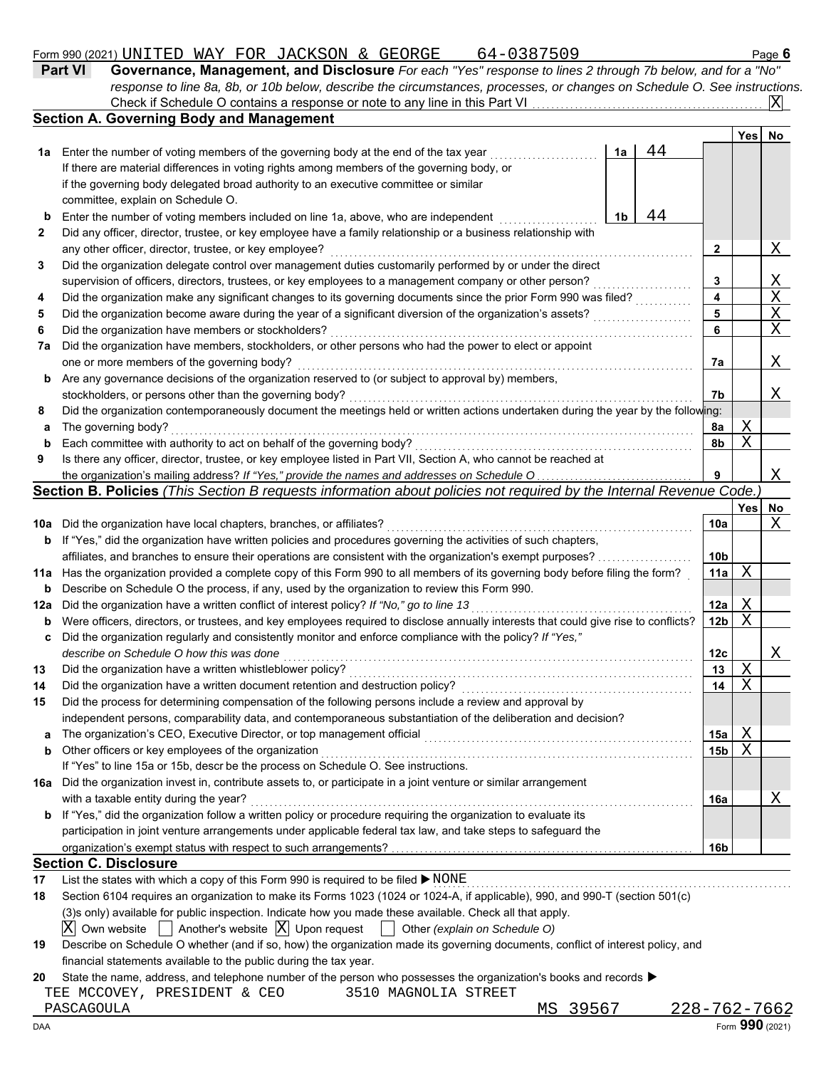# Form 990 (2021) Page **6** UNITED WAY FOR JACKSON & GEORGE 64-0387509

|--|

| <b>Part VI</b> | Governance, Management, and Disclosure For each "Yes" response to lines 2 through 7b below, and for a "No"                |  |
|----------------|---------------------------------------------------------------------------------------------------------------------------|--|
|                | response to line 8a, 8b, or 10b below, describe the circumstances, processes, or changes on Schedule O. See instructions. |  |
|                | Check if Schedule O contains a response or note to any line in this Part VI                                               |  |

|          | <b>Section A. Governing Body and Management</b>                                                                                                                                                                   |    |    |                 | Yes        | <b>No</b> |
|----------|-------------------------------------------------------------------------------------------------------------------------------------------------------------------------------------------------------------------|----|----|-----------------|------------|-----------|
| 1а       | Enter the number of voting members of the governing body at the end of the tax year                                                                                                                               | 1a | 44 |                 |            |           |
|          | If there are material differences in voting rights among members of the governing body, or                                                                                                                        |    |    |                 |            |           |
|          | if the governing body delegated broad authority to an executive committee or similar                                                                                                                              |    |    |                 |            |           |
|          | committee, explain on Schedule O.                                                                                                                                                                                 |    |    |                 |            |           |
| b        | Enter the number of voting members included on line 1a, above, who are independent                                                                                                                                | 1b | 44 |                 |            |           |
| 2        | Did any officer, director, trustee, or key employee have a family relationship or a business relationship with                                                                                                    |    |    |                 |            |           |
|          | any other officer, director, trustee, or key employee?                                                                                                                                                            |    |    | 2               |            | Χ         |
| 3        | Did the organization delegate control over management duties customarily performed by or under the direct                                                                                                         |    |    |                 |            |           |
|          | supervision of officers, directors, trustees, or key employees to a management company or other person?                                                                                                           |    |    | 3               |            | Χ         |
| 4        | Did the organization make any significant changes to its governing documents since the prior Form 990 was filed?                                                                                                  |    |    | 4               |            | X         |
| 5        | Did the organization become aware during the year of a significant diversion of the organization's assets?                                                                                                        |    |    | 5               |            | Χ         |
| 6        | Did the organization have members or stockholders?                                                                                                                                                                |    |    | 6               |            | Χ         |
| 7a       | Did the organization have members, stockholders, or other persons who had the power to elect or appoint                                                                                                           |    |    |                 |            |           |
|          | one or more members of the governing body?                                                                                                                                                                        |    |    | 7а              |            | Χ         |
| b        | Are any governance decisions of the organization reserved to (or subject to approval by) members,                                                                                                                 |    |    |                 |            |           |
|          | stockholders, or persons other than the governing body?                                                                                                                                                           |    |    | 7b              |            | Χ         |
| 8        | Did the organization contemporaneously document the meetings held or written actions undertaken during the year by the following:                                                                                 |    |    |                 |            |           |
| a        | The governing body?                                                                                                                                                                                               |    |    | 8a              | Χ          |           |
| b        | Each committee with authority to act on behalf of the governing body?                                                                                                                                             |    |    | 8b              | Χ          |           |
| 9        | Is there any officer, director, trustee, or key employee listed in Part VII, Section A, who cannot be reached at                                                                                                  |    |    |                 |            |           |
|          | the organization's mailing address? If "Yes," provide the names and addresses on Schedule O                                                                                                                       |    |    | 9               |            | Χ         |
|          | Section B. Policies (This Section B requests information about policies not required by the Internal Revenue Code.)                                                                                               |    |    |                 |            |           |
|          |                                                                                                                                                                                                                   |    |    |                 | <b>Yes</b> | No        |
| 10a      | Did the organization have local chapters, branches, or affiliates?                                                                                                                                                |    |    | 10a             |            | Χ         |
| b        | If "Yes," did the organization have written policies and procedures governing the activities of such chapters,                                                                                                    |    |    |                 |            |           |
|          | affiliates, and branches to ensure their operations are consistent with the organization's exempt purposes?                                                                                                       |    |    | 10b             |            |           |
| 11a      | Has the organization provided a complete copy of this Form 990 to all members of its governing body before filing the form?                                                                                       |    |    | 11a             | Χ          |           |
| b        | Describe on Schedule O the process, if any, used by the organization to review this Form 990.                                                                                                                     |    |    |                 |            |           |
| 12a      | Did the organization have a written conflict of interest policy? If "No," go to line 13                                                                                                                           |    |    | 12a             | Χ          |           |
| b        | Were officers, directors, or trustees, and key employees required to disclose annually interests that could give rise to conflicts?                                                                               |    |    | 12 <sub>b</sub> | X          |           |
| c        | Did the organization regularly and consistently monitor and enforce compliance with the policy? If "Yes,"                                                                                                         |    |    |                 |            |           |
|          | describe on Schedule O how this was done                                                                                                                                                                          |    |    | 12 <sub>c</sub> |            | Χ         |
| 13       | Did the organization have a written whistleblower policy?                                                                                                                                                         |    |    | 13              | X          |           |
| 14       | Did the organization have a written document retention and destruction policy?                                                                                                                                    |    |    | 14              | Χ          |           |
| 15       | Did the process for determining compensation of the following persons include a review and approval by                                                                                                            |    |    |                 |            |           |
|          | independent persons, comparability data, and contemporaneous substantiation of the deliberation and decision?                                                                                                     |    |    |                 |            |           |
|          |                                                                                                                                                                                                                   |    |    | 15a             | Χ          |           |
|          |                                                                                                                                                                                                                   |    |    |                 |            |           |
| a        | The organization's CEO, Executive Director, or top management official                                                                                                                                            |    |    |                 |            |           |
| b        | Other officers or key employees of the organization                                                                                                                                                               |    |    | 15b             | Χ          |           |
|          | If "Yes" to line 15a or 15b, descr be the process on Schedule O. See instructions.                                                                                                                                |    |    |                 |            |           |
| 16a      | Did the organization invest in, contribute assets to, or participate in a joint venture or similar arrangement                                                                                                    |    |    |                 |            |           |
|          | with a taxable entity during the year?                                                                                                                                                                            |    |    | 16a             |            | Χ         |
| b        | If "Yes," did the organization follow a written policy or procedure requiring the organization to evaluate its                                                                                                    |    |    |                 |            |           |
|          | participation in joint venture arrangements under applicable federal tax law, and take steps to safeguard the                                                                                                     |    |    |                 |            |           |
|          |                                                                                                                                                                                                                   |    |    | 16b             |            |           |
|          | <b>Section C. Disclosure</b>                                                                                                                                                                                      |    |    |                 |            |           |
| 17<br>18 | List the states with which a copy of this Form 990 is required to be filed ▶ NONE<br>Section 6104 requires an organization to make its Forms 1023 (1024 or 1024-A, if applicable), 990, and 990-T (section 501(c) |    |    |                 |            |           |

 $\overline{\mathrm{X}}$  Own website  $\Box$  Another's website  $\overline{\mathrm{X}}$  Upon request  $\Box$  Other *(explain on Schedule O)* 

| 19 Describe on Schedule O whether (and if so, how) the organization made its governing documents, conflict of interest policy, and |  |  |
|------------------------------------------------------------------------------------------------------------------------------------|--|--|
| financial statements available to the public during the tax year.                                                                  |  |  |

**20** State the name, address, and telephone number of the person who possesses the organization's books and records  $\blacktriangleright$ 

|  |  | TEE MCCOVEY, PRESIDENT & CEO |  |  |  | 3510 MAGNOLIA STREET |  |
|--|--|------------------------------|--|--|--|----------------------|--|
|--|--|------------------------------|--|--|--|----------------------|--|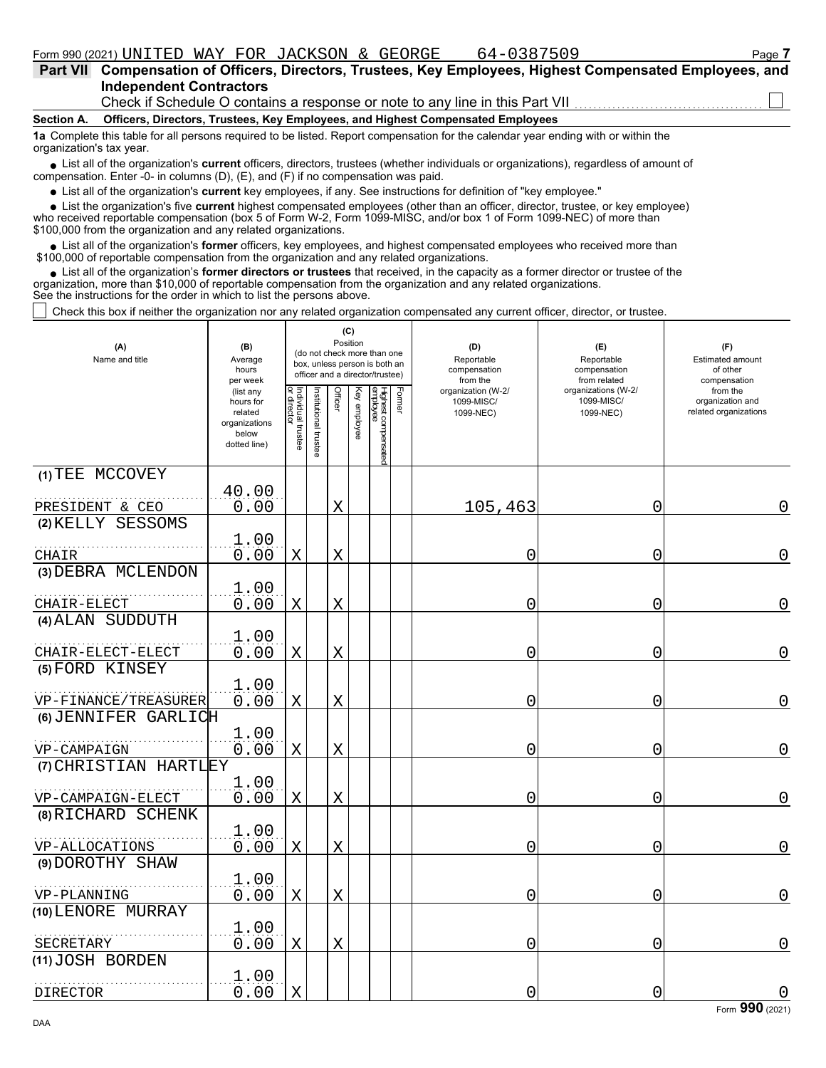|                                                                                                                                   | Part VII Compensation of Officers, Directors, Trustees, Key Employees, Highest Compensated Employees, and |
|-----------------------------------------------------------------------------------------------------------------------------------|-----------------------------------------------------------------------------------------------------------|
|                                                                                                                                   | <b>Independent Contractors</b>                                                                            |
|                                                                                                                                   | Check if Schedule O contains a response or note to any line in this Part VII <i>CHARG CONGLIGE</i>        |
|                                                                                                                                   | Section A. Officers, Directors, Trustees, Key Employees, and Highest Compensated Employees                |
| 1a Complete this table for all persons required to be listed. Report compensation for the calendar year ending with or within the |                                                                                                           |

■ List all of the organization's **current** officers, directors, trustees (whether individuals or organizations), regardless of amount of compensation. Enter -0- in columns (D), (E), and (F) if no compensation was paid.

List all of the organization's **current** key employees, if any. See instructions for definition of "key employee."

■ List all of the organization's **current** key employees, if any. See instructions for definition of "key employee."<br>■ List the organization's five **current** highest compensated employees (other than an officer, director,

who received reportable compensation (box 5 of Form W-2, Form 1099-MISC, and/or box 1 of Form 1099-NEC) of more than \$100,000 from the organization and any related organizations.

• List all of the organization's **former** officers, key employees, and highest compensated employees who received more than<br>00,000 of reportable compensation from the organization and any related erganizations. \$100,000 of reportable compensation from the organization and any related organizations.

• List all of the organization's **former directors or trustees** that received, in the capacity as a former director or trustee of the anization more than \$10,000 of reportable compensation from the organization and any rel organization, more than \$10,000 of reportable compensation from the organization and any related organizations. See the instructions for the order in which to list the persons above.

Check this box if neither the organization nor any related organization compensated any current officer, director, or trustee.

| (A)<br>Name and title                | (B)<br>Average<br>hours<br>per week                                         |                                                |                      | (C)<br>Position |              | (do not check more than one<br>box, unless person is both an<br>officer and a director/trustee) |        | (D)<br>Reportable<br>compensation<br>from the | (E)<br>Reportable<br>compensation<br>from related | (F)<br><b>Estimated amount</b><br>of other<br>compensation |  |
|--------------------------------------|-----------------------------------------------------------------------------|------------------------------------------------|----------------------|-----------------|--------------|-------------------------------------------------------------------------------------------------|--------|-----------------------------------------------|---------------------------------------------------|------------------------------------------------------------|--|
|                                      | (list any<br>hours for<br>related<br>organizations<br>below<br>dotted line) | Individual trustee<br> or director<br>director | nstitutional trustee | Officer         | Key employee | Highest compensated<br>employee                                                                 | Former | organization (W-2/<br>1099-MISC/<br>1099-NEC) | organizations (W-2/<br>1099-MISC/<br>1099-NEC)    | from the<br>organization and<br>related organizations      |  |
| (1) TEE MCCOVEY<br>PRESIDENT & CEO   | 40.00<br>0.00                                                               |                                                |                      | $\mathbf X$     |              |                                                                                                 |        | 105,463                                       | 0                                                 | 0                                                          |  |
| (2) KELLY SESSOMS                    | 1.00                                                                        |                                                |                      |                 |              |                                                                                                 |        |                                               |                                                   |                                                            |  |
| CHAIR<br>(3) DEBRA MCLENDON          | 0.00                                                                        | Χ                                              |                      | X               |              |                                                                                                 |        | 0                                             | 0                                                 | 0                                                          |  |
| CHAIR-ELECT                          | 1.00<br>0.00                                                                | X                                              |                      | Χ               |              |                                                                                                 |        | 0                                             | 0                                                 | 0                                                          |  |
| (4) ALAN SUDDUTH                     | 1.00                                                                        |                                                |                      |                 |              |                                                                                                 |        |                                               |                                                   |                                                            |  |
| CHAIR-ELECT-ELECT<br>(5) FORD KINSEY | 0.00                                                                        | X                                              |                      | X               |              |                                                                                                 |        | 0                                             | 0                                                 | 0                                                          |  |
| VP-FINANCE/TREASURER                 | 1.00<br>0.00                                                                | X                                              |                      | X               |              |                                                                                                 |        | 0                                             | 0                                                 | 0                                                          |  |
| (6) JENNIFER GARLICH                 | 1.00                                                                        |                                                |                      |                 |              |                                                                                                 |        |                                               |                                                   |                                                            |  |
| VP-CAMPAIGN<br>(7) CHRISTIAN HARTLEY | 0.00                                                                        | X                                              |                      | X               |              |                                                                                                 |        | 0                                             | $\overline{0}$                                    | 0                                                          |  |
| VP-CAMPAIGN-ELECT                    | 1.00<br>0.00                                                                | X                                              |                      | $\mathbf X$     |              |                                                                                                 |        | 0                                             | 0                                                 | 0                                                          |  |
| (8) RICHARD SCHENK                   | 1.00                                                                        |                                                |                      |                 |              |                                                                                                 |        |                                               |                                                   |                                                            |  |
| VP-ALLOCATIONS<br>(9) DOROTHY SHAW   | 0.00                                                                        | Χ                                              |                      | $\mathbf X$     |              |                                                                                                 |        | 0                                             | 0                                                 | 0                                                          |  |
| VP-PLANNING                          | 1.00<br>0.00                                                                | X                                              |                      | X               |              |                                                                                                 |        | 0                                             | 0                                                 | 0                                                          |  |
| (10) LENORE MURRAY                   | 1.00                                                                        |                                                |                      |                 |              |                                                                                                 |        |                                               |                                                   |                                                            |  |
| SECRETARY                            | 0.00                                                                        | X                                              |                      | Χ               |              |                                                                                                 |        | 0                                             | 0                                                 | 0                                                          |  |
| (11) JOSH BORDEN                     | 1.00                                                                        |                                                |                      |                 |              |                                                                                                 |        |                                               |                                                   |                                                            |  |
| DIRECTOR                             | 0.00                                                                        | X                                              |                      |                 |              |                                                                                                 |        | 0                                             | 0                                                 | 0                                                          |  |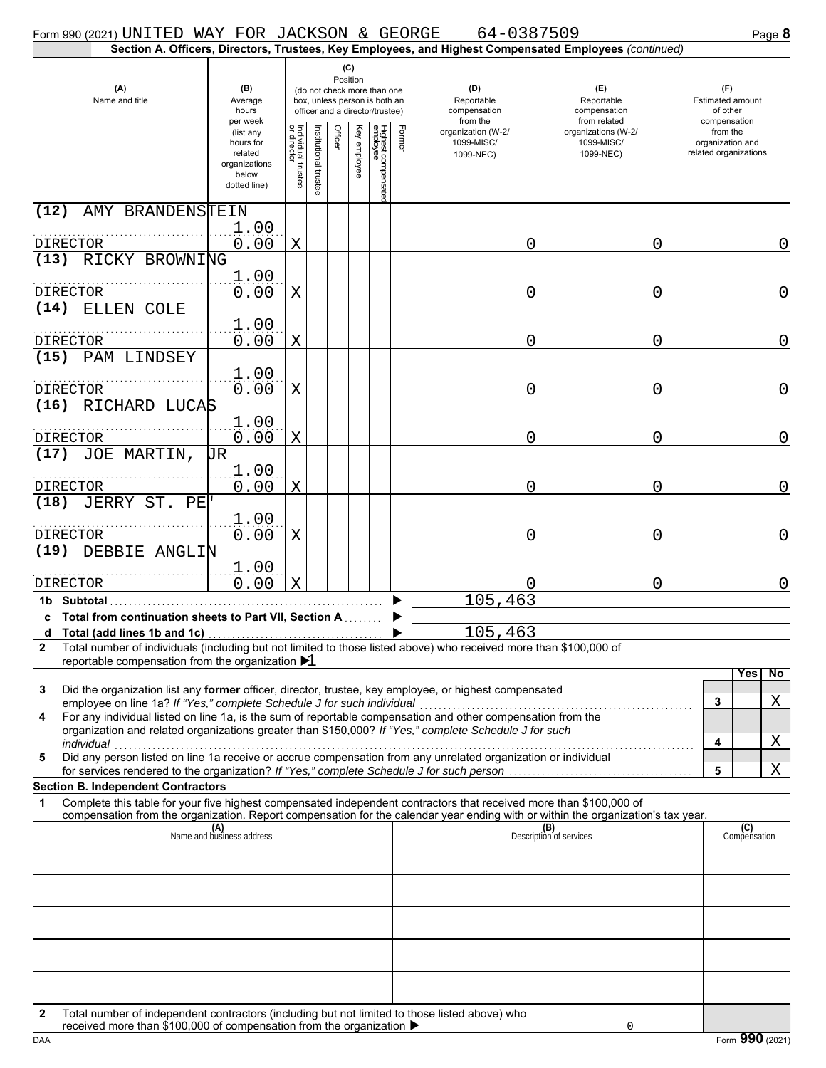| Form 990 (2021) UNITED WAY FOR JACKSON & GEORGE                                                                                                                                                                                                             |                                                                             |                                   |                       |                                                                                                                    |              |                                 |        | 64-0387509                                                                                             |                                                   | Page 8                                                |
|-------------------------------------------------------------------------------------------------------------------------------------------------------------------------------------------------------------------------------------------------------------|-----------------------------------------------------------------------------|-----------------------------------|-----------------------|--------------------------------------------------------------------------------------------------------------------|--------------|---------------------------------|--------|--------------------------------------------------------------------------------------------------------|---------------------------------------------------|-------------------------------------------------------|
|                                                                                                                                                                                                                                                             |                                                                             |                                   |                       |                                                                                                                    |              |                                 |        | Section A. Officers, Directors, Trustees, Key Employees, and Highest Compensated Employees (continued) |                                                   |                                                       |
| (A)<br>Name and title                                                                                                                                                                                                                                       | (B)<br>Average<br>hours<br>per week                                         |                                   |                       | (C)<br>Position<br>(do not check more than one<br>box, unless person is both an<br>officer and a director/trustee) |              |                                 |        | (D)<br>Reportable<br>compensation<br>from the                                                          | (E)<br>Reportable<br>compensation<br>from related | (F)<br>Estimated amount<br>of other<br>compensation   |
|                                                                                                                                                                                                                                                             | (list any<br>hours for<br>related<br>organizations<br>below<br>dotted line) | Individual trustee<br>or director | Institutional trustee | Officer                                                                                                            | Key employee | Highest compensatec<br>employee | Former | organization (W-2/<br>1099-MISC/<br>1099-NEC)                                                          | organizations (W-2/<br>1099-MISC/<br>1099-NEC)    | from the<br>organization and<br>related organizations |
| (12)<br>AMY BRANDENSTEIN                                                                                                                                                                                                                                    | 1.00                                                                        |                                   |                       |                                                                                                                    |              |                                 |        |                                                                                                        |                                                   |                                                       |
| DIRECTOR                                                                                                                                                                                                                                                    | 0.00                                                                        | X                                 |                       |                                                                                                                    |              |                                 |        | 0                                                                                                      | 0                                                 | 0                                                     |
| (13) RICKY BROWNING                                                                                                                                                                                                                                         |                                                                             |                                   |                       |                                                                                                                    |              |                                 |        |                                                                                                        |                                                   |                                                       |
| <b>DIRECTOR</b>                                                                                                                                                                                                                                             | 1.00<br>0.00                                                                | X                                 |                       |                                                                                                                    |              |                                 |        | 0                                                                                                      | 0                                                 | $\mathbf 0$                                           |
| (14)<br>ELLEN COLE                                                                                                                                                                                                                                          |                                                                             |                                   |                       |                                                                                                                    |              |                                 |        |                                                                                                        |                                                   |                                                       |
| <b>DIRECTOR</b>                                                                                                                                                                                                                                             | 1.00<br>0.00                                                                | X                                 |                       |                                                                                                                    |              |                                 |        | 0                                                                                                      | 0                                                 | $\overline{0}$                                        |
| PAM LINDSEY<br>(15)                                                                                                                                                                                                                                         |                                                                             |                                   |                       |                                                                                                                    |              |                                 |        |                                                                                                        |                                                   |                                                       |
|                                                                                                                                                                                                                                                             | 1.00<br>0.00                                                                |                                   |                       |                                                                                                                    |              |                                 |        | 0                                                                                                      | 0                                                 | $\overline{0}$                                        |
| DIRECTOR<br>(16) RICHARD LUCAS                                                                                                                                                                                                                              |                                                                             | X                                 |                       |                                                                                                                    |              |                                 |        |                                                                                                        |                                                   |                                                       |
| <b>DIRECTOR</b>                                                                                                                                                                                                                                             | 1.00<br>0.00                                                                | X                                 |                       |                                                                                                                    |              |                                 |        | 0                                                                                                      | 0                                                 | $\overline{0}$                                        |
| JOE MARTIN,<br>(17)                                                                                                                                                                                                                                         | UR                                                                          |                                   |                       |                                                                                                                    |              |                                 |        |                                                                                                        |                                                   |                                                       |
| <b>DIRECTOR</b>                                                                                                                                                                                                                                             | 1.00<br>0.00                                                                | X                                 |                       |                                                                                                                    |              |                                 |        | 0                                                                                                      | 0                                                 | $\overline{0}$                                        |
| JERRY ST.<br>(18)<br>PE                                                                                                                                                                                                                                     |                                                                             |                                   |                       |                                                                                                                    |              |                                 |        |                                                                                                        |                                                   |                                                       |
| DIRECTOR                                                                                                                                                                                                                                                    | 1.00<br>0.00                                                                | X                                 |                       |                                                                                                                    |              |                                 |        | 0                                                                                                      | 0                                                 | $\mathbf 0$                                           |
| (19) DEBBIE ANGLIN                                                                                                                                                                                                                                          |                                                                             |                                   |                       |                                                                                                                    |              |                                 |        |                                                                                                        |                                                   |                                                       |
|                                                                                                                                                                                                                                                             | 1.00                                                                        |                                   |                       |                                                                                                                    |              |                                 |        |                                                                                                        |                                                   |                                                       |
| DIRECTOR                                                                                                                                                                                                                                                    | 0.00                                                                        | Χ                                 |                       |                                                                                                                    |              |                                 |        |                                                                                                        | 0                                                 | $\mathbf 0$                                           |
| 1b Subtotal<br>c Total from continuation sheets to Part VII, Section A                                                                                                                                                                                      |                                                                             |                                   |                       |                                                                                                                    |              |                                 |        | 105,463                                                                                                |                                                   |                                                       |
| d Total (add lines 1b and 1c)                                                                                                                                                                                                                               |                                                                             |                                   |                       |                                                                                                                    |              |                                 |        | 105,463                                                                                                |                                                   |                                                       |
| Total number of individuals (including but not limited to those listed above) who received more than \$100,000 of<br>2                                                                                                                                      |                                                                             |                                   |                       |                                                                                                                    |              |                                 |        |                                                                                                        |                                                   |                                                       |
| reportable compensation from the organization $\blacktriangleright$ 1                                                                                                                                                                                       |                                                                             |                                   |                       |                                                                                                                    |              |                                 |        |                                                                                                        |                                                   | <b>Yes</b><br>No                                      |
| Did the organization list any former officer, director, trustee, key employee, or highest compensated<br>3<br>employee on line 1a? If "Yes," complete Schedule J for such individual                                                                        |                                                                             |                                   |                       |                                                                                                                    |              |                                 |        |                                                                                                        |                                                   | Χ<br>3                                                |
| For any individual listed on line 1a, is the sum of reportable compensation and other compensation from the<br>4<br>organization and related organizations greater than \$150,000? If "Yes," complete Schedule J for such<br>individual                     |                                                                             |                                   |                       |                                                                                                                    |              |                                 |        |                                                                                                        |                                                   | <u>X</u><br>4                                         |
| Did any person listed on line 1a receive or accrue compensation from any unrelated organization or individual<br>5                                                                                                                                          |                                                                             |                                   |                       |                                                                                                                    |              |                                 |        |                                                                                                        |                                                   |                                                       |
| for services rendered to the organization? If "Yes," complete Schedule J for such person<br><b>Section B. Independent Contractors</b>                                                                                                                       |                                                                             |                                   |                       |                                                                                                                    |              |                                 |        |                                                                                                        |                                                   | Χ<br>5                                                |
| Complete this table for your five highest compensated independent contractors that received more than \$100,000 of<br>1<br>compensation from the organization. Report compensation for the calendar year ending with or within the organization's tax year. |                                                                             |                                   |                       |                                                                                                                    |              |                                 |        |                                                                                                        |                                                   |                                                       |
|                                                                                                                                                                                                                                                             | (A)<br>Name and business address                                            |                                   |                       |                                                                                                                    |              |                                 |        |                                                                                                        | (B)<br>Description of services                    | (C)<br>Compensation                                   |
|                                                                                                                                                                                                                                                             |                                                                             |                                   |                       |                                                                                                                    |              |                                 |        |                                                                                                        |                                                   |                                                       |
|                                                                                                                                                                                                                                                             |                                                                             |                                   |                       |                                                                                                                    |              |                                 |        |                                                                                                        |                                                   |                                                       |
|                                                                                                                                                                                                                                                             |                                                                             |                                   |                       |                                                                                                                    |              |                                 |        |                                                                                                        |                                                   |                                                       |
|                                                                                                                                                                                                                                                             |                                                                             |                                   |                       |                                                                                                                    |              |                                 |        |                                                                                                        |                                                   |                                                       |
|                                                                                                                                                                                                                                                             |                                                                             |                                   |                       |                                                                                                                    |              |                                 |        |                                                                                                        |                                                   |                                                       |
| Total number of independent contractors (including but not limited to those listed above) who<br>2<br>received more than \$100,000 of compensation from the organization ▶                                                                                  |                                                                             |                                   |                       |                                                                                                                    |              |                                 |        |                                                                                                        | $\Omega$                                          |                                                       |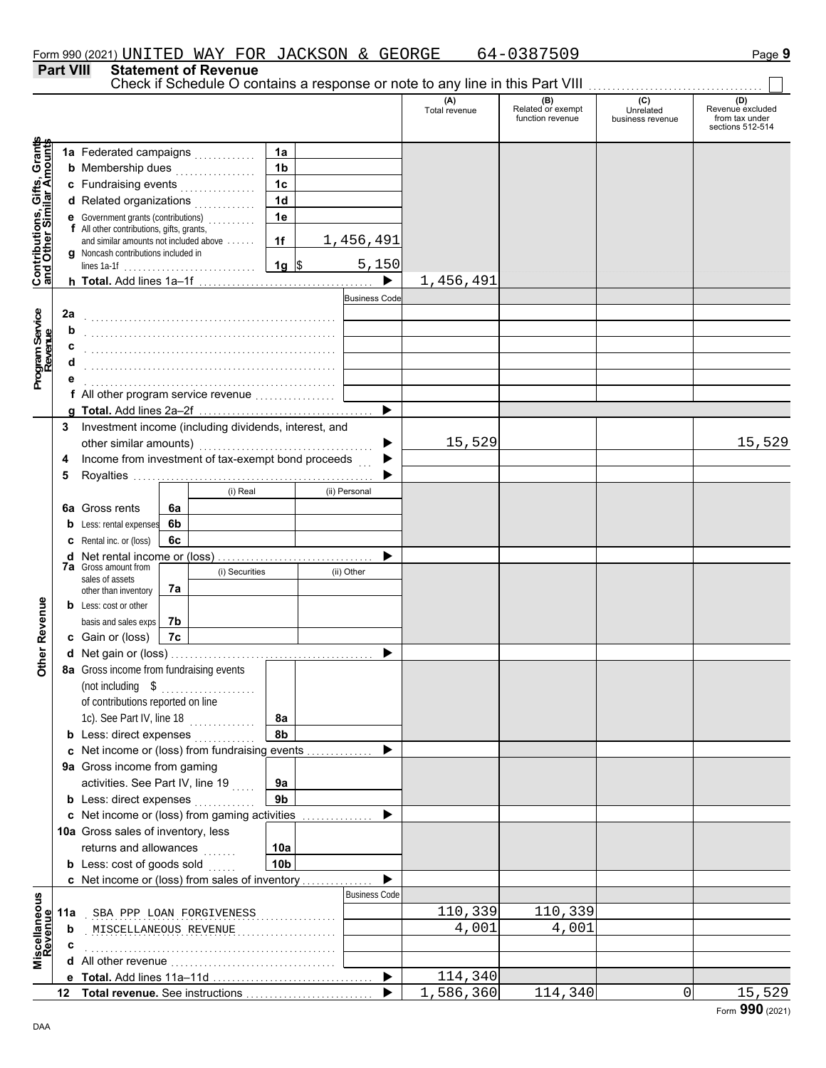# **Part VIII Statement of Revenue**

Check if Schedule O contains a response or note to any line in this Part VIII ................................

|                                                                  |     |                                                                                    |                        |                      | (A)<br>Total revenue | (B)<br>Related or exempt<br>function revenue | (C)<br>Unrelated<br>business revenue | (D)<br>Revenue excluded<br>from tax under |
|------------------------------------------------------------------|-----|------------------------------------------------------------------------------------|------------------------|----------------------|----------------------|----------------------------------------------|--------------------------------------|-------------------------------------------|
|                                                                  |     |                                                                                    |                        |                      |                      |                                              |                                      | sections 512-514                          |
|                                                                  |     | 1a Federated campaigns                                                             | 1a                     |                      |                      |                                              |                                      |                                           |
|                                                                  |     | <b>b</b> Membership dues<br>.                                                      | 1 <sub>b</sub>         |                      |                      |                                              |                                      |                                           |
|                                                                  |     | c Fundraising events                                                               | 1 <sub>c</sub>         |                      |                      |                                              |                                      |                                           |
|                                                                  |     | d Related organizations                                                            | 1 <sub>d</sub>         |                      |                      |                                              |                                      |                                           |
|                                                                  |     | e Government grants (contributions)                                                | 1e                     |                      |                      |                                              |                                      |                                           |
|                                                                  |     | f All other contributions, gifts, grants,                                          |                        |                      |                      |                                              |                                      |                                           |
|                                                                  |     | and similar amounts not included above                                             | 1f                     | 1,456,491            |                      |                                              |                                      |                                           |
|                                                                  |     | <b>g</b> Noncash contributions included in                                         | $1g$ \$                | 5,150                |                      |                                              |                                      |                                           |
| <b>Contributions, Gifts, Grants</b><br>and Other Similar Amounts |     |                                                                                    |                        |                      | 1,456,491            |                                              |                                      |                                           |
|                                                                  |     |                                                                                    |                        | <b>Business Code</b> |                      |                                              |                                      |                                           |
|                                                                  | 2a  |                                                                                    |                        |                      |                      |                                              |                                      |                                           |
|                                                                  | b   |                                                                                    |                        |                      |                      |                                              |                                      |                                           |
| Program Service<br>Revenue                                       | с   |                                                                                    |                        |                      |                      |                                              |                                      |                                           |
|                                                                  |     |                                                                                    |                        |                      |                      |                                              |                                      |                                           |
|                                                                  |     |                                                                                    |                        |                      |                      |                                              |                                      |                                           |
|                                                                  |     | f All other program service revenue                                                |                        |                      |                      |                                              |                                      |                                           |
|                                                                  |     |                                                                                    |                        |                      |                      |                                              |                                      |                                           |
|                                                                  | 3   | Investment income (including dividends, interest, and                              |                        |                      |                      |                                              |                                      |                                           |
|                                                                  |     |                                                                                    |                        |                      | 15,529               |                                              |                                      | 15,529                                    |
|                                                                  | 4   | Income from investment of tax-exempt bond proceeds                                 |                        |                      |                      |                                              |                                      |                                           |
|                                                                  | 5   |                                                                                    |                        |                      |                      |                                              |                                      |                                           |
|                                                                  |     | (i) Real                                                                           |                        | (ii) Personal        |                      |                                              |                                      |                                           |
|                                                                  |     | <b>6a</b> Gross rents<br>6a                                                        |                        |                      |                      |                                              |                                      |                                           |
|                                                                  | b   | 6b<br>Less: rental expenses                                                        |                        |                      |                      |                                              |                                      |                                           |
|                                                                  |     | 6с<br><b>c</b> Rental inc. or (loss)                                               |                        |                      |                      |                                              |                                      |                                           |
|                                                                  |     |                                                                                    |                        |                      |                      |                                              |                                      |                                           |
|                                                                  |     | <b>7a</b> Gross amount from<br>(i) Securities                                      |                        | (ii) Other           |                      |                                              |                                      |                                           |
|                                                                  |     | sales of assets                                                                    |                        |                      |                      |                                              |                                      |                                           |
|                                                                  |     | 7a<br>other than inventory<br><b>b</b> Less: cost or other                         |                        |                      |                      |                                              |                                      |                                           |
| Other Revenue                                                    |     | basis and sales exps<br>7b                                                         |                        |                      |                      |                                              |                                      |                                           |
|                                                                  |     | c Gain or (loss)<br>7c                                                             |                        |                      |                      |                                              |                                      |                                           |
|                                                                  |     |                                                                                    |                        |                      |                      |                                              |                                      |                                           |
|                                                                  |     | 8a Gross income from fundraising events                                            |                        |                      |                      |                                              |                                      |                                           |
|                                                                  |     |                                                                                    |                        |                      |                      |                                              |                                      |                                           |
|                                                                  |     | (not including $\quad \text{\$} \quad \ldots$<br>of contributions reported on line |                        |                      |                      |                                              |                                      |                                           |
|                                                                  |     |                                                                                    |                        |                      |                      |                                              |                                      |                                           |
|                                                                  |     | 1c). See Part IV, line 18                                                          | 8a                     |                      |                      |                                              |                                      |                                           |
|                                                                  |     | <b>b</b> Less: direct expenses                                                     | 8b                     |                      |                      |                                              |                                      |                                           |
|                                                                  |     | c Net income or (loss) from fundraising events                                     |                        |                      |                      |                                              |                                      |                                           |
|                                                                  |     | 9a Gross income from gaming                                                        |                        |                      |                      |                                              |                                      |                                           |
|                                                                  |     | activities. See Part IV, line 19                                                   | 9a                     |                      |                      |                                              |                                      |                                           |
|                                                                  |     | <b>b</b> Less: direct expenses                                                     | 9 <sub>b</sub>         |                      |                      |                                              |                                      |                                           |
|                                                                  |     | c Net income or (loss) from gaming activities                                      |                        | .                    |                      |                                              |                                      |                                           |
|                                                                  |     | 10a Gross sales of inventory, less<br>returns and allowances                       |                        |                      |                      |                                              |                                      |                                           |
|                                                                  |     | .<br><b>b</b> Less: cost of goods sold                                             | 10a<br>10 <sub>b</sub> |                      |                      |                                              |                                      |                                           |
|                                                                  |     | c Net income or (loss) from sales of inventory                                     |                        |                      |                      |                                              |                                      |                                           |
|                                                                  |     |                                                                                    |                        | <b>Business Code</b> |                      |                                              |                                      |                                           |
| Miscellaneous<br>Revenue                                         |     |                                                                                    |                        |                      | 110,339              | 110,339                                      |                                      |                                           |
|                                                                  | 11a | SBA PPP LOAN FORGIVENESS                                                           |                        |                      | 4,001                | 4,001                                        |                                      |                                           |
|                                                                  | b   | MISCELLANEOUS REVENUE                                                              |                        |                      |                      |                                              |                                      |                                           |
|                                                                  |     |                                                                                    |                        |                      |                      |                                              |                                      |                                           |
|                                                                  |     |                                                                                    |                        |                      | 114,340              |                                              |                                      |                                           |
|                                                                  |     |                                                                                    |                        |                      | 1,586,360            | 114,340                                      | $\mathbf 0$                          |                                           |
|                                                                  |     |                                                                                    |                        |                      |                      |                                              |                                      | 15,529                                    |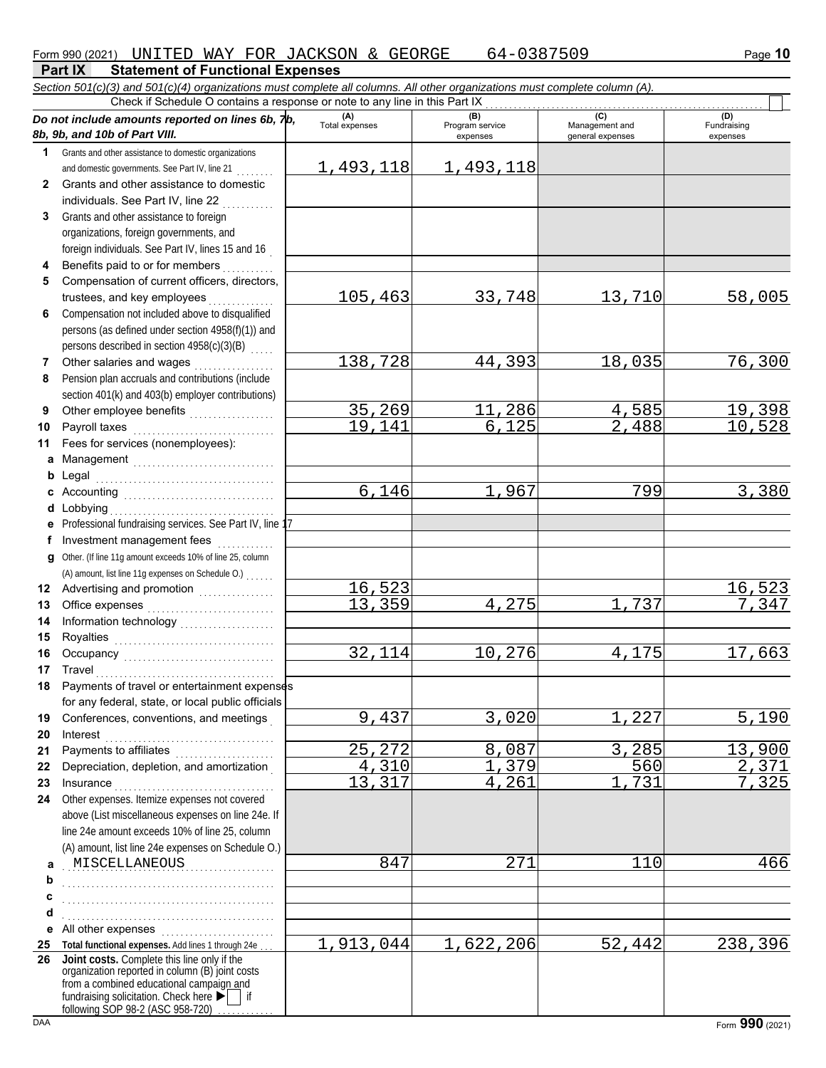#### **Part IX Statement of Functional Expenses** *Section 501(c)(3) and 501(c)(4) organizations must complete all columns. All other organizations must complete column (A).*

|              | Check if Schedule O contains a response or note to any line in this Part IX<br>Do not include amounts reported on lines 6b, 7b,<br>8b, 9b, and 10b of Part VIII.                             | (A)<br><b>Total expenses</b> | (B)<br>Program service<br>expenses | (C)<br>Management and<br>general expenses | (D)<br>Fundraising<br>expenses |
|--------------|----------------------------------------------------------------------------------------------------------------------------------------------------------------------------------------------|------------------------------|------------------------------------|-------------------------------------------|--------------------------------|
| 1.           | Grants and other assistance to domestic organizations                                                                                                                                        |                              |                                    |                                           |                                |
|              | and domestic governments. See Part IV, line 21                                                                                                                                               | 1,493,118                    | 1,493,118                          |                                           |                                |
| $\mathbf{2}$ | Grants and other assistance to domestic                                                                                                                                                      |                              |                                    |                                           |                                |
|              | individuals. See Part IV, line 22                                                                                                                                                            |                              |                                    |                                           |                                |
| 3            | Grants and other assistance to foreign                                                                                                                                                       |                              |                                    |                                           |                                |
|              | organizations, foreign governments, and                                                                                                                                                      |                              |                                    |                                           |                                |
|              | foreign individuals. See Part IV, lines 15 and 16                                                                                                                                            |                              |                                    |                                           |                                |
| 4            | Benefits paid to or for members                                                                                                                                                              |                              |                                    |                                           |                                |
| 5            | Compensation of current officers, directors,                                                                                                                                                 |                              |                                    |                                           |                                |
|              | trustees, and key employees                                                                                                                                                                  | 105,463                      | 33,748                             | 13,710                                    | 58,005                         |
| 6            | Compensation not included above to disqualified<br>persons (as defined under section 4958(f)(1)) and                                                                                         |                              |                                    |                                           |                                |
|              | persons described in section 4958(c)(3)(B)                                                                                                                                                   |                              |                                    |                                           |                                |
| 7            | Other salaries and wages                                                                                                                                                                     | 138,728                      | 44,393                             | 18,035                                    | 76,300                         |
| 8            | Pension plan accruals and contributions (include                                                                                                                                             |                              |                                    |                                           |                                |
|              | section 401(k) and 403(b) employer contributions)                                                                                                                                            |                              |                                    |                                           |                                |
| 9            | Other employee benefits                                                                                                                                                                      | 35,269                       | ,286<br>11                         | 4,585                                     | 19,398                         |
| 10           | Payroll taxes                                                                                                                                                                                | 19,141                       | 6,125                              | 2,488                                     | 10,528                         |
| 11           | Fees for services (nonemployees):                                                                                                                                                            |                              |                                    |                                           |                                |
| а            | Management                                                                                                                                                                                   |                              |                                    |                                           |                                |
| b            | Legal                                                                                                                                                                                        |                              |                                    |                                           |                                |
| c            |                                                                                                                                                                                              | 6,146                        | 1,967                              | 799                                       | 3,380                          |
| d            | Lobbying                                                                                                                                                                                     |                              |                                    |                                           |                                |
| е            | Professional fundraising services. See Part IV, line 17                                                                                                                                      |                              |                                    |                                           |                                |
| f            | Investment management fees                                                                                                                                                                   |                              |                                    |                                           |                                |
| a            | Other. (If line 11g amount exceeds 10% of line 25, column                                                                                                                                    |                              |                                    |                                           |                                |
|              | (A) amount, list line 11g expenses on Schedule O.)                                                                                                                                           | 16,523                       |                                    |                                           | 16,523                         |
| 12<br>13     | Advertising and promotion<br>                                                                                                                                                                | 13, 359                      | 4,275                              | 737                                       | 7,347                          |
| 14           | Information technology<br>                                                                                                                                                                   |                              |                                    |                                           |                                |
| 15           |                                                                                                                                                                                              |                              |                                    |                                           |                                |
| 16           |                                                                                                                                                                                              | 32,114                       | 10,276                             | 4,175                                     | 17,663                         |
| 17           | Travel                                                                                                                                                                                       |                              |                                    |                                           |                                |
| 18           | Payments of travel or entertainment expenses                                                                                                                                                 |                              |                                    |                                           |                                |
|              | for any federal, state, or local public officials                                                                                                                                            |                              |                                    |                                           |                                |
| 19           | Conferences, conventions, and meetings                                                                                                                                                       | 9,437                        | $\overline{3}$ , 020               | 227                                       | $\overline{5}$ , 190           |
| 20           | Interest                                                                                                                                                                                     |                              |                                    |                                           |                                |
| 21           |                                                                                                                                                                                              | 25,272                       | 8,087                              | 3,285                                     | 13,900                         |
| 22           | Depreciation, depletion, and amortization                                                                                                                                                    | 4,310                        | 1,379                              | 560                                       | 2,371                          |
| 23           | Insurance <i>www.community.community.com</i>                                                                                                                                                 | 13,317                       | 4,261                              | 731                                       | 7,325                          |
| 24           | Other expenses. Itemize expenses not covered                                                                                                                                                 |                              |                                    |                                           |                                |
|              | above (List miscellaneous expenses on line 24e. If                                                                                                                                           |                              |                                    |                                           |                                |
|              | line 24e amount exceeds 10% of line 25, column                                                                                                                                               |                              |                                    |                                           |                                |
|              | (A) amount, list line 24e expenses on Schedule O.)<br>MISCELLANEOUS                                                                                                                          | 847                          | 271                                | 110                                       | 466                            |
| a<br>b       |                                                                                                                                                                                              |                              |                                    |                                           |                                |
| c            |                                                                                                                                                                                              |                              |                                    |                                           |                                |
| d            |                                                                                                                                                                                              |                              |                                    |                                           |                                |
| е            | All other expenses                                                                                                                                                                           |                              |                                    |                                           |                                |
| 25           | Total functional expenses. Add lines 1 through 24e.                                                                                                                                          | 1,913,044                    | 1,622,206                          | 52,442                                    | 238,396                        |
| 26           | Joint costs. Complete this line only if the<br>organization reported in column (B) joint costs<br>from a combined educational campaign and<br>fundraising solicitation. Check here ▶<br>∣ if |                              |                                    |                                           |                                |

following SOP 98-2 (ASC 958-720) . . . . . . . . . .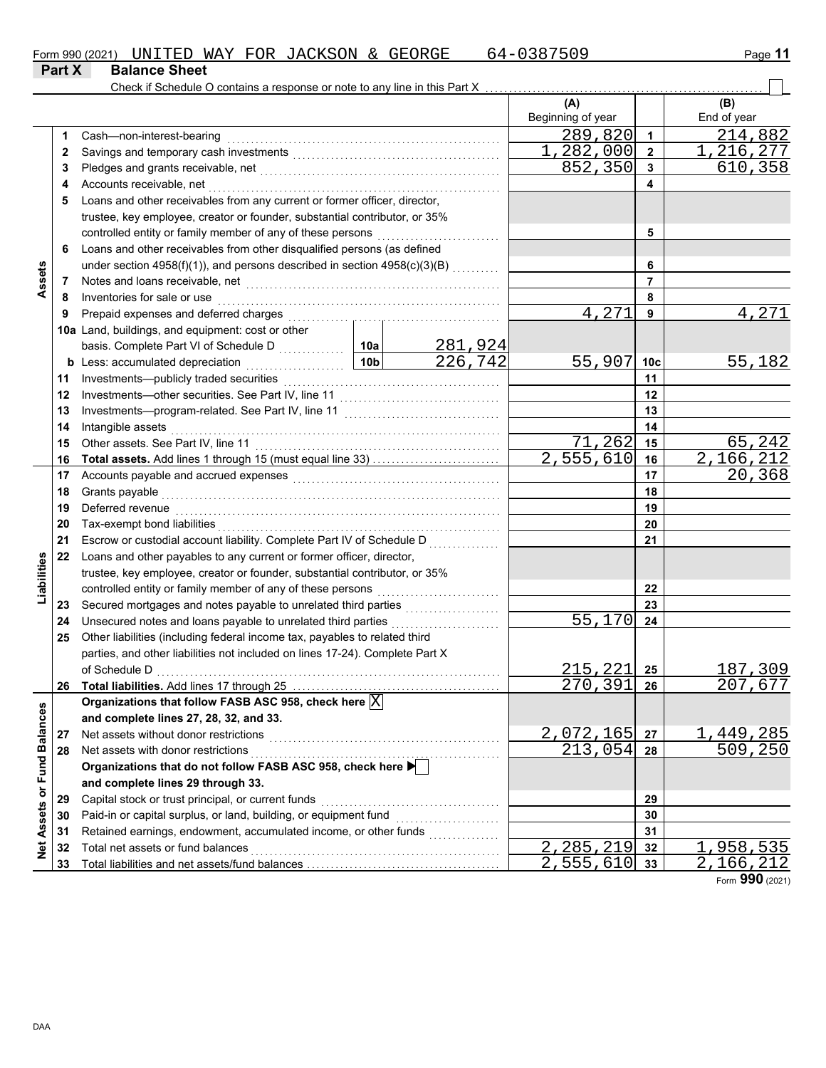| Form 990 (2021) |                      |  | UNITED WAY FOR JACKSON & GEORGE |  | 64-0387509 | Page 11 |
|-----------------|----------------------|--|---------------------------------|--|------------|---------|
| <b>Part X</b>   | <b>Balance Sheet</b> |  |                                 |  |            |         |

|                             |          | Check if Schedule O contains a response or note to any line in this Part X                                                              |                 |                           |                           |                 |             |
|-----------------------------|----------|-----------------------------------------------------------------------------------------------------------------------------------------|-----------------|---------------------------|---------------------------|-----------------|-------------|
|                             |          |                                                                                                                                         |                 |                           | (A)                       |                 | (B)         |
|                             |          |                                                                                                                                         |                 |                           | Beginning of year         |                 | End of year |
|                             | 1        | Cash-non-interest-bearing                                                                                                               |                 |                           | 289,820                   | $\mathbf 1$     | 214,882     |
|                             | 2        |                                                                                                                                         |                 |                           | 1,282,000                 | $\overline{2}$  | 1,216,277   |
|                             | 3        |                                                                                                                                         |                 |                           | 852,350                   | 3               | 610,358     |
|                             | 4        | Accounts receivable, net                                                                                                                |                 |                           |                           | 4               |             |
|                             | 5        | Loans and other receivables from any current or former officer, director,                                                               |                 |                           |                           |                 |             |
|                             |          | trustee, key employee, creator or founder, substantial contributor, or 35%                                                              |                 |                           |                           |                 |             |
|                             |          | controlled entity or family member of any of these persons                                                                              |                 |                           |                           | 5               |             |
|                             | 6        | Loans and other receivables from other disqualified persons (as defined                                                                 |                 |                           |                           |                 |             |
|                             |          | under section 4958(f)(1)), and persons described in section 4958(c)(3)(B) [1][[[[[[[[[[[[[[[[[[[[[[[[[[[[[[[[                           |                 |                           |                           | 6               |             |
| Assets                      | 7        |                                                                                                                                         |                 |                           |                           | 7               |             |
|                             | 8        | Inventories for sale or use                                                                                                             |                 |                           |                           | 8               |             |
|                             | 9        |                                                                                                                                         |                 |                           | 4,271                     | 9               | 4,271       |
|                             |          | 10a Land, buildings, and equipment: cost or other                                                                                       |                 |                           |                           |                 |             |
|                             |          |                                                                                                                                         |                 |                           |                           |                 |             |
|                             |          | <b>b</b> Less: accumulated depreciation                                                                                                 | 10 <sub>b</sub> | <u>281,924</u><br>226,742 | 55,907                    | 10 <sub>c</sub> | 55,182      |
|                             | 11       |                                                                                                                                         |                 |                           |                           | 11              |             |
|                             | 12       |                                                                                                                                         |                 |                           |                           | 12              |             |
|                             | 13       |                                                                                                                                         |                 |                           |                           | 13              |             |
|                             | 14       | Intangible assets                                                                                                                       |                 |                           |                           | 14              |             |
|                             | 15       |                                                                                                                                         |                 |                           | 71,262                    | 15              | 65,242      |
|                             | 16       |                                                                                                                                         |                 |                           | $\overline{2}$ , 555, 610 | 16              | 2,166,212   |
|                             | 17       |                                                                                                                                         |                 |                           |                           | 17              | 20,368      |
|                             | 18       | Grants payable                                                                                                                          |                 |                           |                           | 18              |             |
|                             | 19       | Deferred revenue                                                                                                                        |                 |                           |                           | 19              |             |
|                             | 20       | Tax-exempt bond liabilities                                                                                                             |                 |                           |                           | 20              |             |
|                             | 21       | Escrow or custodial account liability. Complete Part IV of Schedule D                                                                   |                 |                           |                           | 21              |             |
|                             | 22       | Loans and other payables to any current or former officer, director,                                                                    |                 |                           |                           |                 |             |
| Liabilities                 |          | trustee, key employee, creator or founder, substantial contributor, or 35%                                                              |                 |                           |                           |                 |             |
|                             |          | controlled entity or family member of any of these persons                                                                              |                 |                           |                           |                 |             |
|                             |          |                                                                                                                                         |                 |                           |                           | 22<br>23        |             |
|                             | 23       | Unsecured notes and loans payable to unrelated third parties                                                                            |                 |                           | 55,170                    | 24              |             |
|                             | 24<br>25 | Other liabilities (including federal income tax, payables to related third                                                              |                 |                           |                           |                 |             |
|                             |          | parties, and other liabilities not included on lines 17-24). Complete Part X                                                            |                 |                           |                           |                 |             |
|                             |          |                                                                                                                                         |                 |                           | 215,221                   |                 | 187,309     |
|                             |          | Total liabilities. Add lines 17 through 25                                                                                              |                 |                           |                           | 25              |             |
|                             | 26       |                                                                                                                                         |                 |                           | <u>270,391</u>            | 26              | 207,677     |
|                             |          | Organizations that follow FASB ASC 958, check here $\boxed{\text{X}}$                                                                   |                 |                           |                           |                 |             |
|                             |          | and complete lines 27, 28, 32, and 33.                                                                                                  |                 |                           |                           |                 |             |
|                             | 27       | Net assets without donor restrictions                                                                                                   |                 |                           | 2,072,165                 | 27              | 1,449,285   |
|                             | 28       | Net assets with donor restrictions<br>Net assets with donor restrictions<br>Organizations that do not follow FASB ASC 958, check here ▶ |                 |                           | 213,054                   | 28              | 509,250     |
|                             |          |                                                                                                                                         |                 |                           |                           |                 |             |
|                             |          | and complete lines 29 through 33.                                                                                                       |                 |                           |                           |                 |             |
|                             | 29       | Capital stock or trust principal, or current funds                                                                                      |                 |                           |                           | 29              |             |
|                             | 30       | Paid-in or capital surplus, or land, building, or equipment fund                                                                        |                 |                           |                           | 30              |             |
| Net Assets or Fund Balances | 31       | Retained earnings, endowment, accumulated income, or other funds                                                                        |                 |                           |                           | 31              |             |
|                             | 32       | Total net assets or fund balances                                                                                                       |                 |                           | 2,285,219                 | 32              | 1,958,535   |
|                             | 33       |                                                                                                                                         |                 |                           | 2,555,610                 | 33              | 2,166,212   |

Form **990** (2021)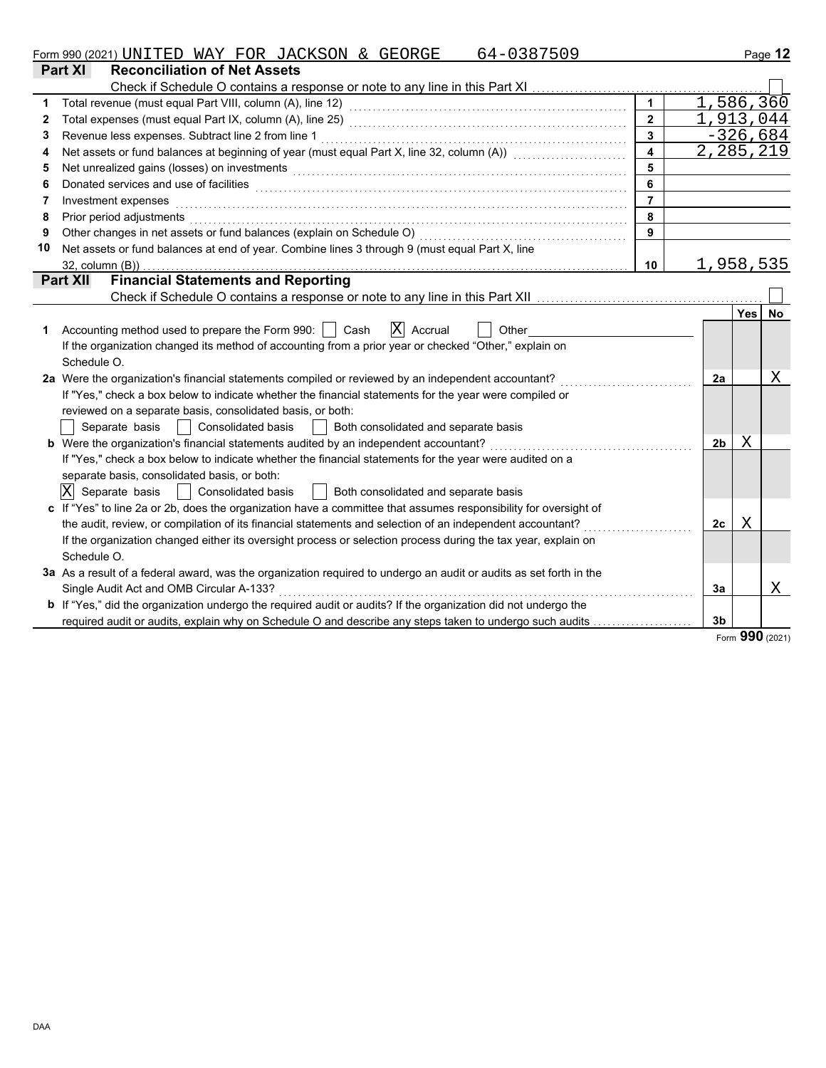| Form 990 (2021) | $\sim$ DNITET | WAY<br>.⊥TED ' | FOR | <b>JACKSON</b> | $\alpha$ | $\cap$ $\cap$ $\cap$<br>17.77<br>ORGE<br>しエロ | <u>. л</u> | Page |
|-----------------|---------------|----------------|-----|----------------|----------|----------------------------------------------|------------|------|
|                 |               |                |     |                |          |                                              |            |      |

|             | <b>Part XI</b><br><b>Reconciliation of Net Assets</b>                                                                                                                                                                          |                         |                |            |           |  |  |  |  |
|-------------|--------------------------------------------------------------------------------------------------------------------------------------------------------------------------------------------------------------------------------|-------------------------|----------------|------------|-----------|--|--|--|--|
|             | Check if Schedule O contains a response or note to any line in this Part XI                                                                                                                                                    |                         |                |            |           |  |  |  |  |
|             |                                                                                                                                                                                                                                |                         |                |            | 1,586,360 |  |  |  |  |
| $\mathbf 2$ |                                                                                                                                                                                                                                | $\overline{2}$          |                |            | 1,913,044 |  |  |  |  |
| 3           | $\overline{\mathbf{3}}$<br>Revenue less expenses. Subtract line 2 from line 1                                                                                                                                                  |                         |                |            |           |  |  |  |  |
| 4           | Net assets or fund balances at beginning of year (must equal Part X, line 32, column (A)) [[[[[[[[[[[[[[[[[[[                                                                                                                  | $\overline{\mathbf{4}}$ |                |            | 2,285,219 |  |  |  |  |
| 5           | Net unrealized gains (losses) on investments                                                                                                                                                                                   | 5                       |                |            |           |  |  |  |  |
| 6           | Donated services and use of facilities <b>constructs</b> and the construction of the service of facilities <b>constructs</b>                                                                                                   | 6                       |                |            |           |  |  |  |  |
|             | Investment expenses                                                                                                                                                                                                            | $\overline{7}$          |                |            |           |  |  |  |  |
| 8           | Prior period adjustments entertainment and the control of the control of the control of the control of the control of the control of the control of the control of the control of the control of the control of the control of | 8                       |                |            |           |  |  |  |  |
| 9           | Other changes in net assets or fund balances (explain on Schedule O)                                                                                                                                                           | 9                       |                |            |           |  |  |  |  |
| 10          | Net assets or fund balances at end of year. Combine lines 3 through 9 (must equal Part X, line                                                                                                                                 |                         |                |            |           |  |  |  |  |
|             | $32$ , column $(B)$ )                                                                                                                                                                                                          | 10                      |                |            | 1,958,535 |  |  |  |  |
|             | <b>Financial Statements and Reporting</b><br><b>Part XII</b>                                                                                                                                                                   |                         |                |            |           |  |  |  |  |
|             |                                                                                                                                                                                                                                |                         |                |            |           |  |  |  |  |
|             |                                                                                                                                                                                                                                |                         |                | <b>Yes</b> | <b>No</b> |  |  |  |  |
| 1           | $ X $ Accrual<br>Accounting method used to prepare the Form 990:     Cash<br>Other                                                                                                                                             |                         |                |            |           |  |  |  |  |
|             | If the organization changed its method of accounting from a prior year or checked "Other," explain on                                                                                                                          |                         |                |            |           |  |  |  |  |
|             | Schedule O.                                                                                                                                                                                                                    |                         |                |            |           |  |  |  |  |
|             | 2a Were the organization's financial statements compiled or reviewed by an independent accountant?                                                                                                                             |                         | 2a             |            | Χ         |  |  |  |  |
|             | If "Yes," check a box below to indicate whether the financial statements for the year were compiled or                                                                                                                         |                         |                |            |           |  |  |  |  |
|             | reviewed on a separate basis, consolidated basis, or both:                                                                                                                                                                     |                         |                |            |           |  |  |  |  |
|             | Separate basis<br><b>Consolidated basis</b><br>Both consolidated and separate basis                                                                                                                                            |                         |                |            |           |  |  |  |  |
|             | b Were the organization's financial statements audited by an independent accountant?                                                                                                                                           |                         | 2 <sub>b</sub> | Χ          |           |  |  |  |  |
|             | If "Yes," check a box below to indicate whether the financial statements for the year were audited on a                                                                                                                        |                         |                |            |           |  |  |  |  |
|             | separate basis, consolidated basis, or both:                                                                                                                                                                                   |                         |                |            |           |  |  |  |  |
|             | ΙX<br>Separate basis<br>Both consolidated and separate basis<br><b>Consolidated basis</b>                                                                                                                                      |                         |                |            |           |  |  |  |  |
|             | c If "Yes" to line 2a or 2b, does the organization have a committee that assumes responsibility for oversight of                                                                                                               |                         |                |            |           |  |  |  |  |
|             | the audit, review, or compilation of its financial statements and selection of an independent accountant?                                                                                                                      |                         | 2c             | Χ          |           |  |  |  |  |
|             | If the organization changed either its oversight process or selection process during the tax year, explain on                                                                                                                  |                         |                |            |           |  |  |  |  |
|             | Schedule O.                                                                                                                                                                                                                    |                         |                |            |           |  |  |  |  |
|             | 3a As a result of a federal award, was the organization required to undergo an audit or audits as set forth in the                                                                                                             |                         |                |            |           |  |  |  |  |
|             | Single Audit Act and OMB Circular A-133?                                                                                                                                                                                       |                         | 3a             |            | Χ         |  |  |  |  |
|             | b If "Yes," did the organization undergo the required audit or audits? If the organization did not undergo the                                                                                                                 |                         |                |            |           |  |  |  |  |
|             | required audit or audits, explain why on Schedule O and describe any steps taken to undergo such audits                                                                                                                        |                         | 3 <sub>b</sub> |            |           |  |  |  |  |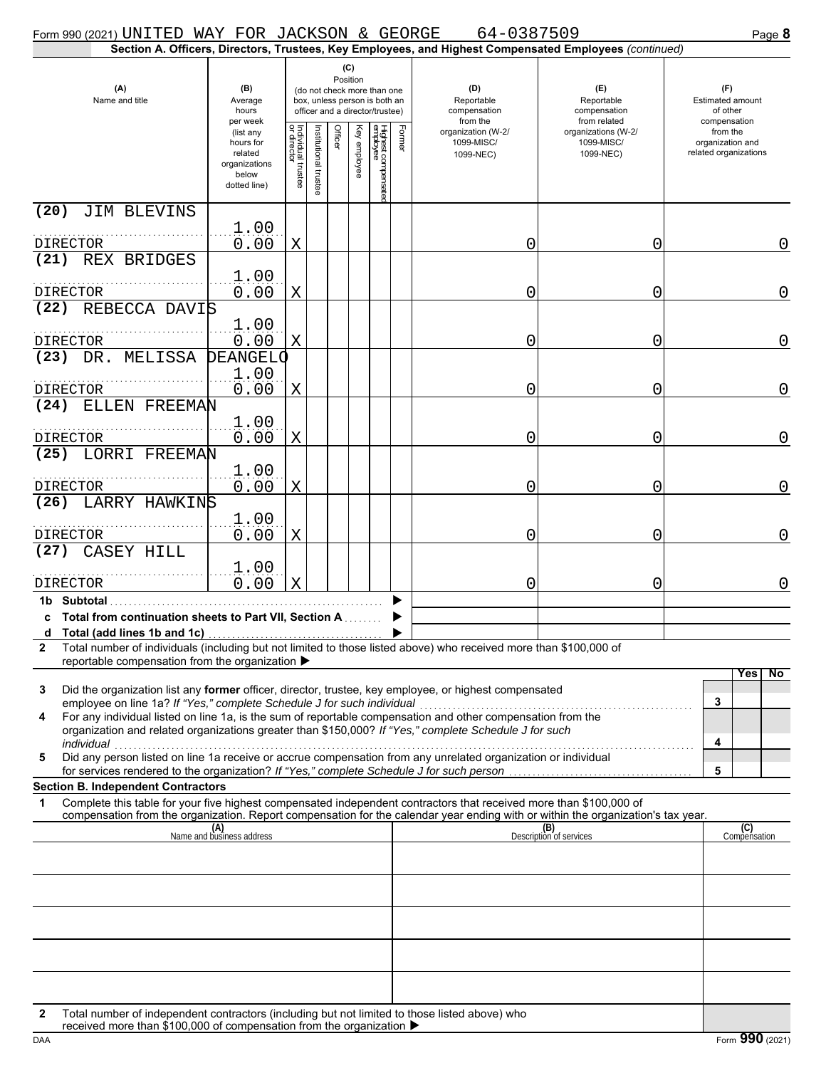| Form 990 (2021) UNITED WAY FOR JACKSON & GEORGE                                                                                                                                                                                           |                                                                             |                                   |                       |                 |              |                                                                                                 |        | 64-0387509                                    |                                                                                                        | Page 8                                                     |
|-------------------------------------------------------------------------------------------------------------------------------------------------------------------------------------------------------------------------------------------|-----------------------------------------------------------------------------|-----------------------------------|-----------------------|-----------------|--------------|-------------------------------------------------------------------------------------------------|--------|-----------------------------------------------|--------------------------------------------------------------------------------------------------------|------------------------------------------------------------|
|                                                                                                                                                                                                                                           |                                                                             |                                   |                       |                 |              |                                                                                                 |        |                                               | Section A. Officers, Directors, Trustees, Key Employees, and Highest Compensated Employees (continued) |                                                            |
| (A)<br>Name and title                                                                                                                                                                                                                     | (B)<br>Average<br>hours<br>per week                                         |                                   |                       | (C)<br>Position |              | (do not check more than one<br>box, unless person is both an<br>officer and a director/trustee) |        | (D)<br>Reportable<br>compensation<br>from the | (E)<br>Reportable<br>compensation<br>from related                                                      | (F)<br><b>Estimated amount</b><br>of other<br>compensation |
|                                                                                                                                                                                                                                           | (list any<br>hours for<br>related<br>organizations<br>below<br>dotted line) | Individual trustee<br>or director | Institutional trustee | Officer         | Key employee | Highest compensatec<br>employee                                                                 | Former | organization (W-2/<br>1099-MISC/<br>1099-NEC) | organizations (W-2/<br>1099-MISC/<br>1099-NEC)                                                         | from the<br>organization and<br>related organizations      |
| (20)<br><b>JIM BLEVINS</b>                                                                                                                                                                                                                |                                                                             |                                   |                       |                 |              |                                                                                                 |        |                                               |                                                                                                        |                                                            |
| DIRECTOR                                                                                                                                                                                                                                  | 1.00<br>0.00                                                                | X                                 |                       |                 |              |                                                                                                 |        | 0                                             | 0                                                                                                      | 0                                                          |
| (21) REX BRIDGES                                                                                                                                                                                                                          |                                                                             |                                   |                       |                 |              |                                                                                                 |        |                                               |                                                                                                        |                                                            |
|                                                                                                                                                                                                                                           | 1.00                                                                        |                                   |                       |                 |              |                                                                                                 |        |                                               |                                                                                                        |                                                            |
| <b>DIRECTOR</b><br>REBECCA DAVIS<br>(22)                                                                                                                                                                                                  | 0.00                                                                        | X                                 |                       |                 |              |                                                                                                 |        | 0                                             | 0                                                                                                      | $\mathbf 0$                                                |
| <b>DIRECTOR</b>                                                                                                                                                                                                                           | 1.00<br>0.00                                                                | X                                 |                       |                 |              |                                                                                                 |        | 0                                             | 0                                                                                                      | $\mathbf 0$                                                |
| (23) DR. MELISSA                                                                                                                                                                                                                          | <b>DEANGELO</b>                                                             |                                   |                       |                 |              |                                                                                                 |        |                                               |                                                                                                        |                                                            |
| <b>DIRECTOR</b><br>(24)<br>ELLEN FREEMAN                                                                                                                                                                                                  | 1.00<br>0.00                                                                | X                                 |                       |                 |              |                                                                                                 |        | 0                                             | 0                                                                                                      | $\mathbf 0$                                                |
| <b>DIRECTOR</b>                                                                                                                                                                                                                           | 1.00<br>0.00                                                                | X                                 |                       |                 |              |                                                                                                 |        | 0                                             | 0                                                                                                      | $\mathbf 0$                                                |
| (25) LORRI FREEMAN                                                                                                                                                                                                                        | 1.00                                                                        |                                   |                       |                 |              |                                                                                                 |        |                                               |                                                                                                        |                                                            |
| DIRECTOR                                                                                                                                                                                                                                  | 0.00                                                                        | X                                 |                       |                 |              |                                                                                                 |        | 0                                             | 0                                                                                                      | $\overline{0}$                                             |
| LARRY HAWKINS<br>(26)                                                                                                                                                                                                                     | 1.00<br>0.00                                                                | X                                 |                       |                 |              |                                                                                                 |        | 0                                             | 0                                                                                                      | $\mathbf 0$                                                |
| DIRECTOR<br>CASEY HILL<br>(27)                                                                                                                                                                                                            |                                                                             |                                   |                       |                 |              |                                                                                                 |        |                                               |                                                                                                        |                                                            |
| DIRECTOR                                                                                                                                                                                                                                  | 1.00<br>0.00                                                                | X                                 |                       |                 |              |                                                                                                 |        | 0                                             | 0                                                                                                      | $\mathbf 0$                                                |
| 1b Subtotal<br>c Total from continuation sheets to Part VII, Section A                                                                                                                                                                    |                                                                             |                                   |                       |                 |              |                                                                                                 |        |                                               |                                                                                                        |                                                            |
| d Total (add lines 1b and 1c)                                                                                                                                                                                                             |                                                                             |                                   |                       |                 |              |                                                                                                 |        |                                               |                                                                                                        |                                                            |
| Total number of individuals (including but not limited to those listed above) who received more than \$100,000 of<br>$\mathbf{2}$<br>reportable compensation from the organization ▶                                                      |                                                                             |                                   |                       |                 |              |                                                                                                 |        |                                               |                                                                                                        |                                                            |
| Did the organization list any former officer, director, trustee, key employee, or highest compensated<br>3                                                                                                                                |                                                                             |                                   |                       |                 |              |                                                                                                 |        |                                               |                                                                                                        | Yes<br>No                                                  |
| employee on line 1a? If "Yes," complete Schedule J for such individual<br>For any individual listed on line 1a, is the sum of reportable compensation and other compensation from the<br>4                                                |                                                                             |                                   |                       |                 |              |                                                                                                 |        |                                               |                                                                                                        | 3                                                          |
| organization and related organizations greater than \$150,000? If "Yes," complete Schedule J for such<br>individual<br>Did any person listed on line 1a receive or accrue compensation from any unrelated organization or individual<br>5 |                                                                             |                                   |                       |                 |              |                                                                                                 |        |                                               |                                                                                                        | 4                                                          |
| for services rendered to the organization? If "Yes," complete Schedule J for such person                                                                                                                                                  |                                                                             |                                   |                       |                 |              |                                                                                                 |        |                                               |                                                                                                        | 5                                                          |
| <b>Section B. Independent Contractors</b><br>Complete this table for your five highest compensated independent contractors that received more than \$100,000 of<br>1                                                                      |                                                                             |                                   |                       |                 |              |                                                                                                 |        |                                               |                                                                                                        |                                                            |
| compensation from the organization. Report compensation for the calendar year ending with or within the organization's tax year.                                                                                                          |                                                                             |                                   |                       |                 |              |                                                                                                 |        |                                               |                                                                                                        |                                                            |
|                                                                                                                                                                                                                                           | (A)<br>Name and business address                                            |                                   |                       |                 |              |                                                                                                 |        |                                               | (B)<br>Description of services                                                                         | (C)<br>Compensation                                        |
|                                                                                                                                                                                                                                           |                                                                             |                                   |                       |                 |              |                                                                                                 |        |                                               |                                                                                                        |                                                            |
|                                                                                                                                                                                                                                           |                                                                             |                                   |                       |                 |              |                                                                                                 |        |                                               |                                                                                                        |                                                            |
|                                                                                                                                                                                                                                           |                                                                             |                                   |                       |                 |              |                                                                                                 |        |                                               |                                                                                                        |                                                            |
|                                                                                                                                                                                                                                           |                                                                             |                                   |                       |                 |              |                                                                                                 |        |                                               |                                                                                                        |                                                            |
| Total number of independent contractors (including but not limited to those listed above) who<br>received more than \$100,000 of componention from the ergonization<br>2                                                                  |                                                                             |                                   |                       |                 |              |                                                                                                 |        |                                               |                                                                                                        |                                                            |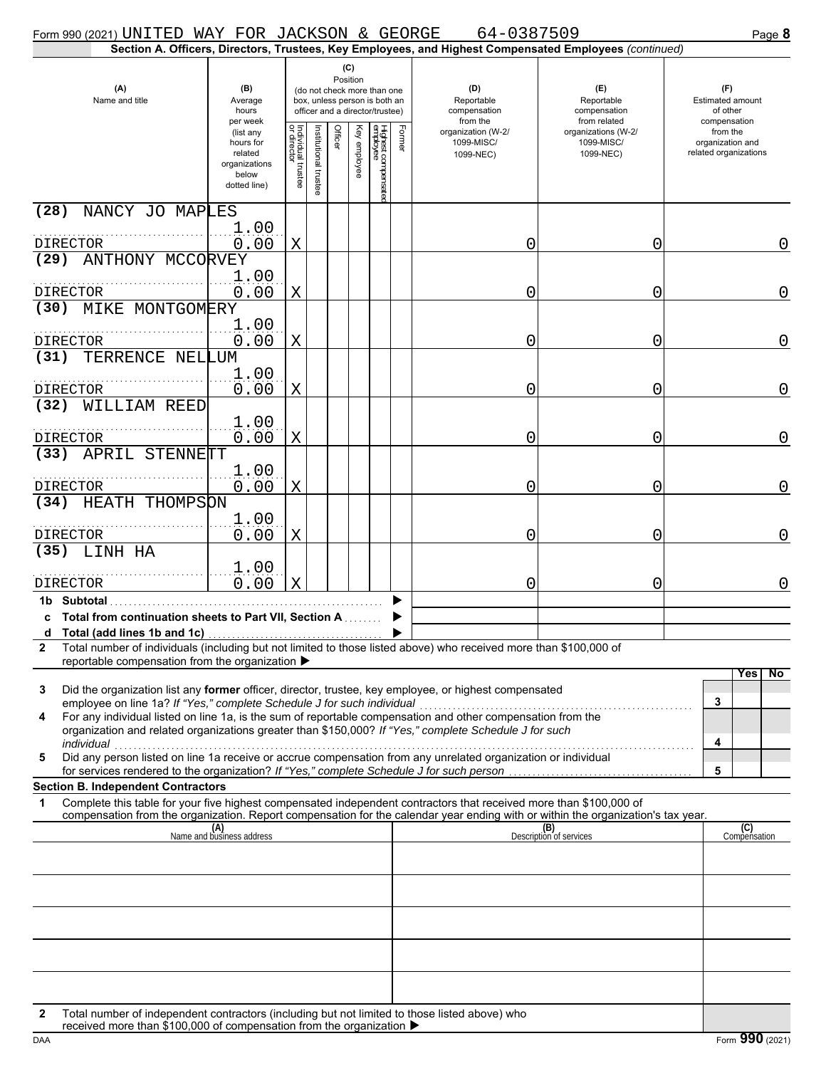| Form 990 (2021) UNITED WAY FOR JACKSON & GEORGE                                                                                                                                                                                                                                                                   |                                                                             |                                   |                       |                                                                                                                    |              |                                 |        | 64-0387509                                                                                             |                                                   | Page 8                                                     |
|-------------------------------------------------------------------------------------------------------------------------------------------------------------------------------------------------------------------------------------------------------------------------------------------------------------------|-----------------------------------------------------------------------------|-----------------------------------|-----------------------|--------------------------------------------------------------------------------------------------------------------|--------------|---------------------------------|--------|--------------------------------------------------------------------------------------------------------|---------------------------------------------------|------------------------------------------------------------|
|                                                                                                                                                                                                                                                                                                                   |                                                                             |                                   |                       |                                                                                                                    |              |                                 |        | Section A. Officers, Directors, Trustees, Key Employees, and Highest Compensated Employees (continued) |                                                   |                                                            |
| (A)<br>Name and title                                                                                                                                                                                                                                                                                             | (B)<br>Average<br>hours<br>per week                                         |                                   |                       | (C)<br>Position<br>(do not check more than one<br>box, unless person is both an<br>officer and a director/trustee) |              |                                 |        | (D)<br>Reportable<br>compensation<br>from the                                                          | (E)<br>Reportable<br>compensation<br>from related | (F)<br><b>Estimated amount</b><br>of other<br>compensation |
|                                                                                                                                                                                                                                                                                                                   | (list any<br>hours for<br>related<br>organizations<br>below<br>dotted line) | Individual trustee<br>or director | Institutional trustee | Officer                                                                                                            | Key employee | Highest compensatec<br>employee | Former | organization (W-2/<br>1099-MISC/<br>1099-NEC)                                                          | organizations (W-2/<br>1099-MISC/<br>1099-NEC)    | from the<br>organization and<br>related organizations      |
| (28)<br>NANCY JO MAPLES                                                                                                                                                                                                                                                                                           | 1.00                                                                        |                                   |                       |                                                                                                                    |              |                                 |        |                                                                                                        |                                                   |                                                            |
| <b>DIRECTOR</b><br>ANTHONY MCCORVEY<br>(29)                                                                                                                                                                                                                                                                       | 0.00                                                                        | X                                 |                       |                                                                                                                    |              |                                 |        | 0                                                                                                      | 0                                                 | $\mathbf 0$                                                |
| <b>DIRECTOR</b><br>MIKE MONTGOMERY<br>(30)                                                                                                                                                                                                                                                                        | 1.00<br>0.00                                                                | X                                 |                       |                                                                                                                    |              |                                 |        | 0                                                                                                      | 0                                                 | $\mathbf 0$                                                |
| <b>DIRECTOR</b>                                                                                                                                                                                                                                                                                                   | 1.00<br>0.00                                                                | X                                 |                       |                                                                                                                    |              |                                 |        | 0                                                                                                      | 0                                                 | $\mathbf 0$                                                |
| (31)<br>TERRENCE NELLUM                                                                                                                                                                                                                                                                                           | 1.00                                                                        |                                   |                       |                                                                                                                    |              |                                 |        |                                                                                                        |                                                   |                                                            |
| <b>DIRECTOR</b><br>WILLIAM REED<br>(32)                                                                                                                                                                                                                                                                           | 0.00<br>1.00                                                                | X                                 |                       |                                                                                                                    |              |                                 |        | 0                                                                                                      | 0                                                 | 0                                                          |
| DIRECTOR<br>(33)<br>APRIL STENNETT                                                                                                                                                                                                                                                                                | 0.00                                                                        | X                                 |                       |                                                                                                                    |              |                                 |        | 0                                                                                                      | 0                                                 | 0                                                          |
| DIRECTOR                                                                                                                                                                                                                                                                                                          | 1.00<br>0.00                                                                | X                                 |                       |                                                                                                                    |              |                                 |        | 0                                                                                                      | 0                                                 | $\mathbf 0$                                                |
| HEATH THOMPSON<br>(34)<br>.<br>DIRECTOR                                                                                                                                                                                                                                                                           | 1.00<br>0.00                                                                | X                                 |                       |                                                                                                                    |              |                                 |        | 0                                                                                                      | 0                                                 | $\mathbf 0$                                                |
| LINH HA<br>(35)                                                                                                                                                                                                                                                                                                   | 1.00                                                                        |                                   |                       |                                                                                                                    |              |                                 |        |                                                                                                        |                                                   |                                                            |
| DIRECTOR<br>1b Subtotal<br>c Total from continuation sheets to Part VII, Section A<br>d Total (add lines 1b and 1c)                                                                                                                                                                                               | 0.00                                                                        | X                                 |                       |                                                                                                                    |              |                                 |        | 0                                                                                                      | 0                                                 | $\mathbf 0$                                                |
| Total number of individuals (including but not limited to those listed above) who received more than \$100,000 of<br>$\mathbf{2}$<br>reportable compensation from the organization ▶<br>Did the organization list any former officer, director, trustee, key employee, or highest compensated<br>3                |                                                                             |                                   |                       |                                                                                                                    |              |                                 |        |                                                                                                        |                                                   | Yes<br>No                                                  |
| employee on line 1a? If "Yes," complete Schedule J for such individual<br>For any individual listed on line 1a, is the sum of reportable compensation and other compensation from the<br>4<br>organization and related organizations greater than \$150,000? If "Yes," complete Schedule J for such<br>individual |                                                                             |                                   |                       |                                                                                                                    |              |                                 |        |                                                                                                        |                                                   | 3<br>4                                                     |
| Did any person listed on line 1a receive or accrue compensation from any unrelated organization or individual<br>5<br>for services rendered to the organization? If "Yes," complete Schedule J for such person                                                                                                    |                                                                             |                                   |                       |                                                                                                                    |              |                                 |        |                                                                                                        |                                                   | 5                                                          |
| <b>Section B. Independent Contractors</b><br>Complete this table for your five highest compensated independent contractors that received more than \$100,000 of<br>1<br>compensation from the organization. Report compensation for the calendar year ending with or within the organization's tax year.          |                                                                             |                                   |                       |                                                                                                                    |              |                                 |        |                                                                                                        |                                                   |                                                            |
|                                                                                                                                                                                                                                                                                                                   | (A)<br>Name and business address                                            |                                   |                       |                                                                                                                    |              |                                 |        |                                                                                                        | (B)<br>Description of services                    | (C)<br>Compensation                                        |
|                                                                                                                                                                                                                                                                                                                   |                                                                             |                                   |                       |                                                                                                                    |              |                                 |        |                                                                                                        |                                                   |                                                            |
|                                                                                                                                                                                                                                                                                                                   |                                                                             |                                   |                       |                                                                                                                    |              |                                 |        |                                                                                                        |                                                   |                                                            |
|                                                                                                                                                                                                                                                                                                                   |                                                                             |                                   |                       |                                                                                                                    |              |                                 |        |                                                                                                        |                                                   |                                                            |
| Total number of independent contractors (including but not limited to those listed above) who<br>2                                                                                                                                                                                                                |                                                                             |                                   |                       |                                                                                                                    |              |                                 |        |                                                                                                        |                                                   |                                                            |
| received more than \$100,000 of compensation from the organization ▶                                                                                                                                                                                                                                              |                                                                             |                                   |                       |                                                                                                                    |              |                                 |        |                                                                                                        |                                                   |                                                            |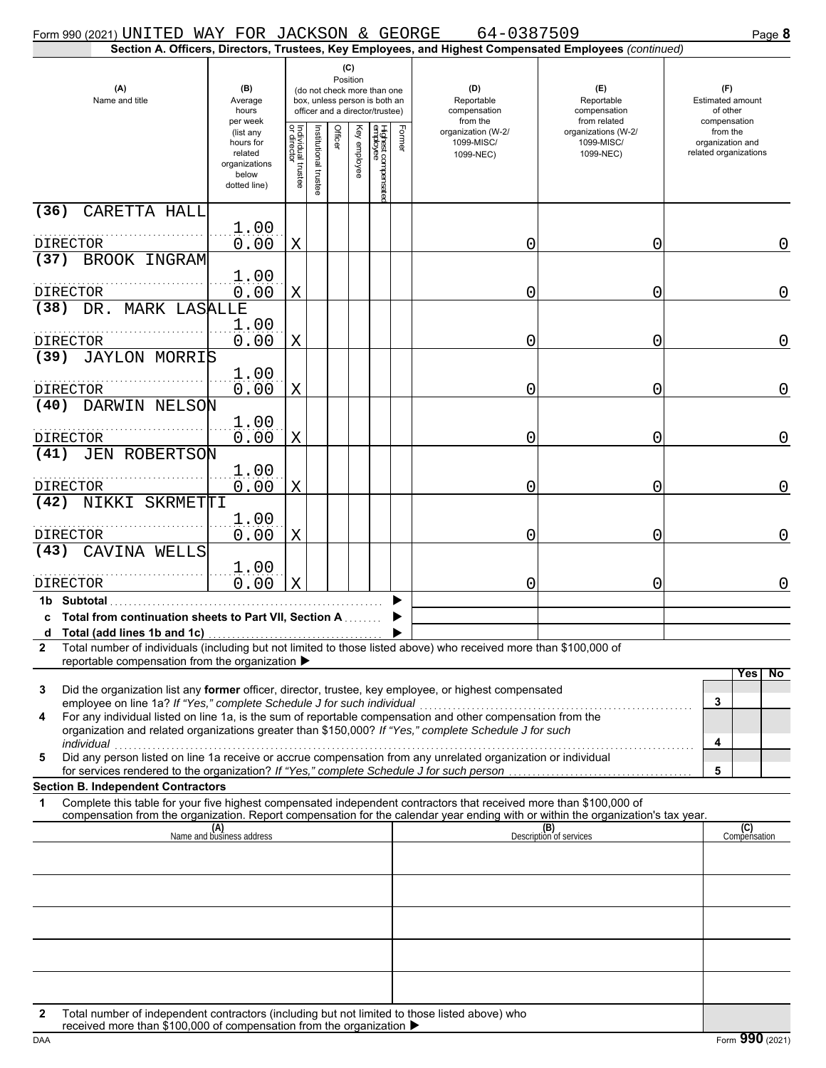| Form 990 (2021) UNITED WAY FOR JACKSON & GEORGE                                                                                                                                                                                                             |                                                                             |                                        |                                                                                                                    |         |              |                                 |                                               | 64-0387509                                                                                             |                                                   | Page 8                                                     |
|-------------------------------------------------------------------------------------------------------------------------------------------------------------------------------------------------------------------------------------------------------------|-----------------------------------------------------------------------------|----------------------------------------|--------------------------------------------------------------------------------------------------------------------|---------|--------------|---------------------------------|-----------------------------------------------|--------------------------------------------------------------------------------------------------------|---------------------------------------------------|------------------------------------------------------------|
|                                                                                                                                                                                                                                                             |                                                                             |                                        |                                                                                                                    |         |              |                                 |                                               | Section A. Officers, Directors, Trustees, Key Employees, and Highest Compensated Employees (continued) |                                                   |                                                            |
| (A)<br>(B)<br>Name and title<br>Average<br>hours<br>per week                                                                                                                                                                                                |                                                                             |                                        | (C)<br>Position<br>(do not check more than one<br>box, unless person is both an<br>officer and a director/trustee) |         |              |                                 | (D)<br>Reportable<br>compensation<br>from the |                                                                                                        | (E)<br>Reportable<br>compensation<br>from related | (F)<br><b>Estimated amount</b><br>of other<br>compensation |
|                                                                                                                                                                                                                                                             | (list any<br>hours for<br>related<br>organizations<br>below<br>dotted line) | Individual t<br>or director<br>Itustee | Institutional trustee                                                                                              | Officer | Key employee | Highest compensatec<br>employee | Former                                        | organization (W-2/<br>1099-MISC/<br>1099-NEC)                                                          | organizations (W-2/<br>1099-MISC/<br>1099-NEC)    | from the<br>organization and<br>related organizations      |
| (36)<br>CARETTA HALL                                                                                                                                                                                                                                        |                                                                             |                                        |                                                                                                                    |         |              |                                 |                                               |                                                                                                        |                                                   |                                                            |
| DIRECTOR                                                                                                                                                                                                                                                    | 1.00<br>0.00                                                                | X                                      |                                                                                                                    |         |              |                                 |                                               | 0                                                                                                      | 0                                                 | 0                                                          |
| BROOK INGRAM<br>(37)                                                                                                                                                                                                                                        |                                                                             |                                        |                                                                                                                    |         |              |                                 |                                               |                                                                                                        |                                                   |                                                            |
|                                                                                                                                                                                                                                                             | 1.00                                                                        |                                        |                                                                                                                    |         |              |                                 |                                               |                                                                                                        |                                                   |                                                            |
| DIRECTOR<br>(38) DR. MARK LASALLE                                                                                                                                                                                                                           | 0.00                                                                        | X                                      |                                                                                                                    |         |              |                                 |                                               | 0                                                                                                      | 0                                                 | $\overline{0}$                                             |
| DIRECTOR                                                                                                                                                                                                                                                    | 1.00<br>0.00                                                                | X                                      |                                                                                                                    |         |              |                                 |                                               | 0                                                                                                      | 0                                                 | $\mathbf 0$                                                |
| (39)<br><b>JAYLON MORRIS</b>                                                                                                                                                                                                                                |                                                                             |                                        |                                                                                                                    |         |              |                                 |                                               |                                                                                                        |                                                   |                                                            |
| DIRECTOR                                                                                                                                                                                                                                                    | 1.00<br>0.00                                                                | X                                      |                                                                                                                    |         |              |                                 |                                               | 0                                                                                                      | 0                                                 | $\mathbf 0$                                                |
| DARWIN NELSON<br>(40)<br>DIRECTOR                                                                                                                                                                                                                           | 1.00<br>0.00                                                                | X                                      |                                                                                                                    |         |              |                                 |                                               | 0                                                                                                      | 0                                                 | $\overline{0}$                                             |
| <b>JEN ROBERTSON</b><br>(41)                                                                                                                                                                                                                                | 1.00                                                                        |                                        |                                                                                                                    |         |              |                                 |                                               |                                                                                                        |                                                   |                                                            |
| DIRECTOR<br>NIKKI SKRMETTI<br>(42)                                                                                                                                                                                                                          | 0.00                                                                        | X                                      |                                                                                                                    |         |              |                                 |                                               | 0                                                                                                      | 0                                                 | 0                                                          |
| DIRECTOR                                                                                                                                                                                                                                                    | 1.00<br>0.00                                                                | X                                      |                                                                                                                    |         |              |                                 |                                               | 0                                                                                                      | 0                                                 | $\overline{0}$                                             |
| CAVINA WELLS<br>(43)                                                                                                                                                                                                                                        |                                                                             |                                        |                                                                                                                    |         |              |                                 |                                               |                                                                                                        |                                                   |                                                            |
| <b>DIRECTOR</b>                                                                                                                                                                                                                                             | 1.00<br>0.00                                                                | X                                      |                                                                                                                    |         |              |                                 |                                               | 0                                                                                                      | 0                                                 | $\mathbf 0$                                                |
| 1b Subtotal<br>c Total from continuation sheets to Part VII, Section A                                                                                                                                                                                      |                                                                             |                                        |                                                                                                                    |         |              |                                 |                                               |                                                                                                        |                                                   |                                                            |
| d Total (add lines 1b and 1c)<br>Total number of individuals (including but not limited to those listed above) who received more than \$100,000 of<br>$\mathbf{2}$                                                                                          |                                                                             |                                        |                                                                                                                    |         |              |                                 |                                               |                                                                                                        |                                                   |                                                            |
| reportable compensation from the organization ▶                                                                                                                                                                                                             |                                                                             |                                        |                                                                                                                    |         |              |                                 |                                               |                                                                                                        |                                                   |                                                            |
| Did the organization list any former officer, director, trustee, key employee, or highest compensated<br>3<br>employee on line 1a? If "Yes," complete Schedule J for such individual                                                                        |                                                                             |                                        |                                                                                                                    |         |              |                                 |                                               |                                                                                                        |                                                   | No<br>Yes<br>3                                             |
| For any individual listed on line 1a, is the sum of reportable compensation and other compensation from the<br>4<br>organization and related organizations greater than \$150,000? If "Yes," complete Schedule J for such                                   |                                                                             |                                        |                                                                                                                    |         |              |                                 |                                               |                                                                                                        |                                                   |                                                            |
| individual<br>Did any person listed on line 1a receive or accrue compensation from any unrelated organization or individual<br>5<br>for services rendered to the organization? If "Yes," complete Schedule J for such person                                |                                                                             |                                        |                                                                                                                    |         |              |                                 |                                               |                                                                                                        |                                                   | 4<br>5                                                     |
| <b>Section B. Independent Contractors</b>                                                                                                                                                                                                                   |                                                                             |                                        |                                                                                                                    |         |              |                                 |                                               |                                                                                                        |                                                   |                                                            |
| Complete this table for your five highest compensated independent contractors that received more than \$100,000 of<br>1<br>compensation from the organization. Report compensation for the calendar year ending with or within the organization's tax year. |                                                                             |                                        |                                                                                                                    |         |              |                                 |                                               |                                                                                                        |                                                   |                                                            |
|                                                                                                                                                                                                                                                             | (A)<br>Name and business address                                            |                                        |                                                                                                                    |         |              |                                 |                                               |                                                                                                        | (B)<br>Description of services                    | (C)<br>Compensation                                        |
|                                                                                                                                                                                                                                                             |                                                                             |                                        |                                                                                                                    |         |              |                                 |                                               |                                                                                                        |                                                   |                                                            |
|                                                                                                                                                                                                                                                             |                                                                             |                                        |                                                                                                                    |         |              |                                 |                                               |                                                                                                        |                                                   |                                                            |
|                                                                                                                                                                                                                                                             |                                                                             |                                        |                                                                                                                    |         |              |                                 |                                               |                                                                                                        |                                                   |                                                            |
|                                                                                                                                                                                                                                                             |                                                                             |                                        |                                                                                                                    |         |              |                                 |                                               |                                                                                                        |                                                   |                                                            |
| Total number of independent contractors (including but not limited to those listed above) who<br>2                                                                                                                                                          |                                                                             |                                        |                                                                                                                    |         |              |                                 |                                               |                                                                                                        |                                                   |                                                            |
| received more than $$100,000$ of compensation from the organization $\blacksquare$                                                                                                                                                                          |                                                                             |                                        |                                                                                                                    |         |              |                                 |                                               |                                                                                                        |                                                   |                                                            |

|--|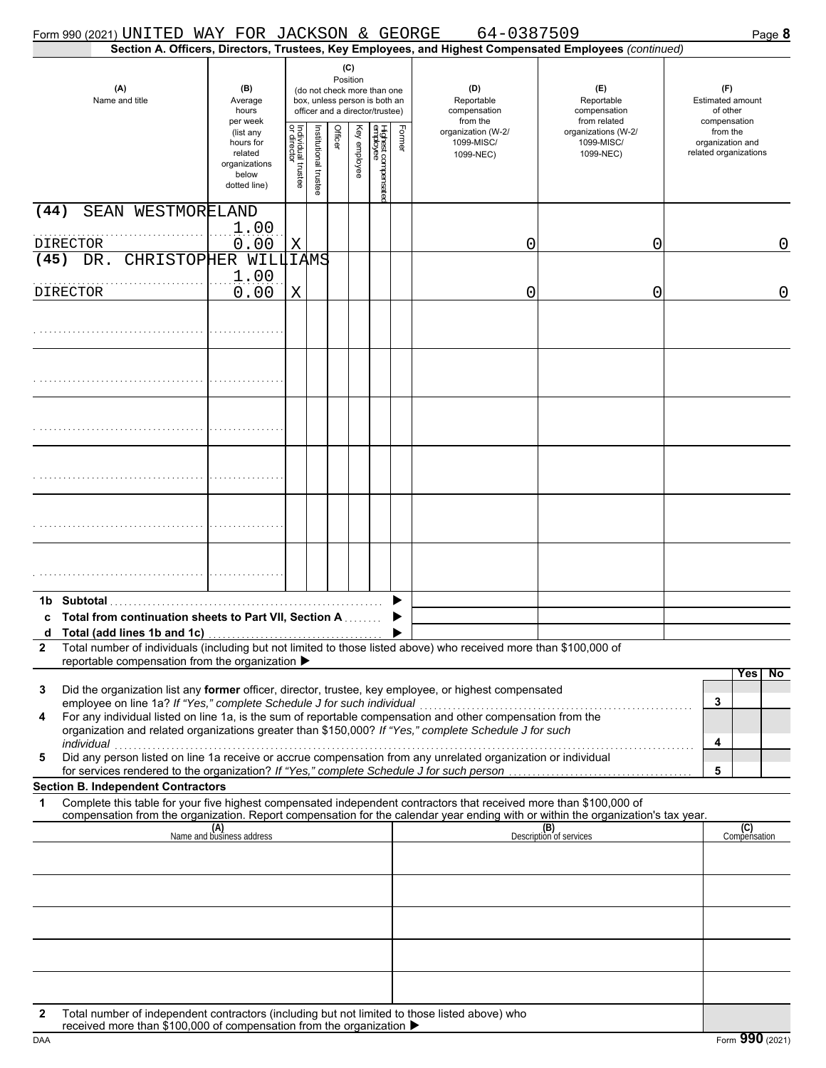| Form 990 (2021) UNITED WAY FOR JACKSON & GEORGE                                                                                                                                                                                                                                                                                                                                                                   |                                                                             |                                                                                                                    |                       |         |              |                                 |                                               | 64-0387509                                                                                             |                                                   | Page 8                                                     |
|-------------------------------------------------------------------------------------------------------------------------------------------------------------------------------------------------------------------------------------------------------------------------------------------------------------------------------------------------------------------------------------------------------------------|-----------------------------------------------------------------------------|--------------------------------------------------------------------------------------------------------------------|-----------------------|---------|--------------|---------------------------------|-----------------------------------------------|--------------------------------------------------------------------------------------------------------|---------------------------------------------------|------------------------------------------------------------|
|                                                                                                                                                                                                                                                                                                                                                                                                                   |                                                                             |                                                                                                                    |                       |         |              |                                 |                                               | Section A. Officers, Directors, Trustees, Key Employees, and Highest Compensated Employees (continued) |                                                   |                                                            |
| (A)<br>Name and title                                                                                                                                                                                                                                                                                                                                                                                             | (B)<br>Average<br>hours<br>per week                                         | (C)<br>Position<br>(do not check more than one<br>box, unless person is both an<br>officer and a director/trustee) |                       |         |              |                                 | (D)<br>Reportable<br>compensation<br>from the |                                                                                                        | (E)<br>Reportable<br>compensation<br>from related | (F)<br><b>Estimated amount</b><br>of other<br>compensation |
|                                                                                                                                                                                                                                                                                                                                                                                                                   | (list any<br>hours for<br>related<br>organizations<br>below<br>dotted line) | Individual trustee<br>or director                                                                                  | Institutional trustee | Officer | Key employee | Highest compensatec<br>employee | Former                                        | organization (W-2/<br>1099-MISC/<br>1099-NEC)                                                          | organizations (W-2/<br>1099-MISC/<br>1099-NEC)    | from the<br>organization and<br>related organizations      |
| (44)<br>SEAN WESTMORELAND<br><b>DIRECTOR</b>                                                                                                                                                                                                                                                                                                                                                                      | 1.00<br>0.00                                                                | Χ                                                                                                                  |                       |         |              |                                 |                                               | 0                                                                                                      | 0                                                 | 0                                                          |
| DR. CHRISTOPHER WILLIAMS<br>(45)                                                                                                                                                                                                                                                                                                                                                                                  |                                                                             |                                                                                                                    |                       |         |              |                                 |                                               |                                                                                                        |                                                   |                                                            |
| DIRECTOR                                                                                                                                                                                                                                                                                                                                                                                                          | 1.00<br>0.00                                                                | X                                                                                                                  |                       |         |              |                                 |                                               | 0                                                                                                      | 0                                                 | $\mathbf 0$                                                |
|                                                                                                                                                                                                                                                                                                                                                                                                                   |                                                                             |                                                                                                                    |                       |         |              |                                 |                                               |                                                                                                        |                                                   |                                                            |
|                                                                                                                                                                                                                                                                                                                                                                                                                   |                                                                             |                                                                                                                    |                       |         |              |                                 |                                               |                                                                                                        |                                                   |                                                            |
|                                                                                                                                                                                                                                                                                                                                                                                                                   |                                                                             |                                                                                                                    |                       |         |              |                                 |                                               |                                                                                                        |                                                   |                                                            |
|                                                                                                                                                                                                                                                                                                                                                                                                                   |                                                                             |                                                                                                                    |                       |         |              |                                 |                                               |                                                                                                        |                                                   |                                                            |
|                                                                                                                                                                                                                                                                                                                                                                                                                   |                                                                             |                                                                                                                    |                       |         |              |                                 |                                               |                                                                                                        |                                                   |                                                            |
|                                                                                                                                                                                                                                                                                                                                                                                                                   |                                                                             |                                                                                                                    |                       |         |              |                                 |                                               |                                                                                                        |                                                   |                                                            |
| Total from continuation sheets to Part VII, Section A<br>Total (add lines 1b and 1c)<br>a<br>Total number of individuals (including but not limited to those listed above) who received more than \$100,000 of<br>$\mathbf{2}$                                                                                                                                                                                    |                                                                             |                                                                                                                    |                       |         |              |                                 |                                               |                                                                                                        |                                                   |                                                            |
| reportable compensation from the organization ▶                                                                                                                                                                                                                                                                                                                                                                   |                                                                             |                                                                                                                    |                       |         |              |                                 |                                               |                                                                                                        |                                                   |                                                            |
| Did the organization list any former officer, director, trustee, key employee, or highest compensated<br>3<br>employee on line 1a? If "Yes," complete Schedule J for such individual<br>For any individual listed on line 1a, is the sum of reportable compensation and other compensation from the<br>4<br>organization and related organizations greater than \$150,000? If "Yes," complete Schedule J for such |                                                                             |                                                                                                                    |                       |         |              |                                 |                                               |                                                                                                        |                                                   | Yes  <br>No<br>3                                           |
| individual<br>Did any person listed on line 1a receive or accrue compensation from any unrelated organization or individual<br>5<br>for services rendered to the organization? If "Yes," complete Schedule J for such person                                                                                                                                                                                      |                                                                             |                                                                                                                    |                       |         |              |                                 |                                               |                                                                                                        |                                                   | 4<br>5                                                     |
| <b>Section B. Independent Contractors</b>                                                                                                                                                                                                                                                                                                                                                                         |                                                                             |                                                                                                                    |                       |         |              |                                 |                                               |                                                                                                        |                                                   |                                                            |
| Complete this table for your five highest compensated independent contractors that received more than \$100,000 of<br>1<br>compensation from the organization. Report compensation for the calendar year ending with or within the organization's tax year.                                                                                                                                                       |                                                                             |                                                                                                                    |                       |         |              |                                 |                                               |                                                                                                        |                                                   |                                                            |
|                                                                                                                                                                                                                                                                                                                                                                                                                   | (A)<br>Name and business address                                            |                                                                                                                    |                       |         |              |                                 |                                               |                                                                                                        | (B)<br>Description of services                    | (C)<br>Compensation                                        |
|                                                                                                                                                                                                                                                                                                                                                                                                                   |                                                                             |                                                                                                                    |                       |         |              |                                 |                                               |                                                                                                        |                                                   |                                                            |
|                                                                                                                                                                                                                                                                                                                                                                                                                   |                                                                             |                                                                                                                    |                       |         |              |                                 |                                               |                                                                                                        |                                                   |                                                            |
|                                                                                                                                                                                                                                                                                                                                                                                                                   |                                                                             |                                                                                                                    |                       |         |              |                                 |                                               |                                                                                                        |                                                   |                                                            |
|                                                                                                                                                                                                                                                                                                                                                                                                                   |                                                                             |                                                                                                                    |                       |         |              |                                 |                                               |                                                                                                        |                                                   |                                                            |
| Total number of independent contractors (including but not limited to those listed above) who<br>2<br>received more than \$100,000 of compensation from the organization ▶                                                                                                                                                                                                                                        |                                                                             |                                                                                                                    |                       |         |              |                                 |                                               |                                                                                                        |                                                   |                                                            |

| DAA | ^^^<br>nnA<br>Form. |
|-----|---------------------|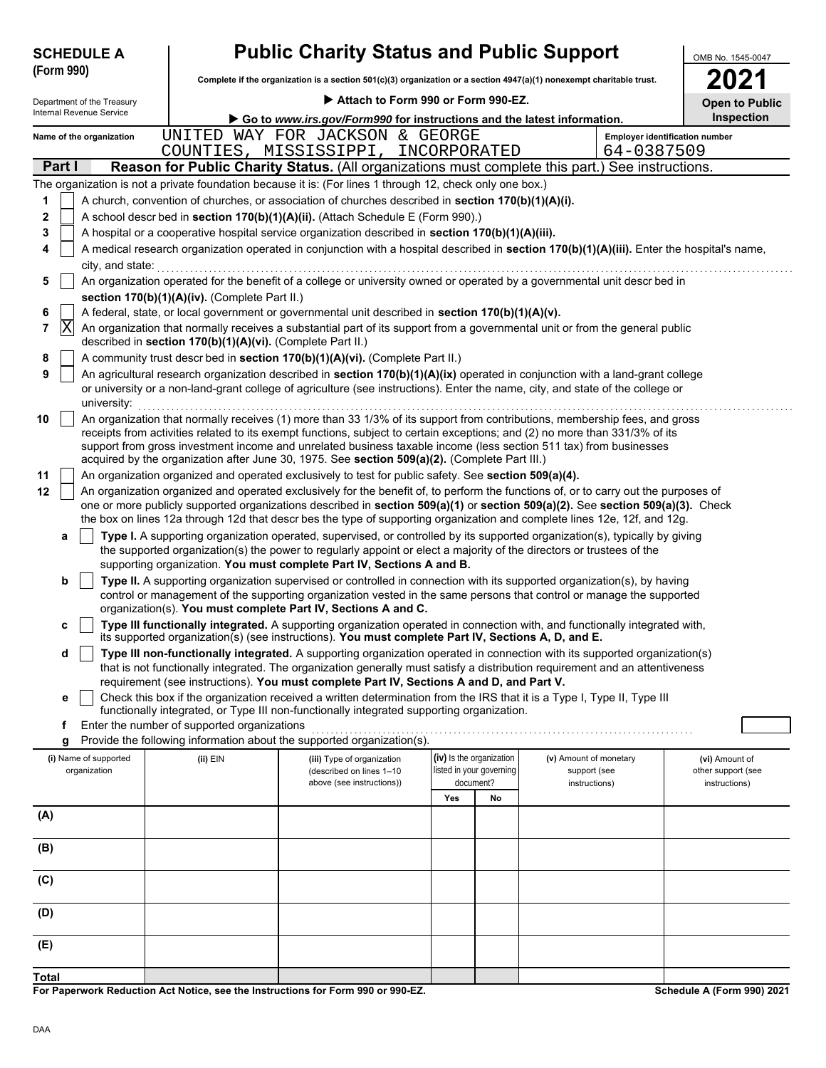| <b>SCHEDULE A</b> |  |  |
|-------------------|--|--|
|                   |  |  |

# **Public Charity Status and Public Support**

**Complete if the organization is a section 501(c)(3) organization or a section 4947(a)(1) nonexempt charitable trust. (Form 990)**

| OMB No. 1545-0047 |  |
|-------------------|--|
| 2Π                |  |

|              | Attach to Form 990 or Form 990-EZ.<br>Department of the Treasury |                          |  |                                                            |                                                                                                                                                                                                                                                 |     |                          | <b>Open to Public</b>  |            |                                       |
|--------------|------------------------------------------------------------------|--------------------------|--|------------------------------------------------------------|-------------------------------------------------------------------------------------------------------------------------------------------------------------------------------------------------------------------------------------------------|-----|--------------------------|------------------------|------------|---------------------------------------|
|              |                                                                  | Internal Revenue Service |  |                                                            | Go to www.irs.gov/Form990 for instructions and the latest information.                                                                                                                                                                          |     |                          |                        |            | Inspection                            |
|              |                                                                  | Name of the organization |  |                                                            | UNITED WAY FOR JACKSON & GEORGE                                                                                                                                                                                                                 |     |                          |                        |            | <b>Employer identification number</b> |
|              |                                                                  |                          |  |                                                            | COUNTIES, MISSISSIPPI, INCORPORATED                                                                                                                                                                                                             |     |                          |                        | 64-0387509 |                                       |
|              | Part I                                                           |                          |  |                                                            | Reason for Public Charity Status. (All organizations must complete this part.) See instructions.                                                                                                                                                |     |                          |                        |            |                                       |
|              |                                                                  |                          |  |                                                            | The organization is not a private foundation because it is: (For lines 1 through 12, check only one box.)                                                                                                                                       |     |                          |                        |            |                                       |
| 1            |                                                                  |                          |  |                                                            | A church, convention of churches, or association of churches described in section 170(b)(1)(A)(i).                                                                                                                                              |     |                          |                        |            |                                       |
| 2            |                                                                  |                          |  |                                                            | A school descr bed in section 170(b)(1)(A)(ii). (Attach Schedule E (Form 990).)                                                                                                                                                                 |     |                          |                        |            |                                       |
| 3            |                                                                  |                          |  |                                                            | A hospital or a cooperative hospital service organization described in section 170(b)(1)(A)(iii).                                                                                                                                               |     |                          |                        |            |                                       |
| 4            |                                                                  |                          |  |                                                            | A medical research organization operated in conjunction with a hospital described in section 170(b)(1)(A)(iii). Enter the hospital's name,                                                                                                      |     |                          |                        |            |                                       |
|              |                                                                  | city, and state:         |  |                                                            |                                                                                                                                                                                                                                                 |     |                          |                        |            |                                       |
| 5            |                                                                  |                          |  |                                                            | An organization operated for the benefit of a college or university owned or operated by a governmental unit descr bed in                                                                                                                       |     |                          |                        |            |                                       |
|              |                                                                  |                          |  | section 170(b)(1)(A)(iv). (Complete Part II.)              |                                                                                                                                                                                                                                                 |     |                          |                        |            |                                       |
| 6            |                                                                  |                          |  |                                                            | A federal, state, or local government or governmental unit described in section 170(b)(1)(A)(v).                                                                                                                                                |     |                          |                        |            |                                       |
| 7            | $ {\rm X} $                                                      |                          |  | described in section 170(b)(1)(A)(vi). (Complete Part II.) | An organization that normally receives a substantial part of its support from a governmental unit or from the general public                                                                                                                    |     |                          |                        |            |                                       |
| 8            |                                                                  |                          |  |                                                            | A community trust descr bed in section 170(b)(1)(A)(vi). (Complete Part II.)                                                                                                                                                                    |     |                          |                        |            |                                       |
| 9            |                                                                  |                          |  |                                                            | An agricultural research organization described in section 170(b)(1)(A)(ix) operated in conjunction with a land-grant college                                                                                                                   |     |                          |                        |            |                                       |
|              |                                                                  | university:              |  |                                                            | or university or a non-land-grant college of agriculture (see instructions). Enter the name, city, and state of the college or                                                                                                                  |     |                          |                        |            |                                       |
| 10           |                                                                  |                          |  |                                                            | An organization that normally receives (1) more than 33 1/3% of its support from contributions, membership fees, and gross                                                                                                                      |     |                          |                        |            |                                       |
|              |                                                                  |                          |  |                                                            | receipts from activities related to its exempt functions, subject to certain exceptions; and (2) no more than 331/3% of its                                                                                                                     |     |                          |                        |            |                                       |
|              |                                                                  |                          |  |                                                            | support from gross investment income and unrelated business taxable income (less section 511 tax) from businesses<br>acquired by the organization after June 30, 1975. See section 509(a)(2). (Complete Part III.)                              |     |                          |                        |            |                                       |
| 11           |                                                                  |                          |  |                                                            | An organization organized and operated exclusively to test for public safety. See section 509(a)(4).                                                                                                                                            |     |                          |                        |            |                                       |
| 12           |                                                                  |                          |  |                                                            | An organization organized and operated exclusively for the benefit of, to perform the functions of, or to carry out the purposes of                                                                                                             |     |                          |                        |            |                                       |
|              |                                                                  |                          |  |                                                            | one or more publicly supported organizations described in section 509(a)(1) or section 509(a)(2). See section 509(a)(3). Check                                                                                                                  |     |                          |                        |            |                                       |
|              |                                                                  |                          |  |                                                            | the box on lines 12a through 12d that descr bes the type of supporting organization and complete lines 12e, 12f, and 12g.                                                                                                                       |     |                          |                        |            |                                       |
|              | а                                                                |                          |  |                                                            | Type I. A supporting organization operated, supervised, or controlled by its supported organization(s), typically by giving                                                                                                                     |     |                          |                        |            |                                       |
|              |                                                                  |                          |  |                                                            | the supported organization(s) the power to regularly appoint or elect a majority of the directors or trustees of the                                                                                                                            |     |                          |                        |            |                                       |
|              |                                                                  |                          |  |                                                            | supporting organization. You must complete Part IV, Sections A and B.                                                                                                                                                                           |     |                          |                        |            |                                       |
|              | b                                                                |                          |  |                                                            | Type II. A supporting organization supervised or controlled in connection with its supported organization(s), by having<br>control or management of the supporting organization vested in the same persons that control or manage the supported |     |                          |                        |            |                                       |
|              |                                                                  |                          |  |                                                            | organization(s). You must complete Part IV, Sections A and C.                                                                                                                                                                                   |     |                          |                        |            |                                       |
|              | c                                                                |                          |  |                                                            | Type III functionally integrated. A supporting organization operated in connection with, and functionally integrated with,                                                                                                                      |     |                          |                        |            |                                       |
|              |                                                                  |                          |  |                                                            | its supported organization(s) (see instructions). You must complete Part IV, Sections A, D, and E.                                                                                                                                              |     |                          |                        |            |                                       |
|              | d                                                                |                          |  |                                                            | Type III non-functionally integrated. A supporting organization operated in connection with its supported organization(s)                                                                                                                       |     |                          |                        |            |                                       |
|              |                                                                  |                          |  |                                                            | that is not functionally integrated. The organization generally must satisfy a distribution requirement and an attentiveness<br>requirement (see instructions). You must complete Part IV, Sections A and D, and Part V.                        |     |                          |                        |            |                                       |
|              |                                                                  |                          |  |                                                            | Check this box if the organization received a written determination from the IRS that it is a Type I, Type II, Type III                                                                                                                         |     |                          |                        |            |                                       |
|              | е                                                                |                          |  |                                                            | functionally integrated, or Type III non-functionally integrated supporting organization.                                                                                                                                                       |     |                          |                        |            |                                       |
|              | f                                                                |                          |  | Enter the number of supported organizations                |                                                                                                                                                                                                                                                 |     |                          |                        |            |                                       |
|              | g                                                                |                          |  |                                                            | Provide the following information about the supported organization(s).                                                                                                                                                                          |     |                          |                        |            |                                       |
|              |                                                                  | (i) Name of supported    |  | $(ii)$ EIN                                                 | (iii) Type of organization                                                                                                                                                                                                                      |     | (iv) Is the organization | (v) Amount of monetary |            | (vi) Amount of                        |
|              |                                                                  | organization             |  |                                                            | (described on lines 1-10<br>above (see instructions))                                                                                                                                                                                           |     | listed in your governing | support (see           |            | other support (see                    |
|              |                                                                  |                          |  |                                                            |                                                                                                                                                                                                                                                 | Yes | document?<br>No          | instructions)          |            | instructions)                         |
| (A)          |                                                                  |                          |  |                                                            |                                                                                                                                                                                                                                                 |     |                          |                        |            |                                       |
|              |                                                                  |                          |  |                                                            |                                                                                                                                                                                                                                                 |     |                          |                        |            |                                       |
| (B)          |                                                                  |                          |  |                                                            |                                                                                                                                                                                                                                                 |     |                          |                        |            |                                       |
|              |                                                                  |                          |  |                                                            |                                                                                                                                                                                                                                                 |     |                          |                        |            |                                       |
| (C)          |                                                                  |                          |  |                                                            |                                                                                                                                                                                                                                                 |     |                          |                        |            |                                       |
|              |                                                                  |                          |  |                                                            |                                                                                                                                                                                                                                                 |     |                          |                        |            |                                       |
| (D)          |                                                                  |                          |  |                                                            |                                                                                                                                                                                                                                                 |     |                          |                        |            |                                       |
|              |                                                                  |                          |  |                                                            |                                                                                                                                                                                                                                                 |     |                          |                        |            |                                       |
| (E)          |                                                                  |                          |  |                                                            |                                                                                                                                                                                                                                                 |     |                          |                        |            |                                       |
|              |                                                                  |                          |  |                                                            |                                                                                                                                                                                                                                                 |     |                          |                        |            |                                       |
| <b>Total</b> |                                                                  |                          |  |                                                            |                                                                                                                                                                                                                                                 |     |                          |                        |            |                                       |

**For Paperwork Reduction Act Notice, see the Instructions for Form 990 or 990-EZ.**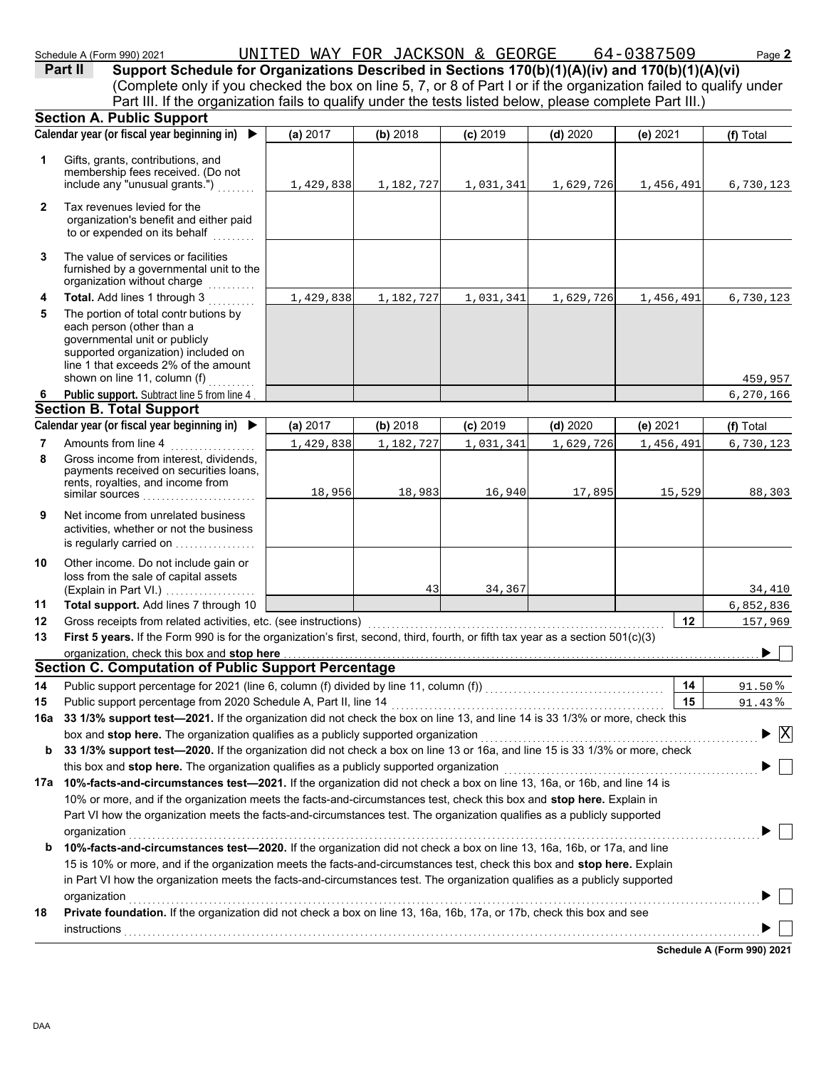459,957 6,270,166

| Schedule A (Form 990) 2021                                                                                        | UNITED     | WAY FOR JACKSON & | GEORGE     |            | 64-0387509 | Page 2    |
|-------------------------------------------------------------------------------------------------------------------|------------|-------------------|------------|------------|------------|-----------|
| Part II<br>Support Schedule for Organizations Described in Sections 170(b)(1)(A)(iv) and 170(b)(1)(A)(vi)         |            |                   |            |            |            |           |
| (Complete only if you checked the box on line 5, 7, or 8 of Part I or if the organization failed to qualify under |            |                   |            |            |            |           |
| Part III. If the organization fails to qualify under the tests listed below, please complete Part III.)           |            |                   |            |            |            |           |
| <b>Section A. Public Support</b>                                                                                  |            |                   |            |            |            |           |
| Calendar year (or fiscal year beginning in) ▶                                                                     | (a) $2017$ | (b) 2018          | $(c)$ 2019 | $(d)$ 2020 | (e) $2021$ | (f) Total |
| Gifts, grants, contributions, and<br>membership fees received. (Do not<br>include any "unusual grants.")          | 1,429,838  | 1,182,727         | 1,031,341  | 1,629,726  | 1,456,491  | 6,730,123 |
| Tax revenues levied for the<br>organization's benefit and either paid<br>to or expended on its behalf             |            |                   |            |            |            |           |
| The value of services or facilities                                                                               |            |                   |            |            |            |           |

1,429,838 1,182,727 1,031,341 1,629,726 1,456,491 6,730,123

43 34,367 34,410

- The value of services or fac **3** furnished by a governmental unit to the organization without charge
- governmental unit or publicly line 1 that exceeds 2% of the amount supported organization) included on each person (other than a The portion of total contr butions by **Total.** Add lines 1 through 3 ........... **4 5** shown on line 11, column  $(f)$  . . . . . . . . .
- Public support. Subtract line 5 from line 4 **6**

#### **Section B. Total Support**

|   | Calendar year (or fiscal year beginning in) ▶                                                                                            | (a) $2017$ | (b) 2018  | $(c)$ 2019 | (d) 2020  | (e) $2021$ | (f) Total |
|---|------------------------------------------------------------------------------------------------------------------------------------------|------------|-----------|------------|-----------|------------|-----------|
|   | Amounts from line 4                                                                                                                      | 1,429,838  | 1,182,727 | 1,031,341  | 1,629,726 | 1,456,491  | 6,730,123 |
| 8 | Gross income from interest, dividends,<br>payments received on securities loans,<br>rents, royalties, and income from<br>similar sources | 18,956     | 18,983    | 16,940     | 17,895    | 15,529     | 88,303    |
| 9 | Net income from unrelated business<br>activities, whether or not the business<br>is regularly carried on                                 |            |           |            |           |            |           |

(Explain in Part VI.) . . . . . . . . . . . . . . . . . . loss from the sale of capital assets Other income. Do not include gain or **10**

| 11 Total support. Add lines 7 through 10 |
|------------------------------------------|
|                                          |

| 11 | <b>Total support.</b> Add lines 7 through 10                                                                                    |    | 6,852,836 |  |  |  |  |  |
|----|---------------------------------------------------------------------------------------------------------------------------------|----|-----------|--|--|--|--|--|
| 12 | Gross receipts from related activities, etc. (see instructions)                                                                 | 12 | 157,969   |  |  |  |  |  |
| 13 | First 5 years. If the Form 990 is for the organization's first, second, third, fourth, or fifth tax year as a section 501(c)(3) |    |           |  |  |  |  |  |
|    | organization, check this box and stop here                                                                                      |    |           |  |  |  |  |  |
|    | Section C. Computation of Public Support Percentage                                                                             |    |           |  |  |  |  |  |
| 14 | Public support percentage for 2021 (line 6, column (f) divided by line 11, column (f))                                          | 14 | 91.50%    |  |  |  |  |  |
| 15 | Public support percentage from 2020 Schedule A, Part II, line 14                                                                | 15 | 91.43%    |  |  |  |  |  |

| 15 Public support percentage from 2020 Schedule A, Part II, line 14                                                             | 15 |
|---------------------------------------------------------------------------------------------------------------------------------|----|
| 16a 33 1/3% support test—2021. If the organization did not check the box on line 13, and line 14 is 33 1/3% or more, check this |    |

| $\blacktriangleright \overline{X}$                                                                                                                                                                                                                                      |
|-------------------------------------------------------------------------------------------------------------------------------------------------------------------------------------------------------------------------------------------------------------------------|
|                                                                                                                                                                                                                                                                         |
|                                                                                                                                                                                                                                                                         |
|                                                                                                                                                                                                                                                                         |
| 16a 33 1/3% support test—2021. If the organization did not check the box on line 13, and line 14 is 33 1/3% or more, check this<br><b>b</b> 33 1/3% support test—2020. If the organization did not check a box on line 13 or 16a, and line 15 is 33 1/3% or more, check |

|   | $\sim$ . The contract the contract the contract of the contract of the contract of the contract of the contract of the contract of the contract of the contract of the contract of the contract of the contract of the contract |
|---|---------------------------------------------------------------------------------------------------------------------------------------------------------------------------------------------------------------------------------|
|   | 10% or more, and if the organization meets the facts-and-circumstances test, check this box and stop here. Explain in                                                                                                           |
|   | Part VI how the organization meets the facts-and-circumstances test. The organization qualifies as a publicly supported                                                                                                         |
|   | organization                                                                                                                                                                                                                    |
| b | 10%-facts-and-circumstances test-2020. If the organization did not check a box on line 13, 16a, 16b, or 17a, and line                                                                                                           |
|   | 15 is 10% or more, and if the organization meets the facts-and-circumstances test, check this box and stop here. Explain                                                                                                        |
|   | in Part VI how the organization meets the facts-and-circumstances test. The organization qualifies as a publicly supported                                                                                                      |
|   | organization                                                                                                                                                                                                                    |
|   |                                                                                                                                                                                                                                 |

**18 Private foundation.** If the organization did not check a box on line 13, 16a, 16b, 17a, or 17b, check this box and see instructions . . . . . . . . . . . . . . . . . . . . . . . . . . . . . . . . . . . . . . . . . . . . . . . . . . . . . . . . . . . . . . . . . . . . . . . . . . . . . . . . . . . . . . . . . . . . . . . . . . . . . . . . . . . . . . . . . . . . . . . . . . . . . . . . . . . . . . .

**Schedule A (Form 990) 2021**

 $\blacktriangleright$   $\vdash$ 

 $\blacktriangleright$   $\Box$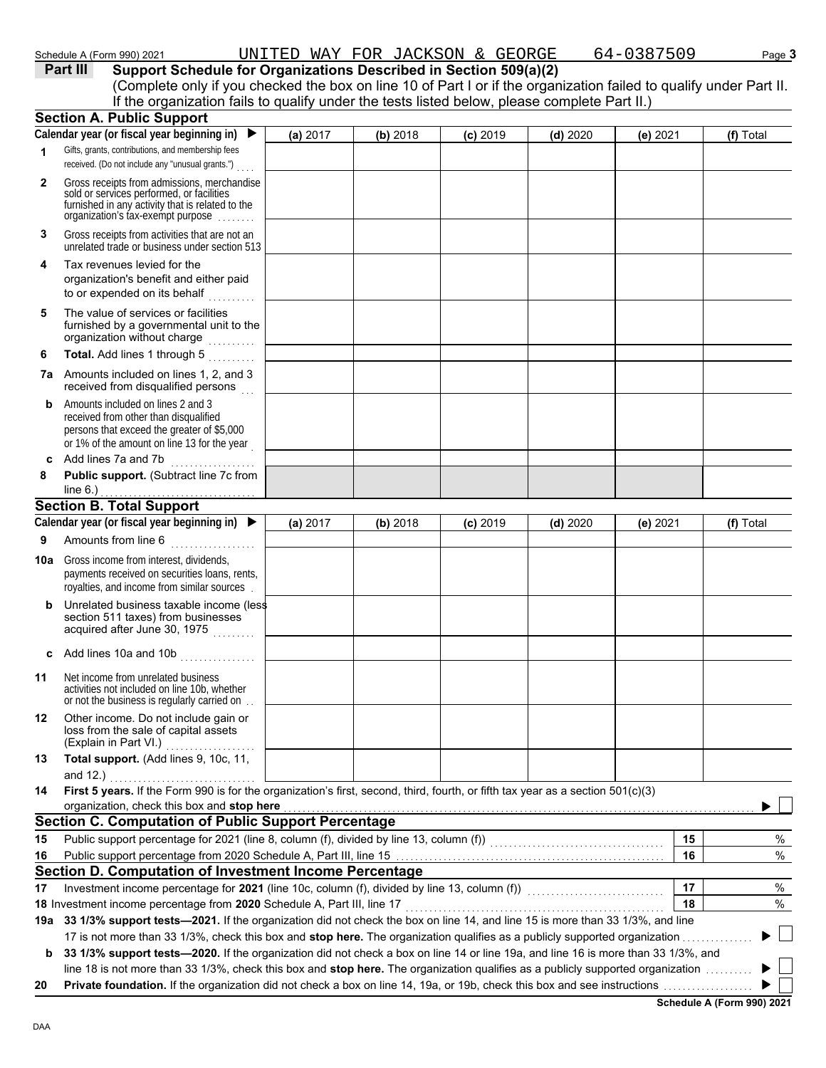|              | Schedule A (Form 990) 2021                                                                                                                                                                                                                                                                          |          | UNITED WAY FOR JACKSON & GEORGE |            |            | 64-0387509 | Page 3    |
|--------------|-----------------------------------------------------------------------------------------------------------------------------------------------------------------------------------------------------------------------------------------------------------------------------------------------------|----------|---------------------------------|------------|------------|------------|-----------|
|              | Part III<br>Support Schedule for Organizations Described in Section 509(a)(2)<br>(Complete only if you checked the box on line 10 of Part I or if the organization failed to qualify under Part II.<br>If the organization fails to qualify under the tests listed below, please complete Part II.) |          |                                 |            |            |            |           |
|              | <b>Section A. Public Support</b>                                                                                                                                                                                                                                                                    |          |                                 |            |            |            |           |
|              | Calendar year (or fiscal year beginning in)                                                                                                                                                                                                                                                         | (a) 2017 | (b) 2018                        | $(c)$ 2019 | $(d)$ 2020 | (e) 2021   | (f) Total |
|              | Gifts, grants, contributions, and membership fees<br>received. (Do not include any "unusual grants.")                                                                                                                                                                                               |          |                                 |            |            |            |           |
| $\mathbf{2}$ | Gross receipts from admissions, merchandise<br>sold or services performed, or facilities<br>furnished in any activity that is related to the<br>organization's tax-exempt purpose                                                                                                                   |          |                                 |            |            |            |           |
| 3            | Gross receipts from activities that are not an<br>unrelated trade or business under section 513                                                                                                                                                                                                     |          |                                 |            |            |            |           |
| 4            | Tax revenues levied for the<br>organization's benefit and either paid<br>to or expended on its behalf                                                                                                                                                                                               |          |                                 |            |            |            |           |
| 5            | The value of services or facilities<br>furnished by a governmental unit to the<br>organization without charge                                                                                                                                                                                       |          |                                 |            |            |            |           |
| 6            | <b>Total.</b> Add lines 1 through 5                                                                                                                                                                                                                                                                 |          |                                 |            |            |            |           |
|              | <b>7a</b> Amounts included on lines 1 2 and 3                                                                                                                                                                                                                                                       |          |                                 |            |            |            |           |

|   | <b>7a</b> Amounts included on lines 1, 2, and 3<br>received from disqualified persons                                                                                   |  |
|---|-------------------------------------------------------------------------------------------------------------------------------------------------------------------------|--|
| b | Amounts included on lines 2 and 3<br>received from other than disqualified<br>persons that exceed the greater of \$5,000<br>or 1% of the amount on line 13 for the year |  |
|   | Add lines 7a and 7b                                                                                                                                                     |  |
|   |                                                                                                                                                                         |  |

| -8 |             | .<br><b>Public support.</b> (Subtract line 7c from |
|----|-------------|----------------------------------------------------|
|    | line $6.$ ) |                                                    |

# **Section B. Total Support**

|                 | Calendar year (or fiscal year beginning in) $\blacktriangleright$                                                                                                                                                                                                                                 | (a) 2017 | (b) 2018 | $(c)$ 2019 | $(d)$ 2020 | (e) 2021 | (f) Total |
|-----------------|---------------------------------------------------------------------------------------------------------------------------------------------------------------------------------------------------------------------------------------------------------------------------------------------------|----------|----------|------------|------------|----------|-----------|
| 9               | Amounts from line 6                                                                                                                                                                                                                                                                               |          |          |            |            |          |           |
| 10a             | Gross income from interest, dividends,<br>payments received on securities loans, rents,<br>royalties, and income from similar sources                                                                                                                                                             |          |          |            |            |          |           |
| b               | Unrelated business taxable income (less<br>section 511 taxes) from businesses<br>acquired after June 30, 1975                                                                                                                                                                                     |          |          |            |            |          |           |
| c               | Add lines 10a and 10b                                                                                                                                                                                                                                                                             |          |          |            |            |          |           |
| 11              | Net income from unrelated business<br>activities not included on line 10b, whether<br>or not the business is regularly carried on.                                                                                                                                                                |          |          |            |            |          |           |
| 12 <sup>°</sup> | Other income. Do not include gain or<br>loss from the sale of capital assets<br>(Explain in Part VI.)                                                                                                                                                                                             |          |          |            |            |          |           |
| 13              | Total support. (Add lines 9, 10c, 11,                                                                                                                                                                                                                                                             |          |          |            |            |          |           |
| 14              | and $12.$ )<br>First 5 years. If the Form 990 is for the organization's first, second, third, fourth, or fifth tax year as a section 501(c)(3)                                                                                                                                                    |          |          |            |            |          |           |
|                 | organization, check this box and stop here <b>construction</b> and construction of the state of the state of the state of the state of the state of the state of the state of the state of the state of the state of the state of t<br><b>Section C. Computation of Public Support Percentage</b> |          |          |            |            |          |           |
| 15              |                                                                                                                                                                                                                                                                                                   |          |          |            |            | 15       | %         |
| 16              |                                                                                                                                                                                                                                                                                                   |          |          |            |            | 16       | %         |
|                 | Section D. Computation of Investment Income Percentage                                                                                                                                                                                                                                            |          |          |            |            |          |           |
| 17              | Investment income percentage for 2021 (line 10c, column (f), divided by line 13, column (f)) [[[[[[[[[[[[[[[[                                                                                                                                                                                     |          |          |            |            | 17       | %         |
|                 | 18 Investment income percentage from 2020 Schedule A, Part III, line 17                                                                                                                                                                                                                           |          |          |            |            | 18       | %         |
|                 | 19a 33 1/3% support tests—2021. If the organization did not check the box on line 14, and line 15 is more than 33 1/3%, and line                                                                                                                                                                  |          |          |            |            |          |           |
|                 | 17 is not more than 33 1/3%, check this box and stop here. The organization qualifies as a publicly supported organization                                                                                                                                                                        |          |          |            |            |          |           |
| b               | 33 1/3% support tests-2020. If the organization did not check a box on line 14 or line 19a, and line 16 is more than 33 1/3%, and                                                                                                                                                                 |          |          |            |            |          |           |
|                 | line 18 is not more than 33 1/3%, check this box and <b>stop here.</b> The organization qualifies as a publicly supported organization                                                                                                                                                            |          |          |            |            |          |           |
| 20              |                                                                                                                                                                                                                                                                                                   |          |          |            |            |          |           |

**Schedule A (Form 990) 2021**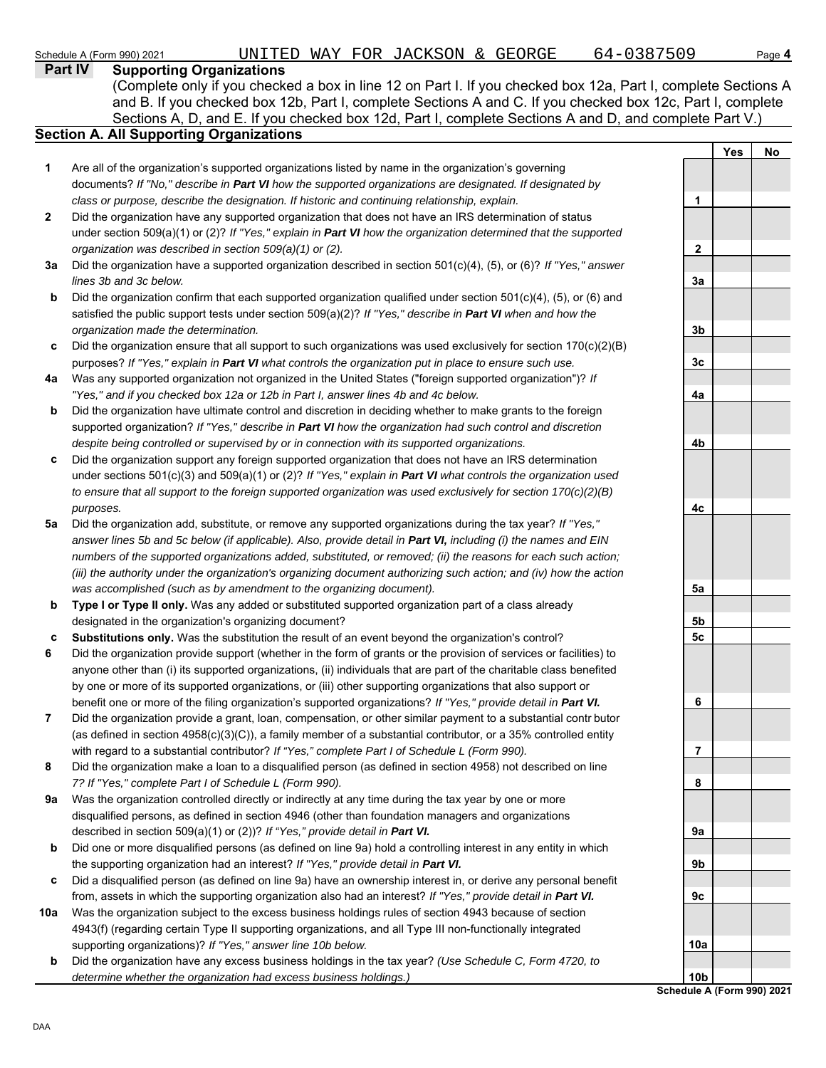Schedule A (Form 990) 2021 UNITED WAY FOR JACKSON & GEORGE 64-0387509 Page **4**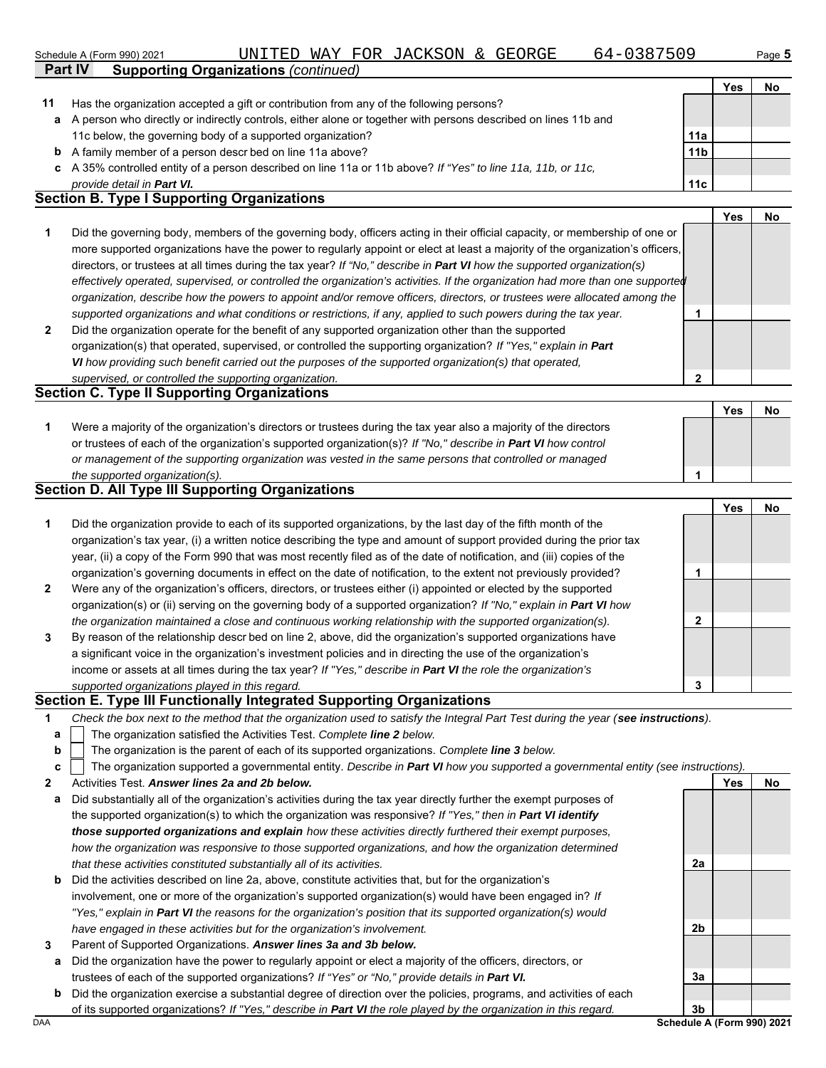| Schedule A (Form 990) 2021        |                                                                                                                | UNITED WAY FOR JACKSON & GEORGE |  | 64-0387509 |                 |                    | Page 5               |
|-----------------------------------|----------------------------------------------------------------------------------------------------------------|---------------------------------|--|------------|-----------------|--------------------|----------------------|
| <b>Part IV</b>                    | <b>Supporting Organizations (continued)</b>                                                                    |                                 |  |            |                 |                    |                      |
|                                   |                                                                                                                |                                 |  |            |                 | Yes                | No                   |
| 11                                | Has the organization accepted a gift or contribution from any of the following persons?                        |                                 |  |            |                 |                    |                      |
| a                                 | A person who directly or indirectly controls, either alone or together with persons described on lines 11b and |                                 |  |            |                 |                    |                      |
|                                   | 11c below, the governing body of a supported organization?                                                     |                                 |  |            | 11a             |                    |                      |
| b                                 | A family member of a person descr bed on line 11a above?                                                       |                                 |  |            | 11 <sub>b</sub> |                    |                      |
|                                   | c A 35% controlled entity of a person described on line 11a or 11b above? If "Yes" to line 11a, 11b, or 11c,   |                                 |  |            |                 |                    |                      |
| provide detail in <b>Part VI.</b> |                                                                                                                |                                 |  |            | 11c             |                    |                      |
|                                   | <b>Section B. Type I Supporting Organizations</b>                                                              |                                 |  |            |                 |                    |                      |
|                                   |                                                                                                                |                                 |  |            |                 | $V_{\alpha\alpha}$ | <b>N<sub>n</sub></b> |

|                |                                                                                                                                | . | . |
|----------------|--------------------------------------------------------------------------------------------------------------------------------|---|---|
|                | Did the governing body, members of the governing body, officers acting in their official capacity, or membership of one or     |   |   |
|                | more supported organizations have the power to regularly appoint or elect at least a majority of the organization's officers,  |   |   |
|                | directors, or trustees at all times during the tax year? If "No," describe in <b>Part VI</b> how the supported organization(s) |   |   |
|                | effectively operated, supervised, or controlled the organization's activities. If the organization had more than one supported |   |   |
|                | organization, describe how the powers to appoint and/or remove officers, directors, or trustees were allocated among the       |   |   |
|                | supported organizations and what conditions or restrictions, if any, applied to such powers during the tax year.               |   |   |
| $\overline{2}$ | Did the organization operate for the benefit of any supported organization other than the supported                            |   |   |
|                | organization(s) that operated, supervised, or controlled the supporting organization? If "Yes," explain in Part                |   |   |
|                |                                                                                                                                |   |   |

*VI how providing such benefit carried out the purposes of the supported organization(s) that operated, supervised, or controlled the supporting organization.*

# **Section C. Type II Supporting Organizations**

|                                                                                                                      | <b>Yes</b> | <b>No</b> |
|----------------------------------------------------------------------------------------------------------------------|------------|-----------|
| Were a majority of the organization's directors or trustees during the tax year also a majority of the directors     |            |           |
| or trustees of each of the organization's supported organization(s)? If "No," describe in <b>Part VI</b> how control |            |           |
| or management of the supporting organization was vested in the same persons that controlled or managed               |            |           |
| the supported organization(s).                                                                                       |            |           |

### **Section D. All Type III Supporting Organizations**

|                |                                                                                                                        |   | Yes | No |
|----------------|------------------------------------------------------------------------------------------------------------------------|---|-----|----|
| 1              | Did the organization provide to each of its supported organizations, by the last day of the fifth month of the         |   |     |    |
|                | organization's tax year, (i) a written notice describing the type and amount of support provided during the prior tax  |   |     |    |
|                | year, (ii) a copy of the Form 990 that was most recently filed as of the date of notification, and (iii) copies of the |   |     |    |
|                | organization's governing documents in effect on the date of notification, to the extent not previously provided?       |   |     |    |
| $\overline{2}$ | Were any of the organization's officers, directors, or trustees either (i) appointed or elected by the supported       |   |     |    |
|                | organization(s) or (ii) serving on the governing body of a supported organization? If "No," explain in Part VI how     |   |     |    |
|                | the organization maintained a close and continuous working relationship with the supported organization(s).            |   |     |    |
| 3              | By reason of the relationship descr bed on line 2, above, did the organization's supported organizations have          |   |     |    |
|                | a significant voice in the organization's investment policies and in directing the use of the organization's           |   |     |    |
|                | income or assets at all times during the tax year? If "Yes," describe in Part VI the role the organization's           |   |     |    |
|                | supported organizations played in this regard.                                                                         | з |     |    |

#### **Section E. Type III Functionally Integrated Supporting Organizations**

| Check the box next to the method that the organization used to satisfy the Integral Part Test during the year (see instructions). |  |  |
|-----------------------------------------------------------------------------------------------------------------------------------|--|--|
|                                                                                                                                   |  |  |
|                                                                                                                                   |  |  |

- The organization satisfied the Activities Test. *Complete line 2 below.* **a**
- The organization is the parent of each of its supported organizations. *Complete line 3 below.* **b**

- **2** Activities Test. *Answer lines 2a and 2b below.*
- **a** Did substantially all of the organization's activities during the tax year directly further the exempt purposes of the supported organization(s) to which the organization was responsive? *If "Yes," then in Part VI identify those supported organizations and explain how these activities directly furthered their exempt purposes, how the organization was responsive to those supported organizations, and how the organization determined that these activities constituted substantially all of its activities.*
- **b** Did the activities described on line 2a, above, constitute activities that, but for the organization's involvement, one or more of the organization's supported organization(s) would have been engaged in? *If "Yes," explain in Part VI the reasons for the organization's position that its supported organization(s) would have engaged in these activities but for the organization's involvement.*
- **3** Parent of Supported Organizations. *Answer lines 3a and 3b below.*
	- **a** Did the organization have the power to regularly appoint or elect a majority of the officers, directors, or trustees of each of the supported organizations? *If "Yes" or "No," provide details in Part VI.*
- DAA **Schedule A (Form 990) 2021 b** Did the organization exercise a substantial degree of direction over the policies, programs, and activities of each of its supported organizations? *If "Yes," describe in Part VI the role played by the organization in this regard.*

**2a**

**2b**

**3a**

**3b**

Yes No

**2**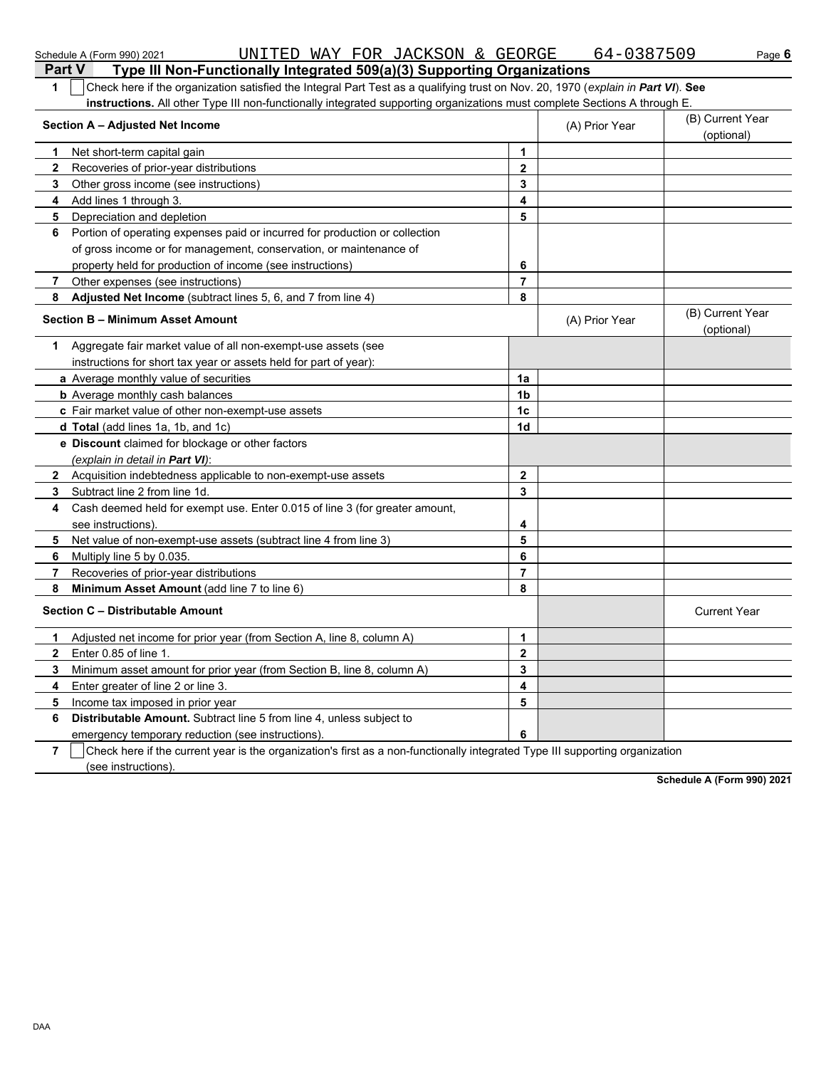|                | UNITED WAY FOR JACKSON & GEORGE<br>Schedule A (Form 990) 2021                                                                    |                         | 64-0387509     | Page 6                         |
|----------------|----------------------------------------------------------------------------------------------------------------------------------|-------------------------|----------------|--------------------------------|
| <b>Part V</b>  | Type III Non-Functionally Integrated 509(a)(3) Supporting Organizations                                                          |                         |                |                                |
| 1              | Check here if the organization satisfied the Integral Part Test as a qualifying trust on Nov. 20, 1970 (explain in Part VI). See |                         |                |                                |
|                | instructions. All other Type III non-functionally integrated supporting organizations must complete Sections A through E.        |                         |                |                                |
|                | Section A - Adjusted Net Income                                                                                                  |                         | (A) Prior Year | (B) Current Year<br>(optional) |
| 1              | Net short-term capital gain                                                                                                      | 1                       |                |                                |
| $\mathbf{2}$   | Recoveries of prior-year distributions                                                                                           | 2                       |                |                                |
| 3              | Other gross income (see instructions)                                                                                            | 3                       |                |                                |
| 4              | Add lines 1 through 3.                                                                                                           | 4                       |                |                                |
| 5              | Depreciation and depletion                                                                                                       | 5                       |                |                                |
| 6              | Portion of operating expenses paid or incurred for production or collection                                                      |                         |                |                                |
|                | of gross income or for management, conservation, or maintenance of                                                               |                         |                |                                |
|                | property held for production of income (see instructions)                                                                        | 6                       |                |                                |
| 7              | Other expenses (see instructions)                                                                                                | 7                       |                |                                |
| 8              | Adjusted Net Income (subtract lines 5, 6, and 7 from line 4)                                                                     | 8                       |                |                                |
|                | Section B - Minimum Asset Amount                                                                                                 |                         | (A) Prior Year | (B) Current Year<br>(optional) |
| 1.             | Aggregate fair market value of all non-exempt-use assets (see                                                                    |                         |                |                                |
|                | instructions for short tax year or assets held for part of year):                                                                |                         |                |                                |
|                | a Average monthly value of securities                                                                                            | 1a                      |                |                                |
|                | <b>b</b> Average monthly cash balances                                                                                           | 1b                      |                |                                |
|                | c Fair market value of other non-exempt-use assets                                                                               | 1c                      |                |                                |
|                | d Total (add lines 1a, 1b, and 1c)                                                                                               | 1d                      |                |                                |
|                | e Discount claimed for blockage or other factors                                                                                 |                         |                |                                |
|                | (explain in detail in Part VI):                                                                                                  |                         |                |                                |
| $\mathbf{2}$   | Acquisition indebtedness applicable to non-exempt-use assets                                                                     | $\mathbf{2}$            |                |                                |
| 3              | Subtract line 2 from line 1d.                                                                                                    | 3                       |                |                                |
| 4              | Cash deemed held for exempt use. Enter 0.015 of line 3 (for greater amount,                                                      |                         |                |                                |
|                | see instructions)                                                                                                                | 4                       |                |                                |
| 5              | Net value of non-exempt-use assets (subtract line 4 from line 3)                                                                 | 5                       |                |                                |
| 6              | Multiply line 5 by 0.035.                                                                                                        | 6                       |                |                                |
| 7              | Recoveries of prior-year distributions                                                                                           | 7                       |                |                                |
| 8              | Minimum Asset Amount (add line 7 to line 6)                                                                                      | 8                       |                |                                |
|                | Section C - Distributable Amount                                                                                                 |                         |                | <b>Current Year</b>            |
|                | Adjusted net income for prior year (from Section A, line 8, column A)                                                            | 1                       |                |                                |
| 2              | Enter 0.85 of line 1.                                                                                                            | $\overline{\mathbf{2}}$ |                |                                |
| 3              | Minimum asset amount for prior year (from Section B, line 8, column A)                                                           | 3                       |                |                                |
| 4              | Enter greater of line 2 or line 3.                                                                                               | 4                       |                |                                |
| 5              | Income tax imposed in prior year                                                                                                 | 5                       |                |                                |
| 6              | Distributable Amount. Subtract line 5 from line 4, unless subject to                                                             |                         |                |                                |
|                | emergency temporary reduction (see instructions)                                                                                 | 6                       |                |                                |
| $\overline{7}$ | Check here if the current year is the organization's first as a non-functionally integrated Type III supporting organization     |                         |                |                                |

 $\overline{\phantom{a}}$  (see instructions).

**Schedule A (Form 990) 2021**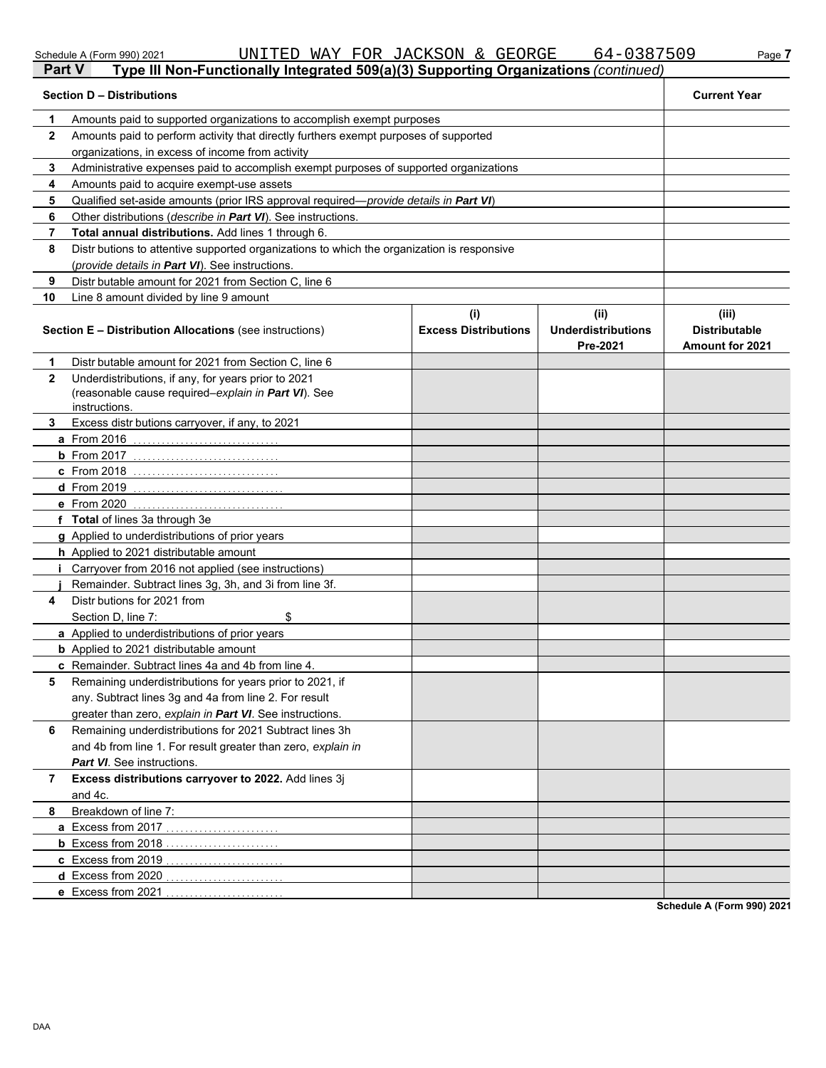|              | <b>Section D - Distributions</b>                                                                                            |                                    |                                               |                                                         |  |  |  |  |  |
|--------------|-----------------------------------------------------------------------------------------------------------------------------|------------------------------------|-----------------------------------------------|---------------------------------------------------------|--|--|--|--|--|
| 1            | Amounts paid to supported organizations to accomplish exempt purposes                                                       |                                    |                                               |                                                         |  |  |  |  |  |
| 2            | Amounts paid to perform activity that directly furthers exempt purposes of supported                                        |                                    |                                               |                                                         |  |  |  |  |  |
|              | organizations, in excess of income from activity                                                                            |                                    |                                               |                                                         |  |  |  |  |  |
| 3            | Administrative expenses paid to accomplish exempt purposes of supported organizations                                       |                                    |                                               |                                                         |  |  |  |  |  |
| 4            | Amounts paid to acquire exempt-use assets                                                                                   |                                    |                                               |                                                         |  |  |  |  |  |
| 5            | Qualified set-aside amounts (prior IRS approval required— <i>provide details in Part VI</i> )                               |                                    |                                               |                                                         |  |  |  |  |  |
| 6            | Other distributions ( <i>describe in Part VI</i> ). See instructions.                                                       |                                    |                                               |                                                         |  |  |  |  |  |
| 7            | Total annual distributions. Add lines 1 through 6.                                                                          |                                    |                                               |                                                         |  |  |  |  |  |
| 8            | Distr butions to attentive supported organizations to which the organization is responsive                                  |                                    |                                               |                                                         |  |  |  |  |  |
|              | (provide details in Part VI). See instructions.                                                                             |                                    |                                               |                                                         |  |  |  |  |  |
| 9            | Distr butable amount for 2021 from Section C, line 6                                                                        |                                    |                                               |                                                         |  |  |  |  |  |
| 10           | Line 8 amount divided by line 9 amount                                                                                      |                                    |                                               |                                                         |  |  |  |  |  |
|              | <b>Section E - Distribution Allocations (see instructions)</b>                                                              | (i)<br><b>Excess Distributions</b> | (ii)<br><b>Underdistributions</b><br>Pre-2021 | (iii)<br><b>Distributable</b><br><b>Amount for 2021</b> |  |  |  |  |  |
| 1            | Distr butable amount for 2021 from Section C, line 6                                                                        |                                    |                                               |                                                         |  |  |  |  |  |
| $\mathbf{2}$ | Underdistributions, if any, for years prior to 2021<br>(reasonable cause required-explain in Part VI). See<br>instructions. |                                    |                                               |                                                         |  |  |  |  |  |
| 3            | Excess distr butions carryover, if any, to 2021                                                                             |                                    |                                               |                                                         |  |  |  |  |  |
|              | a From 2016                                                                                                                 |                                    |                                               |                                                         |  |  |  |  |  |
|              | <b>b</b> From 2017                                                                                                          |                                    |                                               |                                                         |  |  |  |  |  |
|              | C From 2018                                                                                                                 |                                    |                                               |                                                         |  |  |  |  |  |
|              | <b>d</b> From 2019                                                                                                          |                                    |                                               |                                                         |  |  |  |  |  |
|              | e From 2020                                                                                                                 |                                    |                                               |                                                         |  |  |  |  |  |
|              | f Total of lines 3a through 3e                                                                                              |                                    |                                               |                                                         |  |  |  |  |  |
|              | g Applied to underdistributions of prior years                                                                              |                                    |                                               |                                                         |  |  |  |  |  |
|              | <b>h</b> Applied to 2021 distributable amount                                                                               |                                    |                                               |                                                         |  |  |  |  |  |
|              | Carryover from 2016 not applied (see instructions)                                                                          |                                    |                                               |                                                         |  |  |  |  |  |
|              | Remainder. Subtract lines 3g, 3h, and 3i from line 3f.                                                                      |                                    |                                               |                                                         |  |  |  |  |  |
| 4            | Distr butions for 2021 from                                                                                                 |                                    |                                               |                                                         |  |  |  |  |  |
|              | \$<br>Section D, line 7:                                                                                                    |                                    |                                               |                                                         |  |  |  |  |  |
|              | a Applied to underdistributions of prior years                                                                              |                                    |                                               |                                                         |  |  |  |  |  |
|              | <b>b</b> Applied to 2021 distributable amount                                                                               |                                    |                                               |                                                         |  |  |  |  |  |
| 5            | c Remainder. Subtract lines 4a and 4b from line 4.<br>Remaining underdistributions for years prior to 2021, if              |                                    |                                               |                                                         |  |  |  |  |  |
|              | any. Subtract lines 3g and 4a from line 2. For result                                                                       |                                    |                                               |                                                         |  |  |  |  |  |
|              | greater than zero, explain in Part VI. See instructions.                                                                    |                                    |                                               |                                                         |  |  |  |  |  |
| 6            | Remaining underdistributions for 2021 Subtract lines 3h                                                                     |                                    |                                               |                                                         |  |  |  |  |  |
|              | and 4b from line 1. For result greater than zero, explain in                                                                |                                    |                                               |                                                         |  |  |  |  |  |
|              | <b>Part VI</b> . See instructions.                                                                                          |                                    |                                               |                                                         |  |  |  |  |  |
| 7            | Excess distributions carryover to 2022. Add lines 3j                                                                        |                                    |                                               |                                                         |  |  |  |  |  |
|              | and 4c.                                                                                                                     |                                    |                                               |                                                         |  |  |  |  |  |
| 8            | Breakdown of line 7:                                                                                                        |                                    |                                               |                                                         |  |  |  |  |  |
|              | a Excess from 2017                                                                                                          |                                    |                                               |                                                         |  |  |  |  |  |
|              | <b>b</b> Excess from 2018                                                                                                   |                                    |                                               |                                                         |  |  |  |  |  |
|              | c Excess from 2019                                                                                                          |                                    |                                               |                                                         |  |  |  |  |  |
|              | d Excess from 2020                                                                                                          |                                    |                                               |                                                         |  |  |  |  |  |
|              | e Excess from 2021                                                                                                          |                                    |                                               |                                                         |  |  |  |  |  |

Schedule A (Form 990) 2021 UNITED WAY FOR JACKSON & GEORGE 64-0387509 Page **7** 

**Part V Type III Non-Functionally Integrated 509(a)(3) Supporting Organizations** *(continued)*

**Schedule A (Form 990) 2021**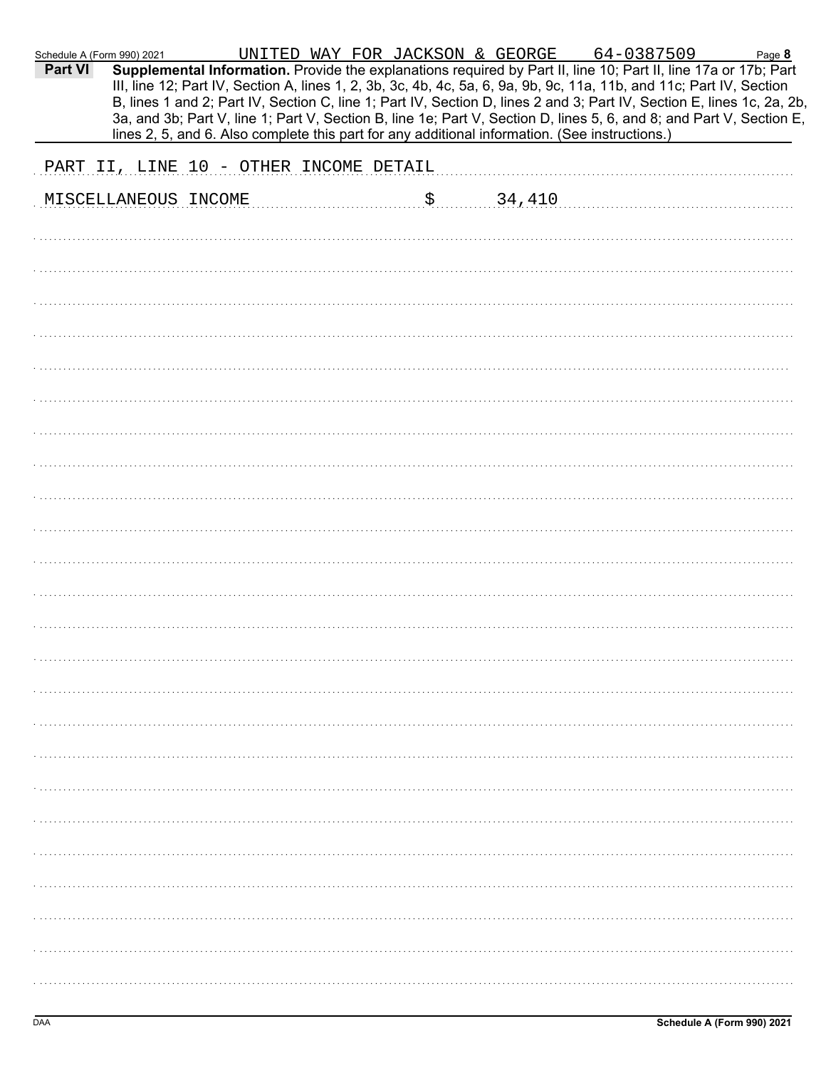|                                                                                                                                                                                                                                                                                                                                                                                                                                                                                                                                                                                                                                                                                                                                                           |  |  |  |  | Page 8 |
|-----------------------------------------------------------------------------------------------------------------------------------------------------------------------------------------------------------------------------------------------------------------------------------------------------------------------------------------------------------------------------------------------------------------------------------------------------------------------------------------------------------------------------------------------------------------------------------------------------------------------------------------------------------------------------------------------------------------------------------------------------------|--|--|--|--|--------|
| <b>Part VI</b>                                                                                                                                                                                                                                                                                                                                                                                                                                                                                                                                                                                                                                                                                                                                            |  |  |  |  |        |
|                                                                                                                                                                                                                                                                                                                                                                                                                                                                                                                                                                                                                                                                                                                                                           |  |  |  |  |        |
| UNITED WAY FOR JACKSON & GEORGE 64-0387509<br>Schedule A (Form 990) 2021<br>Supplemental Information. Provide the explanations required by Part II, line 10; Part II, line 17a or 17b; Part<br>III, line 12; Part IV, Section A, lines 1, 2, 3b, 3c, 4b, 4c, 5a, 6, 9a, 9b, 9c, 11a, 11b, and 11c; Part IV, Section<br>B, lines 1 and 2; Part IV, Section C, line 1; Part IV, Section D, lines 2 and 3; Part IV, Section E, lines 1c, 2a, 2b,<br>3a, and 3b; Part V, line 1; Part V, Section B, line 1e; Part V, Section D, lines 5, 6, and 8; and Part V, Section E,<br>lines 2, 5, and 6. Also complete this part for any additional information. (See instructions.)<br>PART II, LINE 10 - OTHER INCOME DETAIL<br>34,410<br>\$<br>MISCELLANEOUS INCOME |  |  |  |  |        |
|                                                                                                                                                                                                                                                                                                                                                                                                                                                                                                                                                                                                                                                                                                                                                           |  |  |  |  |        |
|                                                                                                                                                                                                                                                                                                                                                                                                                                                                                                                                                                                                                                                                                                                                                           |  |  |  |  |        |
|                                                                                                                                                                                                                                                                                                                                                                                                                                                                                                                                                                                                                                                                                                                                                           |  |  |  |  |        |
|                                                                                                                                                                                                                                                                                                                                                                                                                                                                                                                                                                                                                                                                                                                                                           |  |  |  |  |        |
|                                                                                                                                                                                                                                                                                                                                                                                                                                                                                                                                                                                                                                                                                                                                                           |  |  |  |  |        |
|                                                                                                                                                                                                                                                                                                                                                                                                                                                                                                                                                                                                                                                                                                                                                           |  |  |  |  |        |
|                                                                                                                                                                                                                                                                                                                                                                                                                                                                                                                                                                                                                                                                                                                                                           |  |  |  |  |        |
|                                                                                                                                                                                                                                                                                                                                                                                                                                                                                                                                                                                                                                                                                                                                                           |  |  |  |  |        |
|                                                                                                                                                                                                                                                                                                                                                                                                                                                                                                                                                                                                                                                                                                                                                           |  |  |  |  |        |
|                                                                                                                                                                                                                                                                                                                                                                                                                                                                                                                                                                                                                                                                                                                                                           |  |  |  |  |        |
|                                                                                                                                                                                                                                                                                                                                                                                                                                                                                                                                                                                                                                                                                                                                                           |  |  |  |  |        |
|                                                                                                                                                                                                                                                                                                                                                                                                                                                                                                                                                                                                                                                                                                                                                           |  |  |  |  |        |
|                                                                                                                                                                                                                                                                                                                                                                                                                                                                                                                                                                                                                                                                                                                                                           |  |  |  |  |        |
|                                                                                                                                                                                                                                                                                                                                                                                                                                                                                                                                                                                                                                                                                                                                                           |  |  |  |  |        |
|                                                                                                                                                                                                                                                                                                                                                                                                                                                                                                                                                                                                                                                                                                                                                           |  |  |  |  |        |
|                                                                                                                                                                                                                                                                                                                                                                                                                                                                                                                                                                                                                                                                                                                                                           |  |  |  |  |        |
|                                                                                                                                                                                                                                                                                                                                                                                                                                                                                                                                                                                                                                                                                                                                                           |  |  |  |  |        |
|                                                                                                                                                                                                                                                                                                                                                                                                                                                                                                                                                                                                                                                                                                                                                           |  |  |  |  |        |
|                                                                                                                                                                                                                                                                                                                                                                                                                                                                                                                                                                                                                                                                                                                                                           |  |  |  |  |        |
|                                                                                                                                                                                                                                                                                                                                                                                                                                                                                                                                                                                                                                                                                                                                                           |  |  |  |  |        |
|                                                                                                                                                                                                                                                                                                                                                                                                                                                                                                                                                                                                                                                                                                                                                           |  |  |  |  |        |
|                                                                                                                                                                                                                                                                                                                                                                                                                                                                                                                                                                                                                                                                                                                                                           |  |  |  |  |        |
|                                                                                                                                                                                                                                                                                                                                                                                                                                                                                                                                                                                                                                                                                                                                                           |  |  |  |  |        |
|                                                                                                                                                                                                                                                                                                                                                                                                                                                                                                                                                                                                                                                                                                                                                           |  |  |  |  |        |
|                                                                                                                                                                                                                                                                                                                                                                                                                                                                                                                                                                                                                                                                                                                                                           |  |  |  |  |        |
|                                                                                                                                                                                                                                                                                                                                                                                                                                                                                                                                                                                                                                                                                                                                                           |  |  |  |  |        |
|                                                                                                                                                                                                                                                                                                                                                                                                                                                                                                                                                                                                                                                                                                                                                           |  |  |  |  |        |
|                                                                                                                                                                                                                                                                                                                                                                                                                                                                                                                                                                                                                                                                                                                                                           |  |  |  |  |        |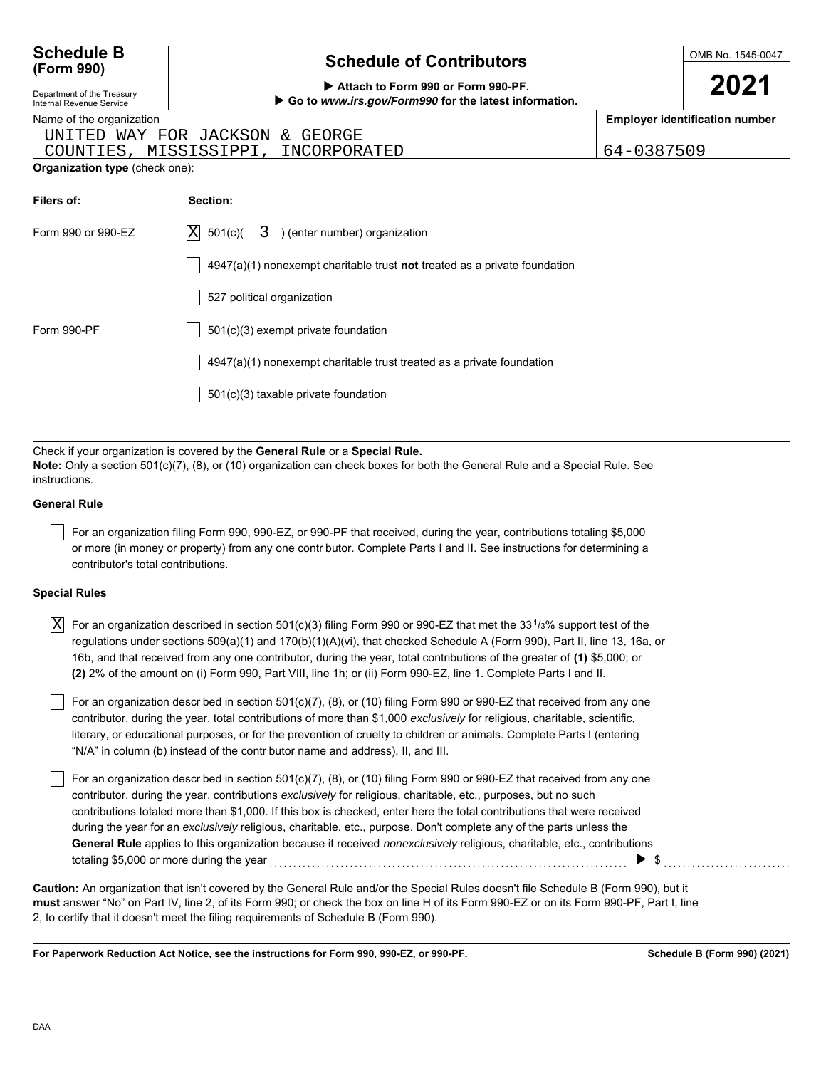| <b>Schedule B</b><br>(Form 990)                                                                  | <b>Schedule of Contributors</b>                                                                                                                                                                                    |            | OMB No. 1545-0047                     |
|--------------------------------------------------------------------------------------------------|--------------------------------------------------------------------------------------------------------------------------------------------------------------------------------------------------------------------|------------|---------------------------------------|
| Department of the Treasury<br>Internal Revenue Service                                           | Attach to Form 990 or Form 990-PF.<br>Go to www.irs.gov/Form990 for the latest information.                                                                                                                        |            | 2021                                  |
| Name of the organization<br>UNITED WAY FOR JACKSON<br>COUNTIES<br>Organization type (check one): | GEORGE<br>&.<br>MISSISSIPPI,<br>INCORPORATED                                                                                                                                                                       | 64-0387509 | <b>Employer identification number</b> |
| Filers of:                                                                                       | Section:                                                                                                                                                                                                           |            |                                       |
| Form 990 or 990-EZ                                                                               | $ {\rm X} $<br>501(c)(<br>3<br>) (enter number) organization                                                                                                                                                       |            |                                       |
|                                                                                                  | $4947(a)(1)$ nonexempt charitable trust <b>not</b> treated as a private foundation                                                                                                                                 |            |                                       |
|                                                                                                  | 527 political organization                                                                                                                                                                                         |            |                                       |
| <b>Form 990-PF</b>                                                                               | 501(c)(3) exempt private foundation                                                                                                                                                                                |            |                                       |
|                                                                                                  | 4947(a)(1) nonexempt charitable trust treated as a private foundation                                                                                                                                              |            |                                       |
|                                                                                                  | 501(c)(3) taxable private foundation                                                                                                                                                                               |            |                                       |
|                                                                                                  |                                                                                                                                                                                                                    |            |                                       |
| instructions.                                                                                    | Check if your organization is covered by the General Rule or a Special Rule.<br><b>Note:</b> Only a section 501(c)(7), (8), or (10) organization can check boxes for both the General Rule and a Special Rule. See |            |                                       |
| <b>General Rule</b>                                                                              |                                                                                                                                                                                                                    |            |                                       |

For an organization filing Form 990, 990-EZ, or 990-PF that received, during the year, contributions totaling \$5,000 or more (in money or property) from any one contr butor. Complete Parts I and II. See instructions for determining a contributor's total contributions.

#### **Special Rules**

 $\overline{X}]\,$  For an organization described in section 501(c)(3) filing Form 990 or 990-EZ that met the 33 $^1\!/\!\!\,$ % support test of the regulations under sections 509(a)(1) and 170(b)(1)(A)(vi), that checked Schedule A (Form 990), Part II, line 13, 16a, or 16b, and that received from any one contributor, during the year, total contributions of the greater of **(1)** \$5,000; or **(2)** 2% of the amount on (i) Form 990, Part VIII, line 1h; or (ii) Form 990-EZ, line 1. Complete Parts I and II.

literary, or educational purposes, or for the prevention of cruelty to children or animals. Complete Parts I (entering For an organization descr bed in section  $501(c)(7)$ ,  $(8)$ , or  $(10)$  filing Form 990 or 990-EZ that received from any one contributor, during the year, total contributions of more than \$1,000 *exclusively* for religious, charitable, scientific, "N/A" in column (b) instead of the contr butor name and address), II, and III.

For an organization descr bed in section 501(c)(7), (8), or (10) filing Form 990 or 990-EZ that received from any one contributor, during the year, contributions *exclusively* for religious, charitable, etc., purposes, but no such contributions totaled more than \$1,000. If this box is checked, enter here the total contributions that were received during the year for an *exclusively* religious, charitable, etc., purpose. Don't complete any of the parts unless the **General Rule** applies to this organization because it received *nonexclusively* religious, charitable, etc., contributions totaling \$5,000 or more during the year  $\ldots$   $\ldots$   $\ldots$   $\ldots$   $\ldots$   $\ldots$   $\ldots$   $\ldots$   $\ldots$   $\ldots$   $\ldots$   $\ldots$   $\ldots$ 

**must** answer "No" on Part IV, line 2, of its Form 990; or check the box on line H of its Form 990-EZ or on its Form 990-PF, Part I, line 2, to certify that it doesn't meet the filing requirements of Schedule B (Form 990). **Caution:** An organization that isn't covered by the General Rule and/or the Special Rules doesn't file Schedule B (Form 990), but it

**For Paperwork Reduction Act Notice, see the instructions for Form 990, 990-EZ, or 990-PF.**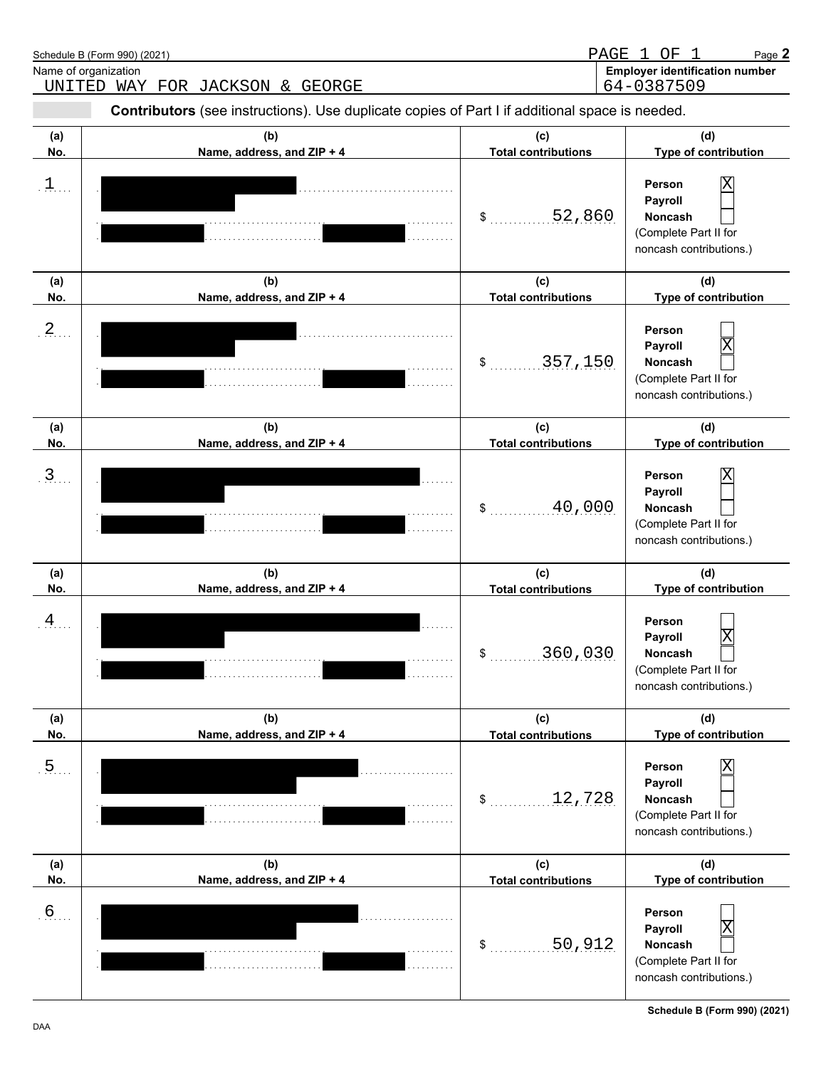| Name of organization | Schedule B (Form 990) (2021)<br>UNITED WAY FOR JACKSON & GEORGE                                |                                   | PAGE 1 OF 1<br>Page 2<br><b>Employer identification number</b><br>64-0387509                 |
|----------------------|------------------------------------------------------------------------------------------------|-----------------------------------|----------------------------------------------------------------------------------------------|
|                      | Contributors (see instructions). Use duplicate copies of Part I if additional space is needed. |                                   |                                                                                              |
| (a)<br>No.           | (b)<br>Name, address, and ZIP + 4                                                              | (c)<br><b>Total contributions</b> | (d)<br>Type of contribution                                                                  |
| $\mathbf{1}$         |                                                                                                | 52,860<br>\$                      | Person<br>Payroll<br><b>Noncash</b><br>(Complete Part II for<br>noncash contributions.)      |
| (a)<br>No.           | (b)<br>Name, address, and ZIP + 4                                                              | (c)<br><b>Total contributions</b> | (d)<br>Type of contribution                                                                  |
| $2$ .                |                                                                                                | 357,150<br>\$                     | Person<br>Payroll<br>Χ<br><b>Noncash</b><br>(Complete Part II for<br>noncash contributions.) |
| (a)<br>No.           | (b)<br>Name, address, and ZIP + 4                                                              | (c)<br><b>Total contributions</b> | (d)<br>Type of contribution                                                                  |
| 3 <sub>1</sub>       |                                                                                                | 40,000<br>\$                      | Person<br>х<br>Payroll<br>Noncash<br>(Complete Part II for<br>noncash contributions.)        |
| (a)<br>No.           | (b)<br>Name, address, and ZIP + 4                                                              | (c)<br><b>Total contributions</b> | (d)<br>Type of contribution                                                                  |
| $\frac{4}{1}$        |                                                                                                | 360,030<br>\$                     | Person<br>Χ<br>Payroll<br>Noncash<br>(Complete Part II for<br>noncash contributions.)        |
| (a)<br>No.           | (b)<br>Name, address, and ZIP + 4                                                              | (c)<br><b>Total contributions</b> | (d)<br>Type of contribution                                                                  |
| .5                   |                                                                                                | 12,728<br>\$                      | Person<br>Payroll<br>Noncash<br>(Complete Part II for<br>noncash contributions.)             |
| (a)<br>No.           | (b)<br>Name, address, and ZIP + 4                                                              | (c)<br><b>Total contributions</b> | (d)<br>Type of contribution                                                                  |
| .6                   |                                                                                                | 50,912<br>\$                      | Person<br>Χ<br>Payroll<br>Noncash<br>(Complete Part II for<br>noncash contributions.)        |

**Schedule B (Form 990) (2021)**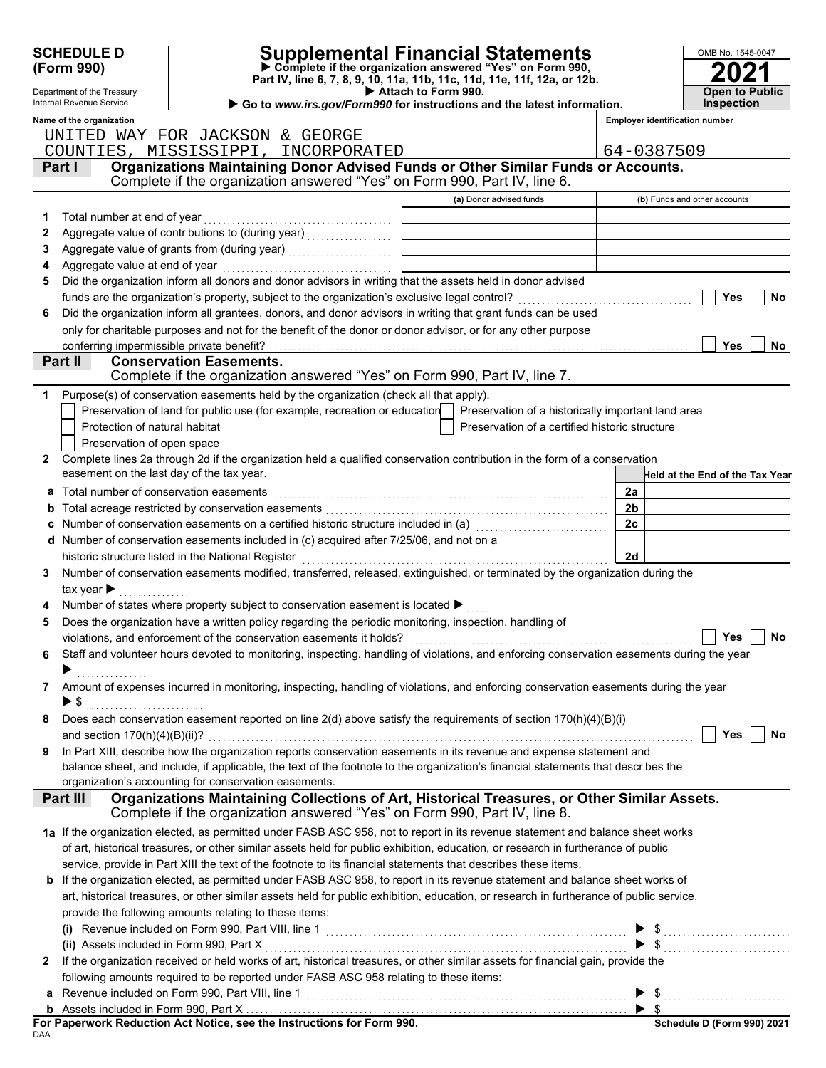|   | <b>SCHEDULE D</b><br>(Form 990)                        |                                                                                                                                                                                                                                | <b>Supplemental Financial Statements</b><br>Complete if the organization answered "Yes" on Form 990,<br>Part IV, line 6, 7, 8, 9, 10, 11a, 11b, 11c, 11d, 11e, 11f, 12a, or 12b. | OMB No. 1545-0047                                          |
|---|--------------------------------------------------------|--------------------------------------------------------------------------------------------------------------------------------------------------------------------------------------------------------------------------------|----------------------------------------------------------------------------------------------------------------------------------------------------------------------------------|------------------------------------------------------------|
|   | Department of the Treasury<br>Internal Revenue Service |                                                                                                                                                                                                                                | Attach to Form 990.<br>Go to www.irs.gov/Form990 for instructions and the latest information.                                                                                    | <b>Open to Public</b><br><b>Inspection</b>                 |
|   | Name of the organization                               |                                                                                                                                                                                                                                |                                                                                                                                                                                  | <b>Employer identification number</b>                      |
|   |                                                        | UNITED WAY FOR JACKSON & GEORGE                                                                                                                                                                                                |                                                                                                                                                                                  |                                                            |
|   |                                                        | COUNTIES, MISSISSIPPI, INCORPORATED                                                                                                                                                                                            |                                                                                                                                                                                  | 64-0387509                                                 |
|   | Part I                                                 | Organizations Maintaining Donor Advised Funds or Other Similar Funds or Accounts.<br>Complete if the organization answered "Yes" on Form 990, Part IV, line 6.                                                                 |                                                                                                                                                                                  |                                                            |
|   |                                                        |                                                                                                                                                                                                                                | (a) Donor advised funds                                                                                                                                                          | (b) Funds and other accounts                               |
| 1 | Total number at end of year                            |                                                                                                                                                                                                                                |                                                                                                                                                                                  |                                                            |
| 2 |                                                        |                                                                                                                                                                                                                                |                                                                                                                                                                                  |                                                            |
| 3 |                                                        |                                                                                                                                                                                                                                |                                                                                                                                                                                  |                                                            |
| 4 |                                                        |                                                                                                                                                                                                                                |                                                                                                                                                                                  |                                                            |
| 5 |                                                        | Did the organization inform all donors and donor advisors in writing that the assets held in donor advised                                                                                                                     |                                                                                                                                                                                  |                                                            |
|   |                                                        |                                                                                                                                                                                                                                |                                                                                                                                                                                  | Yes<br>No                                                  |
| 6 |                                                        | Did the organization inform all grantees, donors, and donor advisors in writing that grant funds can be used                                                                                                                   |                                                                                                                                                                                  |                                                            |
|   |                                                        | only for charitable purposes and not for the benefit of the donor or donor advisor, or for any other purpose                                                                                                                   |                                                                                                                                                                                  |                                                            |
|   | conferring impermissible private benefit?              |                                                                                                                                                                                                                                |                                                                                                                                                                                  | <b>Yes</b><br>No.                                          |
|   | Part II                                                | <b>Conservation Easements.</b>                                                                                                                                                                                                 |                                                                                                                                                                                  |                                                            |
|   |                                                        | Complete if the organization answered "Yes" on Form 990, Part IV, line 7.                                                                                                                                                      |                                                                                                                                                                                  |                                                            |
| 1 |                                                        | Purpose(s) of conservation easements held by the organization (check all that apply).                                                                                                                                          |                                                                                                                                                                                  |                                                            |
|   |                                                        | Preservation of land for public use (for example, recreation or education                                                                                                                                                      | Preservation of a historically important land area                                                                                                                               |                                                            |
|   | Protection of natural habitat                          |                                                                                                                                                                                                                                | Preservation of a certified historic structure                                                                                                                                   |                                                            |
|   | Preservation of open space                             |                                                                                                                                                                                                                                |                                                                                                                                                                                  |                                                            |
| 2 |                                                        | Complete lines 2a through 2d if the organization held a qualified conservation contribution in the form of a conservation                                                                                                      |                                                                                                                                                                                  |                                                            |
|   | easement on the last day of the tax year.              |                                                                                                                                                                                                                                |                                                                                                                                                                                  | Held at the End of the Tax Year                            |
|   |                                                        | a Total number of conservation easements [11] matter contracts with the set of conservation of an analysis of the set of an analysis of the set of an analysis of the set of an analysis of an analysis of an analysis of an a |                                                                                                                                                                                  | 2a                                                         |
|   |                                                        |                                                                                                                                                                                                                                |                                                                                                                                                                                  | 2 <sub>b</sub>                                             |
|   |                                                        |                                                                                                                                                                                                                                |                                                                                                                                                                                  | 2c                                                         |
|   |                                                        | d Number of conservation easements included in (c) acquired after 7/25/06, and not on a                                                                                                                                        |                                                                                                                                                                                  | 2d                                                         |
|   |                                                        | historic structure listed in the National Register<br>Number of conservation easements modified, transferred, released, extinguished, or terminated by the organization during the                                             |                                                                                                                                                                                  |                                                            |
|   | tax year $\blacktriangleright$                         |                                                                                                                                                                                                                                |                                                                                                                                                                                  |                                                            |
|   |                                                        | Number of states where property subject to conservation easement is located >                                                                                                                                                  |                                                                                                                                                                                  |                                                            |
| 5 |                                                        | Does the organization have a written policy regarding the periodic monitoring, inspection, handling of                                                                                                                         |                                                                                                                                                                                  |                                                            |
|   |                                                        |                                                                                                                                                                                                                                |                                                                                                                                                                                  | Yes<br>No                                                  |
| 6 |                                                        | Staff and volunteer hours devoted to monitoring, inspecting, handling of violations, and enforcing conservation easements during the year                                                                                      |                                                                                                                                                                                  |                                                            |
|   |                                                        |                                                                                                                                                                                                                                |                                                                                                                                                                                  |                                                            |
| 7 |                                                        | Amount of expenses incurred in monitoring, inspecting, handling of violations, and enforcing conservation easements during the year                                                                                            |                                                                                                                                                                                  |                                                            |
|   | ▶ \$                                                   |                                                                                                                                                                                                                                |                                                                                                                                                                                  |                                                            |
| 8 |                                                        | Does each conservation easement reported on line 2(d) above satisfy the requirements of section 170(h)(4)(B)(i)                                                                                                                |                                                                                                                                                                                  |                                                            |
|   |                                                        |                                                                                                                                                                                                                                |                                                                                                                                                                                  | Yes<br>No                                                  |
| 9 |                                                        | In Part XIII, describe how the organization reports conservation easements in its revenue and expense statement and                                                                                                            |                                                                                                                                                                                  |                                                            |
|   |                                                        | balance sheet, and include, if applicable, the text of the footnote to the organization's financial statements that descr bes the                                                                                              |                                                                                                                                                                                  |                                                            |
|   |                                                        | organization's accounting for conservation easements.                                                                                                                                                                          |                                                                                                                                                                                  |                                                            |
|   | Part III                                               | Organizations Maintaining Collections of Art, Historical Treasures, or Other Similar Assets.<br>Complete if the organization answered "Yes" on Form 990, Part IV, line 8.                                                      |                                                                                                                                                                                  |                                                            |
|   |                                                        | 1a If the organization elected, as permitted under FASB ASC 958, not to report in its revenue statement and balance sheet works                                                                                                |                                                                                                                                                                                  |                                                            |
|   |                                                        | of art, historical treasures, or other similar assets held for public exhibition, education, or research in furtherance of public                                                                                              |                                                                                                                                                                                  |                                                            |
|   |                                                        | service, provide in Part XIII the text of the footnote to its financial statements that describes these items.                                                                                                                 |                                                                                                                                                                                  |                                                            |
|   |                                                        | b If the organization elected, as permitted under FASB ASC 958, to report in its revenue statement and balance sheet works of                                                                                                  |                                                                                                                                                                                  |                                                            |
|   |                                                        | art, historical treasures, or other similar assets held for public exhibition, education, or research in furtherance of public service,                                                                                        |                                                                                                                                                                                  |                                                            |
|   |                                                        | provide the following amounts relating to these items:                                                                                                                                                                         |                                                                                                                                                                                  |                                                            |
|   |                                                        |                                                                                                                                                                                                                                |                                                                                                                                                                                  | $\$\ldots\ldots\ldots\ldots\ldots\ldots\ldots\ldots\ldots$ |
|   | (ii) Assets included in Form 990, Part X               |                                                                                                                                                                                                                                |                                                                                                                                                                                  | $\frac{1}{2}$                                              |
| 2 |                                                        | If the organization received or held works of art, historical treasures, or other similar assets for financial gain, provide the                                                                                               |                                                                                                                                                                                  |                                                            |
|   |                                                        | following amounts required to be reported under FASB ASC 958 relating to these items:                                                                                                                                          |                                                                                                                                                                                  |                                                            |
|   |                                                        | a Revenue included on Form 990, Part VIII, line 1                                                                                                                                                                              |                                                                                                                                                                                  | $\blacktriangleright$ \$                                   |
| b |                                                        | Assets included in Form 990, Part X<br>Panonugrk Poduction Act Notice, see the Instructions for Ferm 990                                                                                                                       |                                                                                                                                                                                  | <b>Cohodule D (Form 000) 202</b>                           |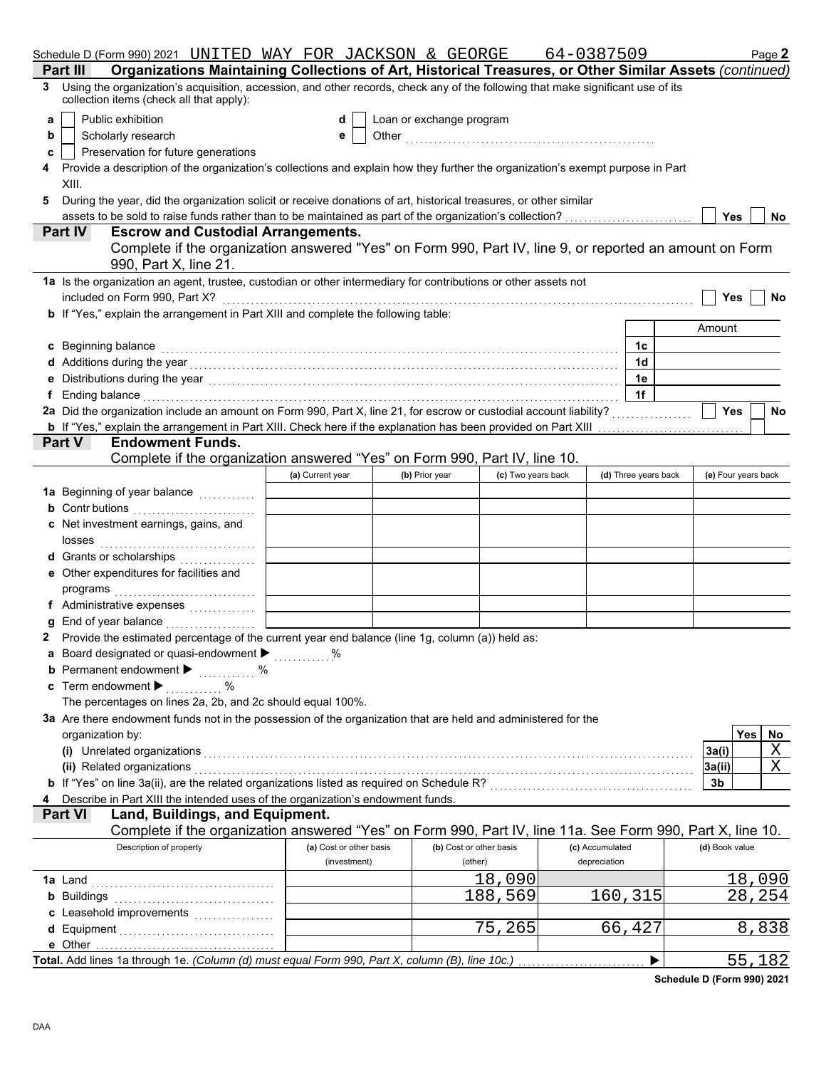|   | Schedule D (Form 990) 2021 UNITED WAY FOR JACKSON & GEORGE                                                                                                                                                                       |                         |                          |                         | 64-0387509      |                      |                | Page 2              |     |
|---|----------------------------------------------------------------------------------------------------------------------------------------------------------------------------------------------------------------------------------|-------------------------|--------------------------|-------------------------|-----------------|----------------------|----------------|---------------------|-----|
|   | Organizations Maintaining Collections of Art, Historical Treasures, or Other Similar Assets (continued)<br>Part III                                                                                                              |                         |                          |                         |                 |                      |                |                     |     |
|   | 3 Using the organization's acquisition, accession, and other records, check any of the following that make significant use of its<br>collection items (check all that apply):                                                    |                         |                          |                         |                 |                      |                |                     |     |
| a | Public exhibition                                                                                                                                                                                                                | d                       | Loan or exchange program |                         |                 |                      |                |                     |     |
| b | Scholarly research                                                                                                                                                                                                               | е                       |                          |                         |                 |                      |                |                     |     |
| c | Preservation for future generations                                                                                                                                                                                              |                         |                          |                         |                 |                      |                |                     |     |
|   | Provide a description of the organization's collections and explain how they further the organization's exempt purpose in Part                                                                                                   |                         |                          |                         |                 |                      |                |                     |     |
|   | XIII.                                                                                                                                                                                                                            |                         |                          |                         |                 |                      |                |                     |     |
| 5 | During the year, did the organization solicit or receive donations of art, historical treasures, or other similar                                                                                                                |                         |                          |                         |                 |                      |                |                     |     |
|   | assets to be sold to raise funds rather than to be maintained as part of the organization's collection?                                                                                                                          |                         |                          |                         |                 |                      |                | Yes                 | No. |
|   | <b>Escrow and Custodial Arrangements.</b><br><b>Part IV</b>                                                                                                                                                                      |                         |                          |                         |                 |                      |                |                     |     |
|   | Complete if the organization answered "Yes" on Form 990, Part IV, line 9, or reported an amount on Form<br>990, Part X, line 21.                                                                                                 |                         |                          |                         |                 |                      |                |                     |     |
|   | 1a Is the organization an agent, trustee, custodian or other intermediary for contributions or other assets not                                                                                                                  |                         |                          |                         |                 |                      |                |                     |     |
|   | included on Form 990, Part X?                                                                                                                                                                                                    |                         |                          |                         |                 |                      |                | Yes                 | No  |
|   | <b>b</b> If "Yes," explain the arrangement in Part XIII and complete the following table:                                                                                                                                        |                         |                          |                         |                 |                      |                |                     |     |
|   |                                                                                                                                                                                                                                  |                         |                          |                         |                 |                      | Amount         |                     |     |
|   | c Beginning balance                                                                                                                                                                                                              |                         |                          |                         |                 | 1c                   |                |                     |     |
|   | Additions during the year<br>interaction continuous continuous continuous during the year of the year of the set of the set of the set of the set of the set of the set of the set of the set of the set of the set of the set o |                         |                          |                         |                 | 1d                   |                |                     |     |
|   | Distributions during the year with the context of the set of the year with the year with the set of the set of the set of the set of the set of the set of the set of the set of the set of the set of the set of the set of t   |                         |                          |                         |                 | 1e                   |                |                     |     |
|   | f Ending balance                                                                                                                                                                                                                 |                         |                          |                         |                 | 1f                   |                |                     |     |
|   | 2a Did the organization include an amount on Form 990, Part X, line 21, for escrow or custodial account liability?                                                                                                               |                         |                          |                         |                 |                      |                | Yes                 | No  |
|   | b If "Yes," explain the arrangement in Part XIII. Check here if the explanation has been provided on Part XIII                                                                                                                   |                         |                          |                         |                 |                      |                |                     |     |
|   | Part V<br><b>Endowment Funds.</b>                                                                                                                                                                                                |                         |                          |                         |                 |                      |                |                     |     |
|   | Complete if the organization answered "Yes" on Form 990, Part IV, line 10.                                                                                                                                                       |                         |                          |                         |                 |                      |                |                     |     |
|   |                                                                                                                                                                                                                                  | (a) Current year        | (b) Prior year           | (c) Two years back      |                 | (d) Three years back |                | (e) Four years back |     |
|   | 1a Beginning of year balance <i>[[[[[[[[[[[[[[[[[[[[[[[[[[[[[[[[]]]]</i> ]]]                                                                                                                                                     |                         |                          |                         |                 |                      |                |                     |     |
|   | <b>b</b> Contr butions                                                                                                                                                                                                           |                         |                          |                         |                 |                      |                |                     |     |
|   | Net investment earnings, gains, and                                                                                                                                                                                              |                         |                          |                         |                 |                      |                |                     |     |
|   | losses                                                                                                                                                                                                                           |                         |                          |                         |                 |                      |                |                     |     |
|   | d Grants or scholarships<br>. <b>.</b> .                                                                                                                                                                                         |                         |                          |                         |                 |                      |                |                     |     |
|   | Other expenditures for facilities and                                                                                                                                                                                            |                         |                          |                         |                 |                      |                |                     |     |
|   | programs                                                                                                                                                                                                                         |                         |                          |                         |                 |                      |                |                     |     |
|   | f Administrative expenses                                                                                                                                                                                                        |                         |                          |                         |                 |                      |                |                     |     |
|   | End of year balance                                                                                                                                                                                                              |                         |                          |                         |                 |                      |                |                     |     |
|   | 2 Provide the estimated percentage of the current year end balance (line 1g, column (a)) held as:                                                                                                                                |                         |                          |                         |                 |                      |                |                     |     |
|   | a Board designated or quasi-endowment > %                                                                                                                                                                                        |                         |                          |                         |                 |                      |                |                     |     |
|   | <b>b</b> Permanent endowment $\blacktriangleright$<br>%                                                                                                                                                                          |                         |                          |                         |                 |                      |                |                     |     |
|   | Term endowment ▶                                                                                                                                                                                                                 |                         |                          |                         |                 |                      |                |                     |     |
|   | The percentages on lines 2a, 2b, and 2c should equal 100%.                                                                                                                                                                       |                         |                          |                         |                 |                      |                |                     |     |
|   | 3a Are there endowment funds not in the possession of the organization that are held and administered for the                                                                                                                    |                         |                          |                         |                 |                      |                |                     |     |
|   | organization by:                                                                                                                                                                                                                 |                         |                          |                         |                 |                      |                | Yes                 | No. |
|   | (i) Unrelated organizations                                                                                                                                                                                                      |                         |                          |                         |                 |                      | 3a(i)          |                     | Χ   |
|   | (ii) Related organizations                                                                                                                                                                                                       |                         |                          |                         |                 |                      | 3a(ii)         |                     | Χ   |
|   |                                                                                                                                                                                                                                  |                         |                          |                         |                 |                      | 3b             |                     |     |
|   | Describe in Part XIII the intended uses of the organization's endowment funds.                                                                                                                                                   |                         |                          |                         |                 |                      |                |                     |     |
|   | Part VI<br>Land, Buildings, and Equipment.                                                                                                                                                                                       |                         |                          |                         |                 |                      |                |                     |     |
|   | Complete if the organization answered "Yes" on Form 990, Part IV, line 11a. See Form 990, Part X, line 10.                                                                                                                       |                         |                          |                         |                 |                      |                |                     |     |
|   | Description of property                                                                                                                                                                                                          | (a) Cost or other basis |                          | (b) Cost or other basis | (c) Accumulated |                      | (d) Book value |                     |     |
|   |                                                                                                                                                                                                                                  | (investment)            |                          | (other)                 | depreciation    |                      |                |                     |     |
|   | 1a Land                                                                                                                                                                                                                          |                         |                          | 18,090                  |                 |                      |                | 18,090              |     |
|   | <b>b</b> Buildings                                                                                                                                                                                                               |                         |                          | 188,569                 |                 | 160,315              |                | 28,254              |     |
|   |                                                                                                                                                                                                                                  |                         |                          |                         |                 |                      |                |                     |     |
|   |                                                                                                                                                                                                                                  |                         |                          | 75,265                  |                 | 66,427               |                | 8,838               |     |
|   | e Other                                                                                                                                                                                                                          |                         |                          |                         |                 |                      |                |                     |     |
|   | Total. Add lines 1a through 1e. (Column (d) must equal Form 990, Part X, column (B), line 10c.)                                                                                                                                  |                         |                          |                         |                 | ▶                    |                | 55,182              |     |

**Schedule D (Form 990) 2021**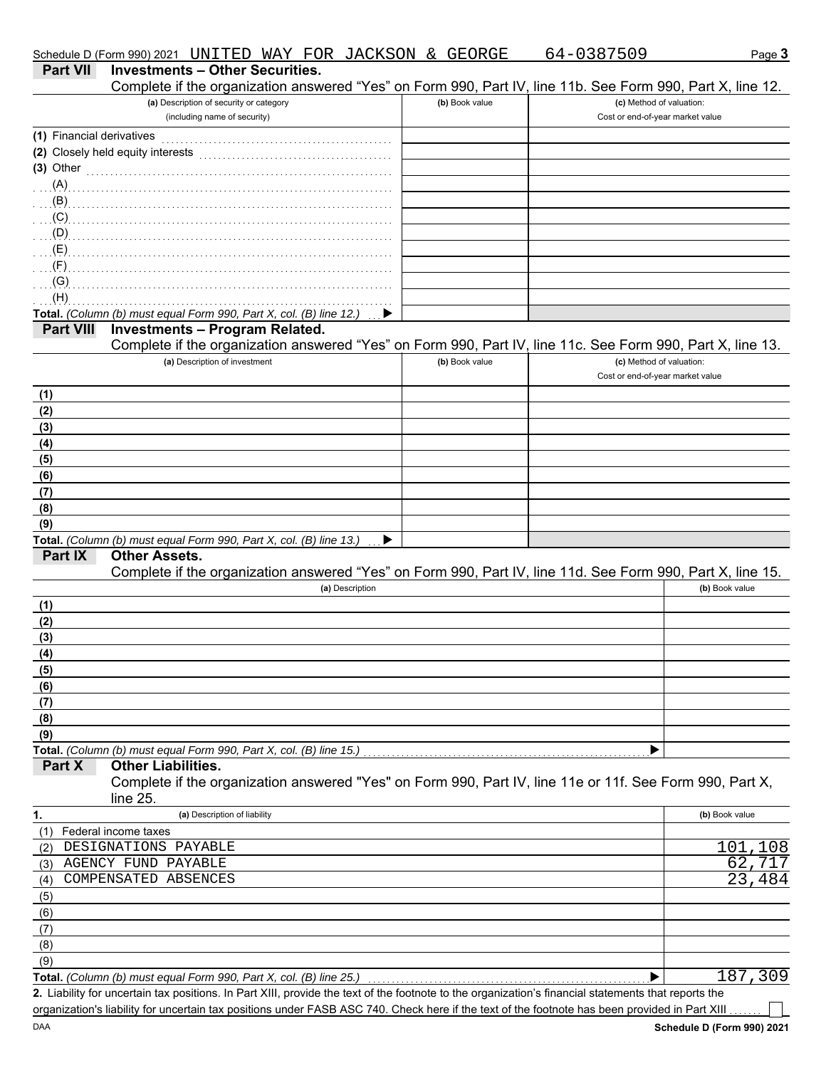|                           | Schedule D (Form 990) 2021 UNITED WAY FOR JACKSON & GEORGE                                                                                           |   |                | 64-0387509                       | Page 3                   |
|---------------------------|------------------------------------------------------------------------------------------------------------------------------------------------------|---|----------------|----------------------------------|--------------------------|
| <b>Part VII</b>           | <b>Investments - Other Securities.</b>                                                                                                               |   |                |                                  |                          |
|                           | Complete if the organization answered "Yes" on Form 990, Part IV, line 11b. See Form 990, Part X, line 12.                                           |   |                |                                  |                          |
|                           | (a) Description of security or category                                                                                                              |   | (b) Book value |                                  | (c) Method of valuation: |
|                           | (including name of security)                                                                                                                         |   |                | Cost or end-of-year market value |                          |
| (1) Financial derivatives |                                                                                                                                                      |   |                |                                  |                          |
|                           | (2) Closely held equity interests                                                                                                                    |   |                |                                  |                          |
|                           | $(3)$ Other                                                                                                                                          |   |                |                                  |                          |
|                           |                                                                                                                                                      |   |                |                                  |                          |
|                           | $\mathbf{B}$ (B)                                                                                                                                     |   |                |                                  |                          |
|                           |                                                                                                                                                      |   |                |                                  |                          |
|                           |                                                                                                                                                      |   |                |                                  |                          |
|                           |                                                                                                                                                      |   |                |                                  |                          |
| $\ldots$ (F).             |                                                                                                                                                      |   |                |                                  |                          |
| (G)                       |                                                                                                                                                      |   |                |                                  |                          |
| (H)                       |                                                                                                                                                      |   |                |                                  |                          |
|                           | Total. (Column (b) must equal Form 990, Part X, col. (B) line 12.)                                                                                   | ▶ |                |                                  |                          |
| <b>Part VIII</b>          | <b>Investments - Program Related.</b>                                                                                                                |   |                |                                  |                          |
|                           | Complete if the organization answered "Yes" on Form 990, Part IV, line 11c. See Form 990, Part X, line 13.                                           |   |                |                                  |                          |
|                           | (a) Description of investment                                                                                                                        |   | (b) Book value |                                  | (c) Method of valuation: |
|                           |                                                                                                                                                      |   |                | Cost or end-of-year market value |                          |
| (1)                       |                                                                                                                                                      |   |                |                                  |                          |
| (2)                       |                                                                                                                                                      |   |                |                                  |                          |
| (3)                       |                                                                                                                                                      |   |                |                                  |                          |
| (4)                       |                                                                                                                                                      |   |                |                                  |                          |
| (5)                       |                                                                                                                                                      |   |                |                                  |                          |
| (6)                       |                                                                                                                                                      |   |                |                                  |                          |
| (7)                       |                                                                                                                                                      |   |                |                                  |                          |
| (8)                       |                                                                                                                                                      |   |                |                                  |                          |
| (9)                       |                                                                                                                                                      |   |                |                                  |                          |
|                           | Total. (Column (b) must equal Form 990, Part X, col. (B) line 13.)                                                                                   | ▶ |                |                                  |                          |
| Part IX                   | <b>Other Assets.</b>                                                                                                                                 |   |                |                                  |                          |
|                           | Complete if the organization answered "Yes" on Form 990, Part IV, line 11d. See Form 990, Part X, line 15.                                           |   |                |                                  |                          |
|                           | (a) Description                                                                                                                                      |   |                |                                  | (b) Book value           |
| (1)                       |                                                                                                                                                      |   |                |                                  |                          |
| (2)                       |                                                                                                                                                      |   |                |                                  |                          |
| (3)                       |                                                                                                                                                      |   |                |                                  |                          |
| (4)                       |                                                                                                                                                      |   |                |                                  |                          |
| (5)                       |                                                                                                                                                      |   |                |                                  |                          |
| (6)                       |                                                                                                                                                      |   |                |                                  |                          |
| (7)                       |                                                                                                                                                      |   |                |                                  |                          |
| (8)                       |                                                                                                                                                      |   |                |                                  |                          |
| (9)                       |                                                                                                                                                      |   |                |                                  |                          |
|                           | Total. (Column (b) must equal Form 990, Part X, col. (B) line 15.)                                                                                   |   |                |                                  |                          |
| Part X                    | <b>Other Liabilities.</b>                                                                                                                            |   |                |                                  |                          |
|                           | Complete if the organization answered "Yes" on Form 990, Part IV, line 11e or 11f. See Form 990, Part X,                                             |   |                |                                  |                          |
|                           | line 25.                                                                                                                                             |   |                |                                  |                          |
| 1.                        | (a) Description of liability                                                                                                                         |   |                |                                  | (b) Book value           |
| (1)                       | Federal income taxes                                                                                                                                 |   |                |                                  |                          |
| (2)                       | DESIGNATIONS PAYABLE                                                                                                                                 |   |                |                                  | 101<br>108               |
| (3)                       | AGENCY FUND PAYABLE                                                                                                                                  |   |                |                                  | 62                       |
| (4)                       | COMPENSATED ABSENCES                                                                                                                                 |   |                |                                  | 23<br>484                |
| (5)                       |                                                                                                                                                      |   |                |                                  |                          |
| (6)                       |                                                                                                                                                      |   |                |                                  |                          |
| (7)                       |                                                                                                                                                      |   |                |                                  |                          |
| (8)                       |                                                                                                                                                      |   |                |                                  |                          |
| (9)                       |                                                                                                                                                      |   |                |                                  |                          |
|                           | Total. (Column (b) must equal Form 990, Part X, col. (B) line 25.)                                                                                   |   |                | ▶                                | 187,309                  |
|                           | 2. Liability for uncertain tax positions. In Part XIII, provide the text of the footnote to the organization's financial statements that reports the |   |                |                                  |                          |
|                           | organization's liability for uncertain tax positions under FASB ASC 740. Check here if the text of the footnote has been provided in Part XIII       |   |                |                                  |                          |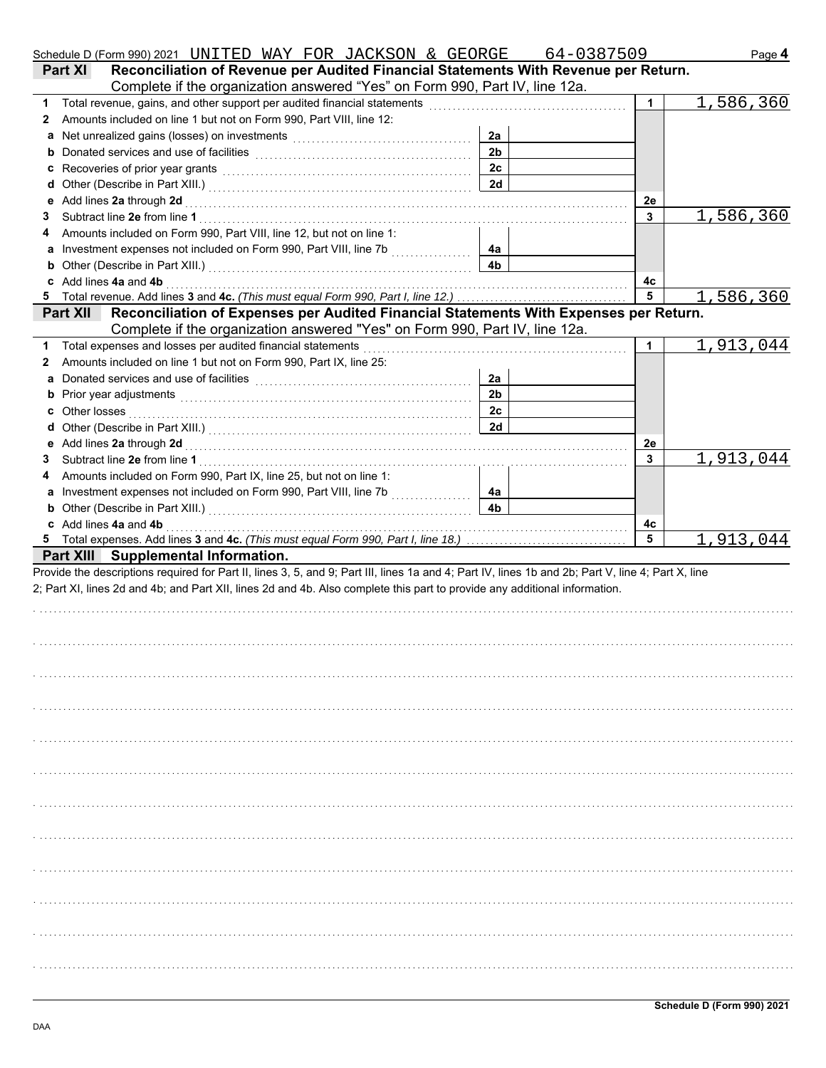|   | Schedule D (Form 990) 2021 UNITED WAY FOR JACKSON & GEORGE                                                                                                                                                                           |                | 64-0387509   | Page 4    |
|---|--------------------------------------------------------------------------------------------------------------------------------------------------------------------------------------------------------------------------------------|----------------|--------------|-----------|
|   | Reconciliation of Revenue per Audited Financial Statements With Revenue per Return.<br><b>Part XI</b>                                                                                                                                |                |              |           |
|   | Complete if the organization answered "Yes" on Form 990, Part IV, line 12a.                                                                                                                                                          |                |              |           |
| 1 |                                                                                                                                                                                                                                      |                | 1            | 1,586,360 |
| 2 | Amounts included on line 1 but not on Form 990, Part VIII, line 12:                                                                                                                                                                  |                |              |           |
| а |                                                                                                                                                                                                                                      | 2a             |              |           |
| b |                                                                                                                                                                                                                                      | 2 <sub>b</sub> |              |           |
| c | Recoveries of prior year grants [[11] North Management of prior with the set of prior year grants [[11] North Management of Prior With Management of Prior With Management of Prior With Management of Prior With Management o       | 2c             |              |           |
| d |                                                                                                                                                                                                                                      | 2d             |              |           |
| е | Add lines 2a through 2d [11] Additional Process of Additional Process of Additional Process of Additional Process of Additional Process of Additional Process of Additional Process of Additional Process of Additional Proces       |                | 2e           |           |
| 3 |                                                                                                                                                                                                                                      |                | 3            | 1,586,360 |
|   | Amounts included on Form 990, Part VIII, line 12, but not on line 1:                                                                                                                                                                 |                |              |           |
| а | Investment expenses not included on Form 990, Part VIII, line 7b [                                                                                                                                                                   | 4a             |              |           |
| b |                                                                                                                                                                                                                                      | 4 <sub>b</sub> |              |           |
| c | Add lines 4a and 4b <b>Adding the Contract Contract Contract Contract Contract Contract Contract Contract Contract Contract Contract Contract Contract Contract Contract Contract Contract Contract Contract Contract Contract C</b> |                | 4с           |           |
| 5 |                                                                                                                                                                                                                                      |                | 5            | 1,586,360 |
|   | Reconciliation of Expenses per Audited Financial Statements With Expenses per Return.<br><b>Part XII</b>                                                                                                                             |                |              |           |
|   | Complete if the organization answered "Yes" on Form 990, Part IV, line 12a.                                                                                                                                                          |                |              |           |
| 1 | Total expenses and losses per audited financial statements                                                                                                                                                                           |                | 1            | 1,913,044 |
| 2 | Amounts included on line 1 but not on Form 990, Part IX, line 25:                                                                                                                                                                    |                |              |           |
| а |                                                                                                                                                                                                                                      | 2a             |              |           |
| b | Prior year adjustments [ www.com/www.com/www.com/www.com/www.com/www.com/www.com/                                                                                                                                                    | 2 <sub>b</sub> |              |           |
| c |                                                                                                                                                                                                                                      | 2c             |              |           |
| d |                                                                                                                                                                                                                                      | 2d             |              |           |
| е | Add lines 2a through 2d [11] March 2014 [12] March 2014 [12] March 2014 [12] March 2014 [12] March 2014 [12] March 2015 [12] March 2015 [12] March 2015 [12] March 2015 [12] March 2015 [12] March 2015 [12] March 2015 [12] M       |                | 2e           |           |
| 3 |                                                                                                                                                                                                                                      |                | $\mathbf{3}$ | 1,913,044 |
|   | Amounts included on Form 990, Part IX, line 25, but not on line 1:                                                                                                                                                                   |                |              |           |
| а |                                                                                                                                                                                                                                      | 4a             |              |           |
| b |                                                                                                                                                                                                                                      | 4 <sub>b</sub> |              |           |
|   | c Add lines 4a and 4b                                                                                                                                                                                                                |                | 4c           |           |
|   |                                                                                                                                                                                                                                      |                | 5            | 1,913,044 |
|   | Part XIII Supplemental Information.                                                                                                                                                                                                  |                |              |           |
|   | Provide the descriptions required for Part II, lines 3, 5, and 9; Part III, lines 1a and 4; Part IV, lines 1b and 2b; Part V, line 4; Part X, line                                                                                   |                |              |           |
|   | 2; Part XI, lines 2d and 4b; and Part XII, lines 2d and 4b. Also complete this part to provide any additional information.                                                                                                           |                |              |           |
|   |                                                                                                                                                                                                                                      |                |              |           |
|   |                                                                                                                                                                                                                                      |                |              |           |
|   |                                                                                                                                                                                                                                      |                |              |           |
|   |                                                                                                                                                                                                                                      |                |              |           |
|   |                                                                                                                                                                                                                                      |                |              |           |
|   |                                                                                                                                                                                                                                      |                |              |           |
|   |                                                                                                                                                                                                                                      |                |              |           |
|   |                                                                                                                                                                                                                                      |                |              |           |
|   |                                                                                                                                                                                                                                      |                |              |           |
|   |                                                                                                                                                                                                                                      |                |              |           |
|   |                                                                                                                                                                                                                                      |                |              |           |
|   |                                                                                                                                                                                                                                      |                |              |           |
|   |                                                                                                                                                                                                                                      |                |              |           |
|   |                                                                                                                                                                                                                                      |                |              |           |
|   |                                                                                                                                                                                                                                      |                |              |           |
|   |                                                                                                                                                                                                                                      |                |              |           |
|   |                                                                                                                                                                                                                                      |                |              |           |
|   |                                                                                                                                                                                                                                      |                |              |           |
|   |                                                                                                                                                                                                                                      |                |              |           |
|   |                                                                                                                                                                                                                                      |                |              |           |
|   |                                                                                                                                                                                                                                      |                |              |           |
|   |                                                                                                                                                                                                                                      |                |              |           |
|   |                                                                                                                                                                                                                                      |                |              |           |
|   |                                                                                                                                                                                                                                      |                |              |           |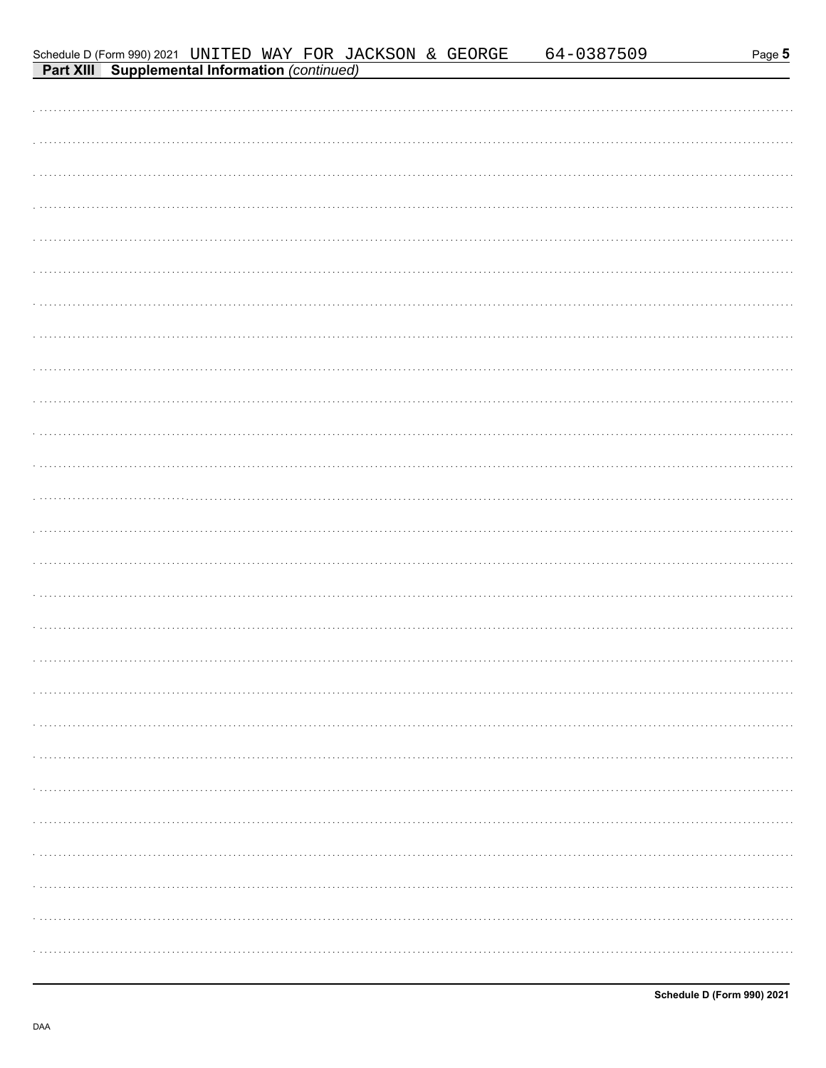|                                                                                                                     |  |  |  | <u>64-0387509</u> | Page 5 |
|---------------------------------------------------------------------------------------------------------------------|--|--|--|-------------------|--------|
| Schedule D (Form 990) 2021 UNITED WAY FOR JACKSON & GEORGE<br><b>Part XIII Supplemental Information</b> (continued) |  |  |  |                   |        |
|                                                                                                                     |  |  |  |                   |        |
|                                                                                                                     |  |  |  |                   |        |
|                                                                                                                     |  |  |  |                   |        |
|                                                                                                                     |  |  |  |                   |        |
|                                                                                                                     |  |  |  |                   |        |
|                                                                                                                     |  |  |  |                   |        |
|                                                                                                                     |  |  |  |                   |        |
|                                                                                                                     |  |  |  |                   |        |
|                                                                                                                     |  |  |  |                   |        |
|                                                                                                                     |  |  |  |                   |        |
|                                                                                                                     |  |  |  |                   |        |
|                                                                                                                     |  |  |  |                   |        |
|                                                                                                                     |  |  |  |                   |        |
|                                                                                                                     |  |  |  |                   |        |
|                                                                                                                     |  |  |  |                   |        |
|                                                                                                                     |  |  |  |                   |        |
|                                                                                                                     |  |  |  |                   |        |
|                                                                                                                     |  |  |  |                   |        |
|                                                                                                                     |  |  |  |                   |        |
|                                                                                                                     |  |  |  |                   |        |
|                                                                                                                     |  |  |  |                   |        |
|                                                                                                                     |  |  |  |                   |        |
|                                                                                                                     |  |  |  |                   |        |
|                                                                                                                     |  |  |  |                   |        |
|                                                                                                                     |  |  |  |                   |        |
|                                                                                                                     |  |  |  |                   |        |
|                                                                                                                     |  |  |  |                   |        |
|                                                                                                                     |  |  |  |                   |        |
|                                                                                                                     |  |  |  |                   |        |
|                                                                                                                     |  |  |  |                   |        |
|                                                                                                                     |  |  |  |                   |        |
|                                                                                                                     |  |  |  |                   |        |
|                                                                                                                     |  |  |  |                   |        |
|                                                                                                                     |  |  |  |                   |        |
|                                                                                                                     |  |  |  |                   |        |
|                                                                                                                     |  |  |  |                   |        |
|                                                                                                                     |  |  |  |                   |        |
|                                                                                                                     |  |  |  |                   |        |
|                                                                                                                     |  |  |  |                   |        |
|                                                                                                                     |  |  |  |                   |        |
|                                                                                                                     |  |  |  |                   |        |
|                                                                                                                     |  |  |  |                   |        |
|                                                                                                                     |  |  |  |                   |        |
|                                                                                                                     |  |  |  |                   |        |
|                                                                                                                     |  |  |  |                   |        |
|                                                                                                                     |  |  |  |                   |        |
|                                                                                                                     |  |  |  |                   |        |
|                                                                                                                     |  |  |  |                   |        |
|                                                                                                                     |  |  |  |                   |        |
|                                                                                                                     |  |  |  |                   |        |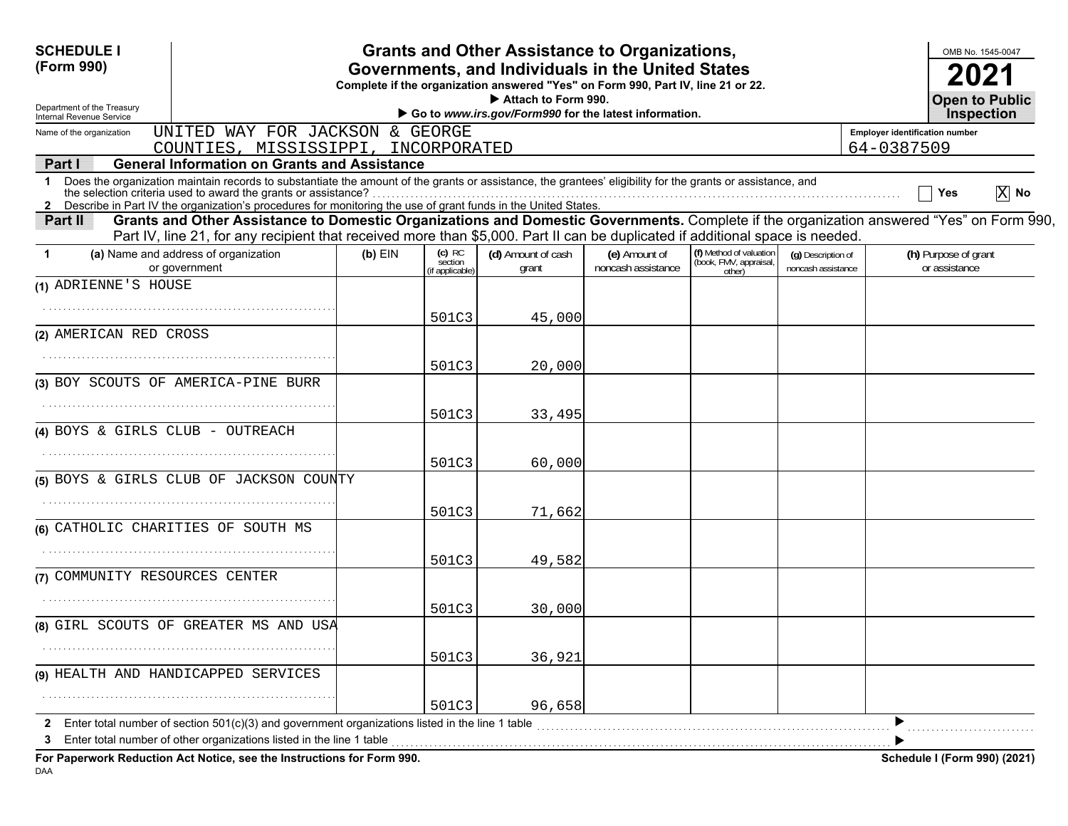| <b>SCHEDULE I</b>                                                                                                                                                                                                                                                                                      |           |                                       | <b>Grants and Other Assistance to Organizations,</b>                                                                                  |                                     |                                                             |                                          |                                       |                                       | OMB No. 1545-0047                          |
|--------------------------------------------------------------------------------------------------------------------------------------------------------------------------------------------------------------------------------------------------------------------------------------------------------|-----------|---------------------------------------|---------------------------------------------------------------------------------------------------------------------------------------|-------------------------------------|-------------------------------------------------------------|------------------------------------------|---------------------------------------|---------------------------------------|--------------------------------------------|
| (Form 990)                                                                                                                                                                                                                                                                                             |           |                                       | Governments, and Individuals in the United States<br>Complete if the organization answered "Yes" on Form 990, Part IV, line 21 or 22. |                                     |                                                             |                                          |                                       |                                       |                                            |
| Department of the Treasury<br>Internal Revenue Service                                                                                                                                                                                                                                                 |           |                                       | Attach to Form 990.<br>Go to www.irs.gov/Form990 for the latest information.                                                          |                                     |                                                             |                                          |                                       |                                       | <b>Open to Public</b><br><b>Inspection</b> |
| UNITED WAY FOR JACKSON & GEORGE<br>Name of the organization                                                                                                                                                                                                                                            |           |                                       |                                                                                                                                       |                                     |                                                             |                                          | <b>Employer identification number</b> |                                       |                                            |
| COUNTIES, MISSISSIPPI, INCORPORATED<br><b>General Information on Grants and Assistance</b>                                                                                                                                                                                                             |           |                                       |                                                                                                                                       |                                     |                                                             |                                          | 64-0387509                            |                                       |                                            |
| Part I<br>Does the organization maintain records to substantiate the amount of the grants or assistance, the grantees' eligibility for the grants or assistance, and<br>$\mathbf 1$<br>2 Describe in Part IV the organization's procedures for monitoring the use of grant funds in the United States. |           |                                       |                                                                                                                                       |                                     |                                                             |                                          |                                       | Yes                                   | $ X $ No                                   |
| Grants and Other Assistance to Domestic Organizations and Domestic Governments. Complete if the organization answered "Yes" on Form 990,<br>Part II<br>Part IV, line 21, for any recipient that received more than \$5,000. Part II can be duplicated if additional space is needed.                   |           |                                       |                                                                                                                                       |                                     |                                                             |                                          |                                       |                                       |                                            |
| (a) Name and address of organization<br>-1<br>or government                                                                                                                                                                                                                                            | $(b)$ EIN | $(c)$ RC<br>section<br>if applicable) | (d) Amount of cash<br>grant                                                                                                           | (e) Amount of<br>noncash assistance | (f) Method of valuation<br>(book, FMV, appraisal,<br>other) | (g) Description of<br>noncash assistance |                                       | (h) Purpose of grant<br>or assistance |                                            |
| (1) ADRIENNE'S HOUSE                                                                                                                                                                                                                                                                                   |           |                                       |                                                                                                                                       |                                     |                                                             |                                          |                                       |                                       |                                            |
|                                                                                                                                                                                                                                                                                                        |           | 501C3                                 | 45,000                                                                                                                                |                                     |                                                             |                                          |                                       |                                       |                                            |
| (2) AMERICAN RED CROSS                                                                                                                                                                                                                                                                                 |           |                                       |                                                                                                                                       |                                     |                                                             |                                          |                                       |                                       |                                            |
|                                                                                                                                                                                                                                                                                                        |           | 501C3                                 | 20,000                                                                                                                                |                                     |                                                             |                                          |                                       |                                       |                                            |
| (3) BOY SCOUTS OF AMERICA-PINE BURR                                                                                                                                                                                                                                                                    |           |                                       |                                                                                                                                       |                                     |                                                             |                                          |                                       |                                       |                                            |
|                                                                                                                                                                                                                                                                                                        |           | 501C3                                 | 33,495                                                                                                                                |                                     |                                                             |                                          |                                       |                                       |                                            |
| (4) BOYS & GIRLS CLUB - OUTREACH                                                                                                                                                                                                                                                                       |           |                                       |                                                                                                                                       |                                     |                                                             |                                          |                                       |                                       |                                            |
|                                                                                                                                                                                                                                                                                                        |           | 501C3                                 | 60,000                                                                                                                                |                                     |                                                             |                                          |                                       |                                       |                                            |
| (5) BOYS & GIRLS CLUB OF JACKSON COUNTY                                                                                                                                                                                                                                                                |           |                                       |                                                                                                                                       |                                     |                                                             |                                          |                                       |                                       |                                            |
|                                                                                                                                                                                                                                                                                                        |           | 501C3                                 | 71,662                                                                                                                                |                                     |                                                             |                                          |                                       |                                       |                                            |
| (6) CATHOLIC CHARITIES OF SOUTH MS                                                                                                                                                                                                                                                                     |           |                                       |                                                                                                                                       |                                     |                                                             |                                          |                                       |                                       |                                            |
|                                                                                                                                                                                                                                                                                                        |           | 501C3                                 | 49,582                                                                                                                                |                                     |                                                             |                                          |                                       |                                       |                                            |
| (7) COMMUNITY RESOURCES CENTER                                                                                                                                                                                                                                                                         |           |                                       |                                                                                                                                       |                                     |                                                             |                                          |                                       |                                       |                                            |
|                                                                                                                                                                                                                                                                                                        |           | 501C3                                 | 30,000                                                                                                                                |                                     |                                                             |                                          |                                       |                                       |                                            |
| (8) GIRL SCOUTS OF GREATER MS AND USA                                                                                                                                                                                                                                                                  |           |                                       |                                                                                                                                       |                                     |                                                             |                                          |                                       |                                       |                                            |
|                                                                                                                                                                                                                                                                                                        |           | 501C3                                 | 36,921                                                                                                                                |                                     |                                                             |                                          |                                       |                                       |                                            |
| (9) HEALTH AND HANDICAPPED SERVICES                                                                                                                                                                                                                                                                    |           |                                       |                                                                                                                                       |                                     |                                                             |                                          |                                       |                                       |                                            |
|                                                                                                                                                                                                                                                                                                        |           | 501C3                                 | 96,658                                                                                                                                |                                     |                                                             |                                          |                                       |                                       |                                            |
| Enter total number of section 501(c)(3) and government organizations listed in the line 1 table                                                                                                                                                                                                        |           |                                       |                                                                                                                                       |                                     |                                                             |                                          |                                       |                                       |                                            |
| Enter total number of other organizations listed in the line 1 table<br>For Paperwork Reduction Act Notice, see the Instructions for Form 990.                                                                                                                                                         |           |                                       |                                                                                                                                       |                                     |                                                             |                                          |                                       | Schedule I (Form 990) (2021)          |                                            |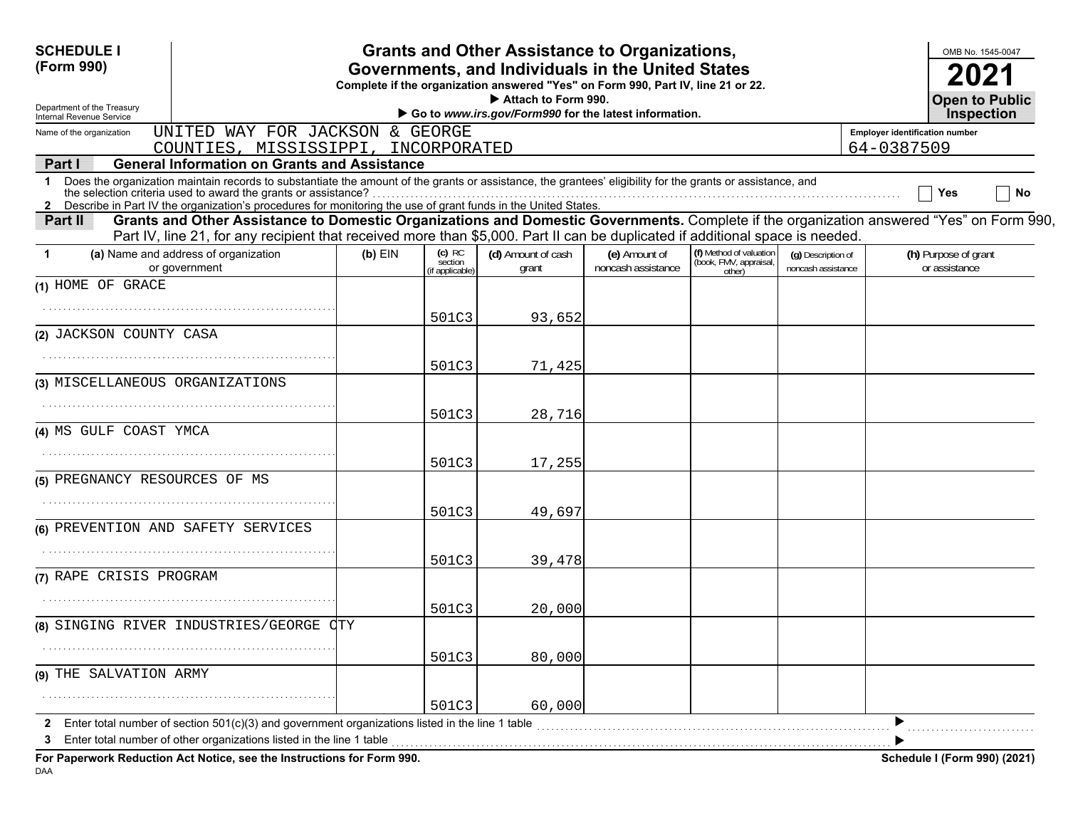| <b>SCHEDULE I</b><br>(Form 990)                                                                                                                                                                                                                                                      |           |                                     | <b>Grants and Other Assistance to Organizations,</b> |                                     |                                                             |                                          |                                       | OMB No. 1545-0047                          |           |
|--------------------------------------------------------------------------------------------------------------------------------------------------------------------------------------------------------------------------------------------------------------------------------------|-----------|-------------------------------------|------------------------------------------------------|-------------------------------------|-------------------------------------------------------------|------------------------------------------|---------------------------------------|--------------------------------------------|-----------|
| Governments, and Individuals in the United States<br>Complete if the organization answered "Yes" on Form 990, Part IV, line 21 or 22.                                                                                                                                                |           |                                     |                                                      |                                     |                                                             |                                          |                                       |                                            |           |
| Attach to Form 990.<br>Department of the Treasury<br>Go to www.irs.gov/Form990 for the latest information.<br>Internal Revenue Service                                                                                                                                               |           |                                     |                                                      |                                     |                                                             |                                          |                                       | <b>Open to Public</b><br><b>Inspection</b> |           |
| UNITED WAY FOR JACKSON & GEORGE<br>Name of the organization                                                                                                                                                                                                                          |           |                                     |                                                      |                                     |                                                             |                                          | <b>Employer identification number</b> |                                            |           |
| COUNTIES, MISSISSIPPI, INCORPORATED                                                                                                                                                                                                                                                  |           |                                     |                                                      |                                     |                                                             |                                          | 64-0387509                            |                                            |           |
| <b>General Information on Grants and Assistance</b><br>Part I                                                                                                                                                                                                                        |           |                                     |                                                      |                                     |                                                             |                                          |                                       |                                            |           |
| 1 Does the organization maintain records to substantiate the amount of the grants or assistance, the grantees' eligibility for the grants or assistance, and<br>2 Describe in Part IV the organization's procedures for monitoring the use of grant funds in the United States.      |           |                                     |                                                      |                                     |                                                             |                                          |                                       | Yes                                        | <b>No</b> |
| Grants and Other Assistance to Domestic Organizations and Domestic Governments. Complete if the organization answered "Yes" on Form 990,<br>Part II<br>Part IV, line 21, for any recipient that received more than \$5,000. Part II can be duplicated if additional space is needed. |           |                                     |                                                      |                                     |                                                             |                                          |                                       |                                            |           |
| (a) Name and address of organization<br>-1<br>or government                                                                                                                                                                                                                          | $(b)$ EIN | (c) RC<br>section<br>if applicable) | (d) Amount of cash<br>grant                          | (e) Amount of<br>noncash assistance | (f) Method of valuation<br>(book, FMV, appraisal,<br>other) | (g) Description of<br>noncash assistance |                                       | (h) Purpose of grant<br>or assistance      |           |
| (1) HOME OF GRACE                                                                                                                                                                                                                                                                    |           |                                     |                                                      |                                     |                                                             |                                          |                                       |                                            |           |
|                                                                                                                                                                                                                                                                                      |           | 501C3                               | 93,652                                               |                                     |                                                             |                                          |                                       |                                            |           |
| (2) JACKSON COUNTY CASA                                                                                                                                                                                                                                                              |           |                                     |                                                      |                                     |                                                             |                                          |                                       |                                            |           |
|                                                                                                                                                                                                                                                                                      |           | 501C3                               | 71,425                                               |                                     |                                                             |                                          |                                       |                                            |           |
| (3) MISCELLANEOUS ORGANIZATIONS                                                                                                                                                                                                                                                      |           |                                     |                                                      |                                     |                                                             |                                          |                                       |                                            |           |
|                                                                                                                                                                                                                                                                                      |           | 501C3                               | 28,716                                               |                                     |                                                             |                                          |                                       |                                            |           |
| (4) MS GULF COAST YMCA                                                                                                                                                                                                                                                               |           |                                     |                                                      |                                     |                                                             |                                          |                                       |                                            |           |
|                                                                                                                                                                                                                                                                                      |           | 501C3                               | 17,255                                               |                                     |                                                             |                                          |                                       |                                            |           |
| (5) PREGNANCY RESOURCES OF MS                                                                                                                                                                                                                                                        |           |                                     |                                                      |                                     |                                                             |                                          |                                       |                                            |           |
|                                                                                                                                                                                                                                                                                      |           | 501C3                               | 49,697                                               |                                     |                                                             |                                          |                                       |                                            |           |
| (6) PREVENTION AND SAFETY SERVICES                                                                                                                                                                                                                                                   |           |                                     |                                                      |                                     |                                                             |                                          |                                       |                                            |           |
|                                                                                                                                                                                                                                                                                      |           | 501C3                               | 39,478                                               |                                     |                                                             |                                          |                                       |                                            |           |
| (7) RAPE CRISIS PROGRAM                                                                                                                                                                                                                                                              |           |                                     |                                                      |                                     |                                                             |                                          |                                       |                                            |           |
|                                                                                                                                                                                                                                                                                      |           | 501C3                               | 20,000                                               |                                     |                                                             |                                          |                                       |                                            |           |
| (8) SINGING RIVER INDUSTRIES/GEORGE CTY                                                                                                                                                                                                                                              |           |                                     |                                                      |                                     |                                                             |                                          |                                       |                                            |           |
|                                                                                                                                                                                                                                                                                      |           | 501C3                               | 80,000                                               |                                     |                                                             |                                          |                                       |                                            |           |
| (9) THE SALVATION ARMY                                                                                                                                                                                                                                                               |           |                                     |                                                      |                                     |                                                             |                                          |                                       |                                            |           |
|                                                                                                                                                                                                                                                                                      |           | 501C3                               | 60,000                                               |                                     |                                                             |                                          |                                       |                                            |           |
| Enter total number of section $501(c)(3)$ and government organizations listed in the line 1 table                                                                                                                                                                                    |           |                                     |                                                      |                                     |                                                             |                                          |                                       |                                            |           |
| Enter total number of other organizations listed in the line 1 table<br>з<br>For Paperwork Reduction Act Notice, see the Instructions for Form 990.                                                                                                                                  |           |                                     |                                                      |                                     |                                                             |                                          |                                       | Schedule I (Form 990) (2021)               |           |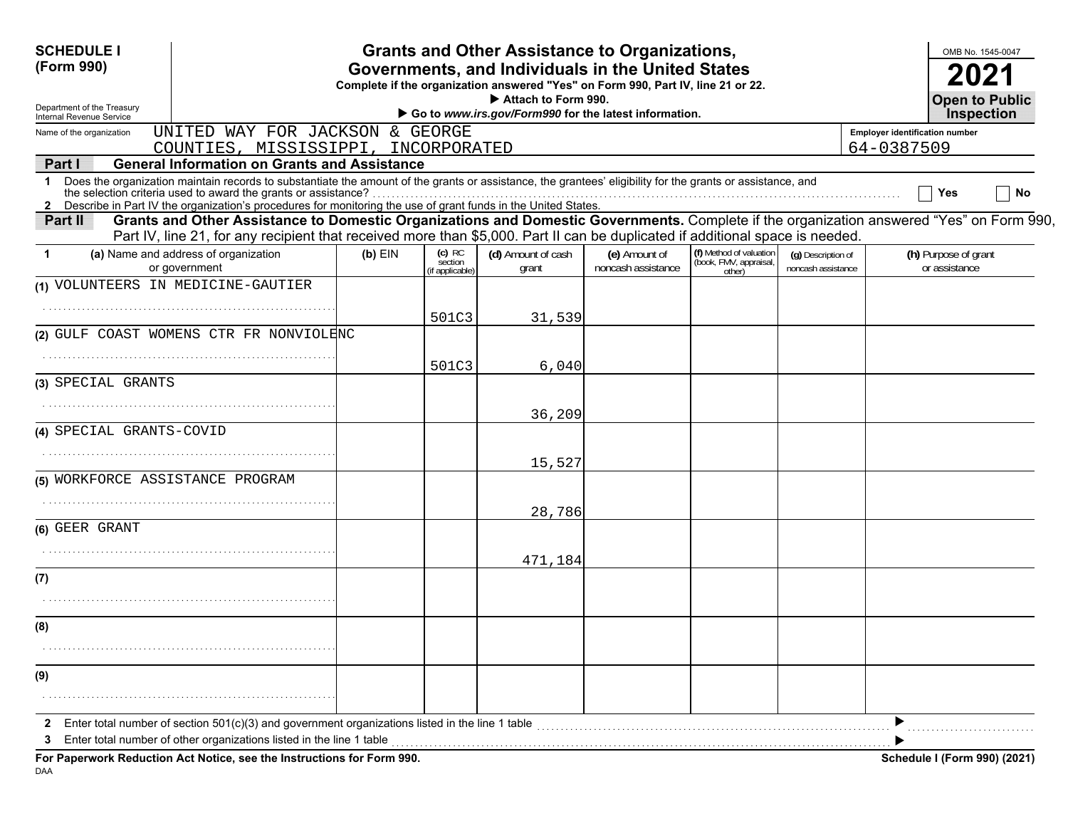| <b>SCHEDULE I</b>                                      |                                                                                                                                                                                                                                                                                                                                                                                              |           |                                        | <b>Grants and Other Assistance to Organizations,</b>                                                                                  |                                     |                                                             |                                          |                                       | OMB No. 1545-0047                     |    |
|--------------------------------------------------------|----------------------------------------------------------------------------------------------------------------------------------------------------------------------------------------------------------------------------------------------------------------------------------------------------------------------------------------------------------------------------------------------|-----------|----------------------------------------|---------------------------------------------------------------------------------------------------------------------------------------|-------------------------------------|-------------------------------------------------------------|------------------------------------------|---------------------------------------|---------------------------------------|----|
| (Form 990)                                             |                                                                                                                                                                                                                                                                                                                                                                                              |           |                                        | Governments, and Individuals in the United States<br>Complete if the organization answered "Yes" on Form 990, Part IV, line 21 or 22. |                                     |                                                             |                                          |                                       |                                       |    |
| Department of the Treasury<br>Internal Revenue Service | Attach to Form 990.<br>Go to www.irs.gov/Form990 for the latest information.                                                                                                                                                                                                                                                                                                                 |           |                                        |                                                                                                                                       |                                     |                                                             |                                          |                                       |                                       |    |
| Name of the organization                               | UNITED WAY FOR JACKSON & GEORGE                                                                                                                                                                                                                                                                                                                                                              |           |                                        |                                                                                                                                       |                                     |                                                             |                                          | <b>Employer identification number</b> | <b>Inspection</b>                     |    |
|                                                        | COUNTIES, MISSISSIPPI, INCORPORATED                                                                                                                                                                                                                                                                                                                                                          |           |                                        |                                                                                                                                       |                                     |                                                             |                                          | 64-0387509                            |                                       |    |
| Part I<br>1                                            | <b>General Information on Grants and Assistance</b><br>Does the organization maintain records to substantiate the amount of the grants or assistance, the grantees' eligibility for the grants or assistance, and<br>the selection criteria used to award the grants or assistance?                                                                                                          |           |                                        |                                                                                                                                       |                                     |                                                             |                                          |                                       | Yes                                   | No |
| Part II                                                | 2 Describe in Part IV the organization's procedures for monitoring the use of grant funds in the United States.<br>Grants and Other Assistance to Domestic Organizations and Domestic Governments. Complete if the organization answered "Yes" on Form 990,<br>Part IV, line 21, for any recipient that received more than \$5,000. Part II can be duplicated if additional space is needed. |           |                                        |                                                                                                                                       |                                     |                                                             |                                          |                                       |                                       |    |
| -1                                                     | (a) Name and address of organization<br>or government                                                                                                                                                                                                                                                                                                                                        | $(b)$ EIN | $(c)$ RC<br>section<br>(if applicable) | (d) Amount of cash<br>grant                                                                                                           | (e) Amount of<br>noncash assistance | (f) Method of valuation<br>(book, FMV, appraisal,<br>other) | (q) Description of<br>noncash assistance |                                       | (h) Purpose of grant<br>or assistance |    |
| (1) VOLUNTEERS IN MEDICINE-GAUTIER                     |                                                                                                                                                                                                                                                                                                                                                                                              |           |                                        |                                                                                                                                       |                                     |                                                             |                                          |                                       |                                       |    |
|                                                        |                                                                                                                                                                                                                                                                                                                                                                                              |           | 501C3                                  | 31,539                                                                                                                                |                                     |                                                             |                                          |                                       |                                       |    |
|                                                        | (2) GULF COAST WOMENS CTR FR NONVIOLENC                                                                                                                                                                                                                                                                                                                                                      |           |                                        |                                                                                                                                       |                                     |                                                             |                                          |                                       |                                       |    |
|                                                        |                                                                                                                                                                                                                                                                                                                                                                                              |           | 501C3                                  | 6,040                                                                                                                                 |                                     |                                                             |                                          |                                       |                                       |    |
| (3) SPECIAL GRANTS                                     |                                                                                                                                                                                                                                                                                                                                                                                              |           |                                        |                                                                                                                                       |                                     |                                                             |                                          |                                       |                                       |    |
|                                                        |                                                                                                                                                                                                                                                                                                                                                                                              |           |                                        | 36,209                                                                                                                                |                                     |                                                             |                                          |                                       |                                       |    |
| (4) SPECIAL GRANTS-COVID                               |                                                                                                                                                                                                                                                                                                                                                                                              |           |                                        |                                                                                                                                       |                                     |                                                             |                                          |                                       |                                       |    |
|                                                        |                                                                                                                                                                                                                                                                                                                                                                                              |           |                                        | 15,527                                                                                                                                |                                     |                                                             |                                          |                                       |                                       |    |
| (5) WORKFORCE ASSISTANCE PROGRAM                       |                                                                                                                                                                                                                                                                                                                                                                                              |           |                                        |                                                                                                                                       |                                     |                                                             |                                          |                                       |                                       |    |
|                                                        |                                                                                                                                                                                                                                                                                                                                                                                              |           |                                        | 28,786                                                                                                                                |                                     |                                                             |                                          |                                       |                                       |    |
| (6) GEER GRANT                                         |                                                                                                                                                                                                                                                                                                                                                                                              |           |                                        |                                                                                                                                       |                                     |                                                             |                                          |                                       |                                       |    |
|                                                        |                                                                                                                                                                                                                                                                                                                                                                                              |           |                                        | 471,184                                                                                                                               |                                     |                                                             |                                          |                                       |                                       |    |
| (7)                                                    |                                                                                                                                                                                                                                                                                                                                                                                              |           |                                        |                                                                                                                                       |                                     |                                                             |                                          |                                       |                                       |    |
|                                                        |                                                                                                                                                                                                                                                                                                                                                                                              |           |                                        |                                                                                                                                       |                                     |                                                             |                                          |                                       |                                       |    |
| (8)                                                    |                                                                                                                                                                                                                                                                                                                                                                                              |           |                                        |                                                                                                                                       |                                     |                                                             |                                          |                                       |                                       |    |
|                                                        |                                                                                                                                                                                                                                                                                                                                                                                              |           |                                        |                                                                                                                                       |                                     |                                                             |                                          |                                       |                                       |    |
| (9)                                                    |                                                                                                                                                                                                                                                                                                                                                                                              |           |                                        |                                                                                                                                       |                                     |                                                             |                                          |                                       |                                       |    |
|                                                        |                                                                                                                                                                                                                                                                                                                                                                                              |           |                                        |                                                                                                                                       |                                     |                                                             |                                          |                                       |                                       |    |
| 3                                                      | Enter total number of section 501(c)(3) and government organizations listed in the line 1 table<br>Enter total number of other organizations listed in the line 1 table                                                                                                                                                                                                                      |           |                                        |                                                                                                                                       |                                     |                                                             |                                          |                                       |                                       |    |
|                                                        | For Paperwork Reduction Act Notice, see the Instructions for Form 990.                                                                                                                                                                                                                                                                                                                       |           |                                        |                                                                                                                                       |                                     |                                                             |                                          |                                       | Schedule I (Form 990) (2021)          |    |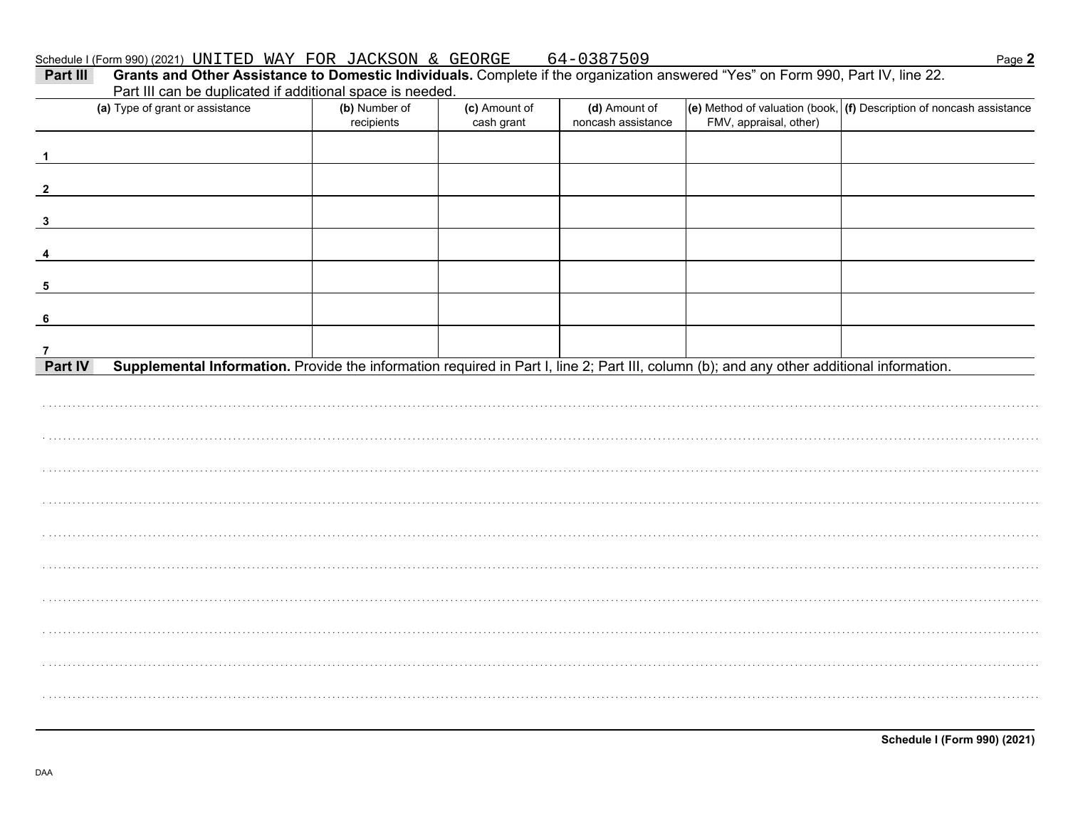| 0387509<br>FOR JACKSON &<br>GEORGE<br>WAY<br>Schedule I (Form 990) (2021) $\text{UNITED}$ |  |  |  |  |  |
|-------------------------------------------------------------------------------------------|--|--|--|--|--|
|-------------------------------------------------------------------------------------------|--|--|--|--|--|

| Part III can be duplicated if additional space is needed.                                                                                            |                             |                             |                                     |                        |                                                                                      |
|------------------------------------------------------------------------------------------------------------------------------------------------------|-----------------------------|-----------------------------|-------------------------------------|------------------------|--------------------------------------------------------------------------------------|
| (a) Type of grant or assistance                                                                                                                      | (b) Number of<br>recipients | (c) Amount of<br>cash grant | (d) Amount of<br>noncash assistance | FMV, appraisal, other) | $\vert$ (e) Method of valuation (book, $\vert$ (f) Description of noncash assistance |
|                                                                                                                                                      |                             |                             |                                     |                        |                                                                                      |
| $\overline{\mathbf{1}}$                                                                                                                              |                             |                             |                                     |                        |                                                                                      |
| $\overline{\mathbf{2}}$                                                                                                                              |                             |                             |                                     |                        |                                                                                      |
|                                                                                                                                                      |                             |                             |                                     |                        |                                                                                      |
| $\mathbf{3}$                                                                                                                                         |                             |                             |                                     |                        |                                                                                      |
| $\overline{4}$                                                                                                                                       |                             |                             |                                     |                        |                                                                                      |
|                                                                                                                                                      |                             |                             |                                     |                        |                                                                                      |
| - 5                                                                                                                                                  |                             |                             |                                     |                        |                                                                                      |
|                                                                                                                                                      |                             |                             |                                     |                        |                                                                                      |
| 6                                                                                                                                                    |                             |                             |                                     |                        |                                                                                      |
| $\overline{7}$                                                                                                                                       |                             |                             |                                     |                        |                                                                                      |
| Supplemental Information. Provide the information required in Part I, line 2; Part III, column (b); and any other additional information.<br>Part IV |                             |                             |                                     |                        |                                                                                      |
|                                                                                                                                                      |                             |                             |                                     |                        |                                                                                      |
|                                                                                                                                                      |                             |                             |                                     |                        |                                                                                      |
|                                                                                                                                                      |                             |                             |                                     |                        |                                                                                      |
|                                                                                                                                                      |                             |                             |                                     |                        |                                                                                      |
|                                                                                                                                                      |                             |                             |                                     |                        |                                                                                      |
|                                                                                                                                                      |                             |                             |                                     |                        |                                                                                      |
|                                                                                                                                                      |                             |                             |                                     |                        |                                                                                      |
|                                                                                                                                                      |                             |                             |                                     |                        |                                                                                      |
|                                                                                                                                                      |                             |                             |                                     |                        |                                                                                      |
|                                                                                                                                                      |                             |                             |                                     |                        |                                                                                      |
|                                                                                                                                                      |                             |                             |                                     |                        |                                                                                      |
|                                                                                                                                                      |                             |                             |                                     |                        |                                                                                      |
|                                                                                                                                                      |                             |                             |                                     |                        |                                                                                      |
|                                                                                                                                                      |                             |                             |                                     |                        |                                                                                      |
|                                                                                                                                                      |                             |                             |                                     |                        |                                                                                      |
|                                                                                                                                                      |                             |                             |                                     |                        |                                                                                      |
|                                                                                                                                                      |                             |                             |                                     |                        |                                                                                      |

Page 2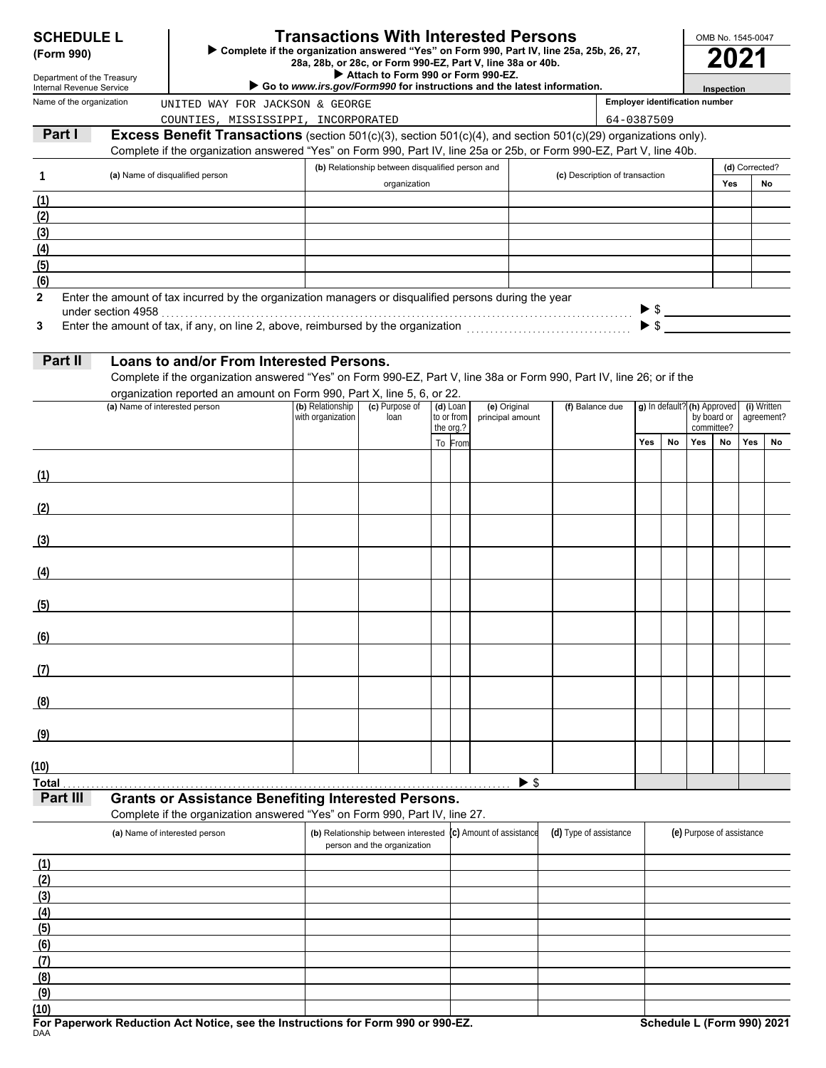| <b>SCHEDULE L</b> |  |
|-------------------|--|
|-------------------|--|

**(6) (5) (4) (3)**

**(7) (8) (9)**

# **SCHEDULE L Transactions With Interested Persons**

| OMB No. 1545-0047 |  |
|-------------------|--|
| ---               |  |

| (Form 990)               | <b>Transactions With Interested Persons</b><br><b>SCHEDULE L</b><br>▶ Complete if the organization answered "Yes" on Form 990, Part IV, line 25a, 25b, 26, 27,<br>28a, 28b, or 28c, or Form 990-EZ, Part V, line 38a or 40b.<br>Attach to Form 990 or Form 990-EZ.<br>Department of the Treasury |                                                                                                                                          |                   |                                                                    |  |            |                          | OMB No. 1545-0047<br>2021                                              |                                |                                       |                          |                                            |                           |                           |    |  |  |
|--------------------------|--------------------------------------------------------------------------------------------------------------------------------------------------------------------------------------------------------------------------------------------------------------------------------------------------|------------------------------------------------------------------------------------------------------------------------------------------|-------------------|--------------------------------------------------------------------|--|------------|--------------------------|------------------------------------------------------------------------|--------------------------------|---------------------------------------|--------------------------|--------------------------------------------|---------------------------|---------------------------|----|--|--|
| Internal Revenue Service |                                                                                                                                                                                                                                                                                                  |                                                                                                                                          |                   |                                                                    |  |            |                          | Go to www.irs.gov/Form990 for instructions and the latest information. |                                |                                       |                          |                                            | Inspection                |                           |    |  |  |
| Name of the organization |                                                                                                                                                                                                                                                                                                  | UNITED WAY FOR JACKSON & GEORGE                                                                                                          |                   |                                                                    |  |            |                          |                                                                        |                                | <b>Employer identification number</b> |                          |                                            |                           |                           |    |  |  |
|                          |                                                                                                                                                                                                                                                                                                  | COUNTIES, MISSISSIPPI, INCORPORATED                                                                                                      |                   |                                                                    |  |            |                          |                                                                        |                                | 64-0387509                            |                          |                                            |                           |                           |    |  |  |
| Part I                   |                                                                                                                                                                                                                                                                                                  | <b>Excess Benefit Transactions</b> (section 501(c)(3), section 501(c)(4), and section 501(c)(29) organizations only).                    |                   |                                                                    |  |            |                          |                                                                        |                                |                                       |                          |                                            |                           |                           |    |  |  |
|                          |                                                                                                                                                                                                                                                                                                  | Complete if the organization answered "Yes" on Form 990, Part IV, line 25a or 25b, or Form 990-EZ, Part V, line 40b.                     |                   | (b) Relationship between disqualified person and                   |  |            |                          |                                                                        |                                |                                       |                          |                                            |                           | (d) Corrected?            |    |  |  |
| 1                        |                                                                                                                                                                                                                                                                                                  | (a) Name of disqualified person                                                                                                          |                   | organization                                                       |  |            |                          |                                                                        | (c) Description of transaction |                                       |                          | <b>Yes</b>                                 |                           | No                        |    |  |  |
| (1)                      |                                                                                                                                                                                                                                                                                                  |                                                                                                                                          |                   |                                                                    |  |            |                          |                                                                        |                                |                                       |                          |                                            |                           |                           |    |  |  |
| (2)                      |                                                                                                                                                                                                                                                                                                  |                                                                                                                                          |                   |                                                                    |  |            |                          |                                                                        |                                |                                       |                          |                                            |                           |                           |    |  |  |
| (3)                      |                                                                                                                                                                                                                                                                                                  |                                                                                                                                          |                   |                                                                    |  |            |                          |                                                                        |                                |                                       |                          |                                            |                           |                           |    |  |  |
| (4)                      |                                                                                                                                                                                                                                                                                                  |                                                                                                                                          |                   |                                                                    |  |            |                          |                                                                        |                                |                                       |                          |                                            |                           |                           |    |  |  |
| (5)                      |                                                                                                                                                                                                                                                                                                  |                                                                                                                                          |                   |                                                                    |  |            |                          |                                                                        |                                |                                       |                          |                                            |                           |                           |    |  |  |
| (6)<br>$\mathbf{2}$      |                                                                                                                                                                                                                                                                                                  | Enter the amount of tax incurred by the organization managers or disqualified persons during the year                                    |                   |                                                                    |  |            |                          |                                                                        |                                |                                       |                          |                                            |                           |                           |    |  |  |
|                          |                                                                                                                                                                                                                                                                                                  |                                                                                                                                          |                   |                                                                    |  |            |                          |                                                                        |                                |                                       | $\blacktriangleright$ \$ |                                            |                           |                           |    |  |  |
| 3                        |                                                                                                                                                                                                                                                                                                  |                                                                                                                                          |                   |                                                                    |  |            |                          |                                                                        |                                |                                       | $\blacktriangleright$ \$ |                                            |                           |                           |    |  |  |
|                          |                                                                                                                                                                                                                                                                                                  |                                                                                                                                          |                   |                                                                    |  |            |                          |                                                                        |                                |                                       |                          |                                            |                           |                           |    |  |  |
| Part II                  |                                                                                                                                                                                                                                                                                                  | Loans to and/or From Interested Persons.                                                                                                 |                   |                                                                    |  |            |                          |                                                                        |                                |                                       |                          |                                            |                           |                           |    |  |  |
|                          |                                                                                                                                                                                                                                                                                                  | Complete if the organization answered "Yes" on Form 990-EZ, Part V, line 38a or Form 990, Part IV, line 26; or if the                    |                   |                                                                    |  |            |                          |                                                                        |                                |                                       |                          |                                            |                           |                           |    |  |  |
|                          | (a) Name of interested person                                                                                                                                                                                                                                                                    | organization reported an amount on Form 990, Part X, line 5, 6, or 22.                                                                   | (b) Relationship  | (c) Purpose of                                                     |  | $(d)$ Loan | (e) Original             |                                                                        | (f) Balance due                |                                       |                          |                                            |                           |                           |    |  |  |
|                          |                                                                                                                                                                                                                                                                                                  |                                                                                                                                          | with organization | loan                                                               |  | to or from | principal amount         |                                                                        |                                |                                       |                          | g) In default? (h) Approved<br>by board or |                           | (i) Written<br>agreement? |    |  |  |
|                          |                                                                                                                                                                                                                                                                                                  |                                                                                                                                          |                   |                                                                    |  | the org.?  |                          |                                                                        |                                | Yes                                   | No                       | Yes                                        | committee?<br>No          | Yes                       | No |  |  |
|                          |                                                                                                                                                                                                                                                                                                  |                                                                                                                                          |                   |                                                                    |  | To From    |                          |                                                                        |                                |                                       |                          |                                            |                           |                           |    |  |  |
| (1)                      |                                                                                                                                                                                                                                                                                                  |                                                                                                                                          |                   |                                                                    |  |            |                          |                                                                        |                                |                                       |                          |                                            |                           |                           |    |  |  |
|                          |                                                                                                                                                                                                                                                                                                  |                                                                                                                                          |                   |                                                                    |  |            |                          |                                                                        |                                |                                       |                          |                                            |                           |                           |    |  |  |
| (2)                      |                                                                                                                                                                                                                                                                                                  |                                                                                                                                          |                   |                                                                    |  |            |                          |                                                                        |                                |                                       |                          |                                            |                           |                           |    |  |  |
|                          |                                                                                                                                                                                                                                                                                                  |                                                                                                                                          |                   |                                                                    |  |            |                          |                                                                        |                                |                                       |                          |                                            |                           |                           |    |  |  |
| (3)                      |                                                                                                                                                                                                                                                                                                  |                                                                                                                                          |                   |                                                                    |  |            |                          |                                                                        |                                |                                       |                          |                                            |                           |                           |    |  |  |
| (4)                      |                                                                                                                                                                                                                                                                                                  |                                                                                                                                          |                   |                                                                    |  |            |                          |                                                                        |                                |                                       |                          |                                            |                           |                           |    |  |  |
|                          |                                                                                                                                                                                                                                                                                                  |                                                                                                                                          |                   |                                                                    |  |            |                          |                                                                        |                                |                                       |                          |                                            |                           |                           |    |  |  |
| (5)                      |                                                                                                                                                                                                                                                                                                  |                                                                                                                                          |                   |                                                                    |  |            |                          |                                                                        |                                |                                       |                          |                                            |                           |                           |    |  |  |
|                          |                                                                                                                                                                                                                                                                                                  |                                                                                                                                          |                   |                                                                    |  |            |                          |                                                                        |                                |                                       |                          |                                            |                           |                           |    |  |  |
| (6)                      |                                                                                                                                                                                                                                                                                                  |                                                                                                                                          |                   |                                                                    |  |            |                          |                                                                        |                                |                                       |                          |                                            |                           |                           |    |  |  |
|                          |                                                                                                                                                                                                                                                                                                  |                                                                                                                                          |                   |                                                                    |  |            |                          |                                                                        |                                |                                       |                          |                                            |                           |                           |    |  |  |
| (7)                      |                                                                                                                                                                                                                                                                                                  |                                                                                                                                          |                   |                                                                    |  |            |                          |                                                                        |                                |                                       |                          |                                            |                           |                           |    |  |  |
| (8)                      |                                                                                                                                                                                                                                                                                                  |                                                                                                                                          |                   |                                                                    |  |            |                          |                                                                        |                                |                                       |                          |                                            |                           |                           |    |  |  |
|                          |                                                                                                                                                                                                                                                                                                  |                                                                                                                                          |                   |                                                                    |  |            |                          |                                                                        |                                |                                       |                          |                                            |                           |                           |    |  |  |
| (9)                      |                                                                                                                                                                                                                                                                                                  |                                                                                                                                          |                   |                                                                    |  |            |                          |                                                                        |                                |                                       |                          |                                            |                           |                           |    |  |  |
|                          |                                                                                                                                                                                                                                                                                                  |                                                                                                                                          |                   |                                                                    |  |            |                          |                                                                        |                                |                                       |                          |                                            |                           |                           |    |  |  |
| (10)                     |                                                                                                                                                                                                                                                                                                  |                                                                                                                                          |                   |                                                                    |  |            |                          |                                                                        |                                |                                       |                          |                                            |                           |                           |    |  |  |
| <b>Total</b>             |                                                                                                                                                                                                                                                                                                  |                                                                                                                                          |                   |                                                                    |  |            |                          | $\blacktriangleright$ \$                                               |                                |                                       |                          |                                            |                           |                           |    |  |  |
| Part III                 |                                                                                                                                                                                                                                                                                                  | <b>Grants or Assistance Benefiting Interested Persons.</b><br>Complete if the organization answered "Yes" on Form 990, Part IV, line 27. |                   |                                                                    |  |            |                          |                                                                        |                                |                                       |                          |                                            |                           |                           |    |  |  |
|                          |                                                                                                                                                                                                                                                                                                  | (a) Name of interested person                                                                                                            |                   | (b) Relationship between interested<br>person and the organization |  |            | (c) Amount of assistance |                                                                        | (d) Type of assistance         |                                       |                          |                                            | (e) Purpose of assistance |                           |    |  |  |
| (1)                      |                                                                                                                                                                                                                                                                                                  |                                                                                                                                          |                   |                                                                    |  |            |                          |                                                                        |                                |                                       |                          |                                            |                           |                           |    |  |  |
| (2)                      |                                                                                                                                                                                                                                                                                                  |                                                                                                                                          |                   |                                                                    |  |            |                          |                                                                        |                                |                                       |                          |                                            |                           |                           |    |  |  |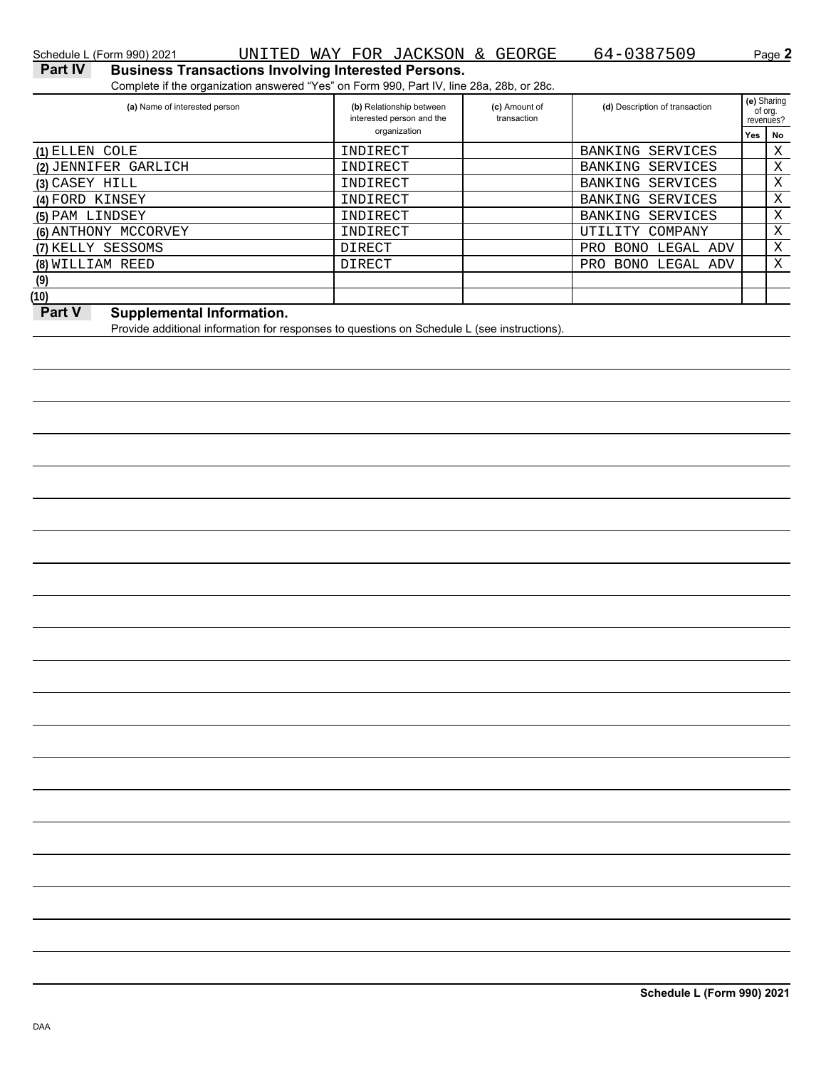Complete if the organization answered "Yes" on Form 990, Part IV, line 28a, 28b, or 28c.

| (b) Relationship between<br>interested person and the | (c) Amount of<br>transaction | (d) Description of transaction |     | (e) Sharing<br>of org.<br>revenues? |
|-------------------------------------------------------|------------------------------|--------------------------------|-----|-------------------------------------|
| organization                                          |                              |                                | Yes | No                                  |
| INDIRECT                                              |                              | BANKING<br>SERVICES            |     | Χ                                   |
| INDIRECT                                              |                              | BANKING SERVICES               |     | Χ                                   |
| INDIRECT                                              |                              | BANKING SERVICES               |     | X                                   |
| INDIRECT                                              |                              | BANKING SERVICES               |     | Χ                                   |
| INDIRECT                                              |                              | BANKING<br>SERVICES            |     | Χ                                   |
| INDIRECT                                              |                              | UTILITY COMPANY                |     | Χ                                   |
| DIRECT                                                |                              | <b>BONO LEGAL ADV</b><br>PRO   |     | Χ                                   |
| DIRECT                                                |                              | <b>PRO</b><br>BONO LEGAL ADV   |     | X                                   |
|                                                       |                              |                                |     |                                     |
|                                                       |                              |                                |     |                                     |
|                                                       |                              |                                |     |                                     |

# **Part V** Supplemental Information.

Provide additional information for responses to questions on Schedule L (see instructions).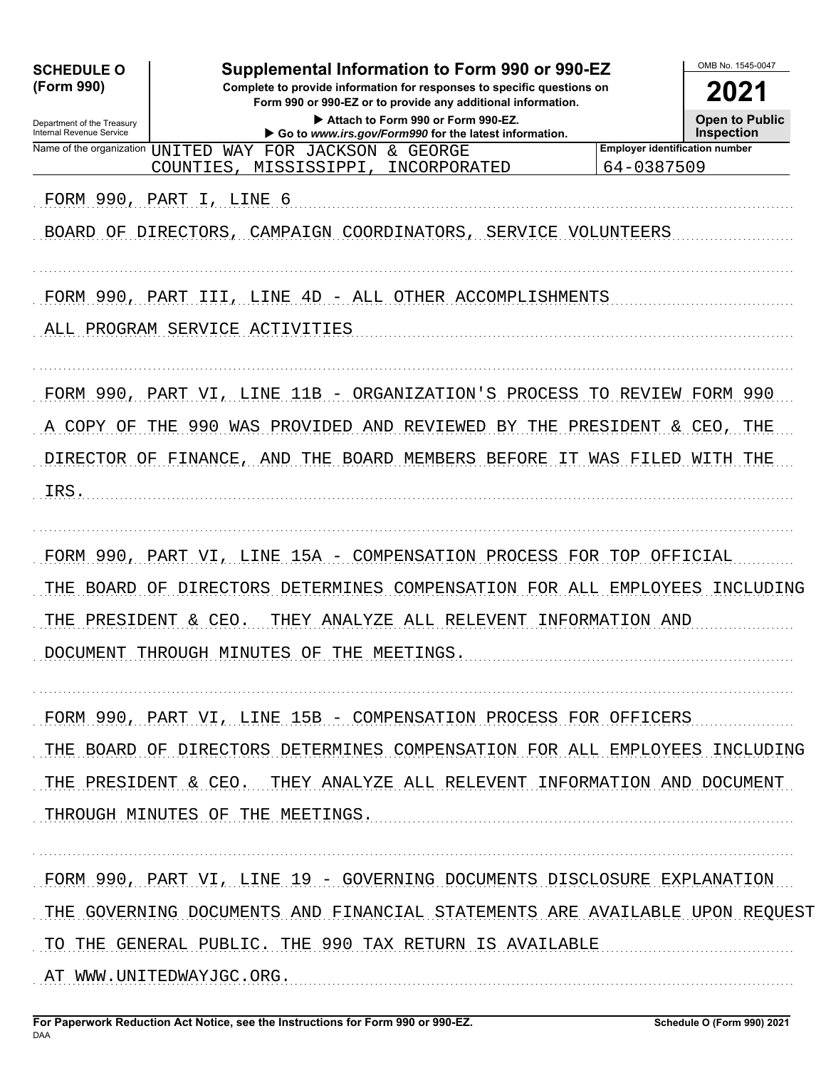| <b>SCHEDULE O</b><br>(Form 990)<br>Department of the Treasury<br>Internal Revenue Service | Supplemental Information to Form 990 or 990-EZ<br>Complete to provide information for responses to specific questions on<br>Form 990 or 990-EZ or to provide any additional information.<br>Attach to Form 990 or Form 990-EZ.<br>Go to www.irs.gov/Form990 for the latest information. | OMB No. 1545-0047<br>2021<br><b>Open to Public</b><br><b>Inspection</b> |  |  |  |  |
|-------------------------------------------------------------------------------------------|-----------------------------------------------------------------------------------------------------------------------------------------------------------------------------------------------------------------------------------------------------------------------------------------|-------------------------------------------------------------------------|--|--|--|--|
| Name of the organization UNITED                                                           | WAY FOR JACKSON & GEORGE<br>COUNTIES,<br>MISSISSIPPI,<br>INCORPORATED                                                                                                                                                                                                                   | <b>Employer identification number</b><br>64-0387509                     |  |  |  |  |
|                                                                                           | FORM 990, PART I, LINE 6<br>BOARD OF DIRECTORS, CAMPAIGN COORDINATORS,<br>SERVICE VOLUNTEERS                                                                                                                                                                                            |                                                                         |  |  |  |  |
|                                                                                           | FORM 990, PART III, LINE 4D - ALL OTHER ACCOMPLISHMENTS<br>ALL PROGRAM SERVICE ACTIVITIES                                                                                                                                                                                               |                                                                         |  |  |  |  |
| A COPY OF<br>DIRECTOR OF FINANCE,<br>IRS.                                                 | FORM 990, PART VI, LINE 11B - ORGANIZATION'S PROCESS TO REVIEW FORM 990<br>990 WAS<br>PROVIDED AND REVIEWED<br>THE<br>BY THE<br>AND THE BOARD MEMBERS BEFORE                                                                                                                            | PRESIDENT & CEO, THE<br>IT WAS FILED WITH THE                           |  |  |  |  |
| THE BOARD OF<br>THE PRESIDENT & CEO.                                                      | FORM 990, PART VI, LINE 15A - COMPENSATION PROCESS FOR TOP OFFICIAL<br>DIRECTORS DETERMINES COMPENSATION FOR ALL EMPLOYEES INCLUDING<br>THEY ANALYZE ALL RELEVENT INFORMATION AND<br>DOCUMENT THROUGH MINUTES OF THE MEETINGS.                                                          |                                                                         |  |  |  |  |
|                                                                                           | FORM 990, PART VI, LINE 15B - COMPENSATION PROCESS FOR OFFICERS<br>THE BOARD OF DIRECTORS DETERMINES COMPENSATION FOR ALL EMPLOYEES INCLUDING<br>THE PRESIDENT & CEO. THEY ANALYZE ALL RELEVENT INFORMATION AND DOCUMENT<br>THROUGH MINUTES OF THE MEETINGS.                            |                                                                         |  |  |  |  |
|                                                                                           | FORM 990, PART VI, LINE 19 - GOVERNING DOCUMENTS DISCLOSURE EXPLANATION<br>THE GOVERNING DOCUMENTS AND FINANCIAL STATEMENTS ARE AVAILABLE UPON REQUEST<br>TO THE GENERAL PUBLIC. THE 990 TAX RETURN IS AVAILABLE<br>AT WWW.UNITEDWAYJGC.ORG.                                            |                                                                         |  |  |  |  |